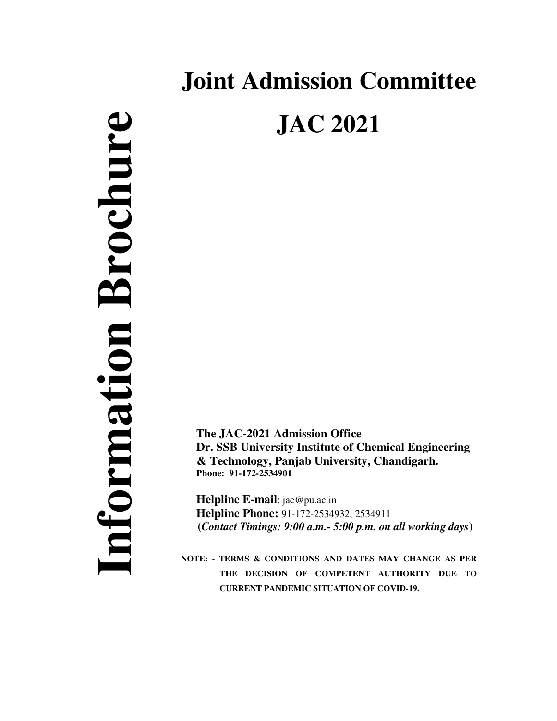# **Joint Admission Committee JAC 2021**

**The JAC-2021 Admission Office Dr. SSB University Institute of Chemical Engineering & Technology, Panjab University, Chandigarh. Phone: 91-172-2534901** 

**Helpline E-mail**: jac@pu.ac.in **Helpline Phone:** 91-172-2534932, 2534911  **(***Contact Timings: 9:00 a.m.- 5:00 p.m. on all working days***)** 

**NOTE: - TERMS & CONDITIONS AND DATES MAY CHANGE AS PER THE DECISION OF COMPETENT AUTHORITY DUE TO CURRENT PANDEMIC SITUATION OF COVID-19.**

 **Information Brochure**  Information Brochure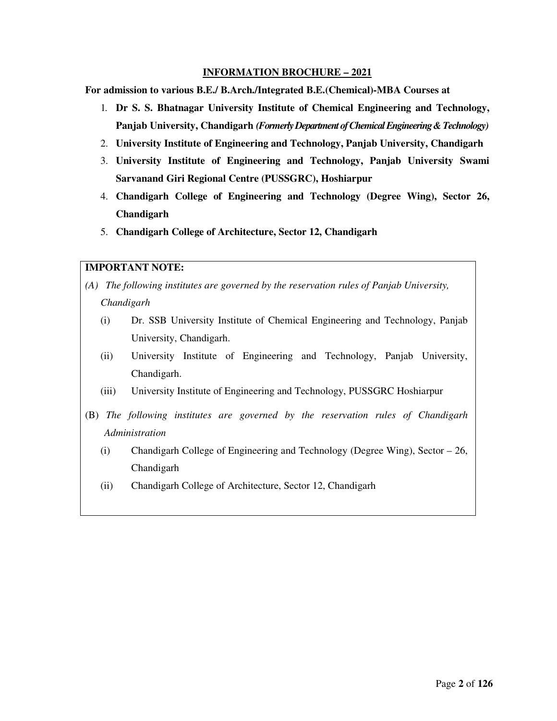#### **INFORMATION BROCHURE – 2021**

**For admission to various B.E./ B.Arch./Integrated B.E.(Chemical)-MBA Courses at** 

- 1. **Dr S. S. Bhatnagar University Institute of Chemical Engineering and Technology, Panjab University, Chandigarh** *(Formerly Department of Chemical Engineering & Technology)*
- 2. **University Institute of Engineering and Technology, Panjab University, Chandigarh**
- 3. **University Institute of Engineering and Technology, Panjab University Swami Sarvanand Giri Regional Centre (PUSSGRC), Hoshiarpur**
- 4. **Chandigarh College of Engineering and Technology (Degree Wing), Sector 26, Chandigarh**
- 5. **Chandigarh College of Architecture, Sector 12, Chandigarh**

#### **IMPORTANT NOTE:**

- *(A) The following institutes are governed by the reservation rules of Panjab University, Chandigarh* 
	- (i) Dr. SSB University Institute of Chemical Engineering and Technology, Panjab University, Chandigarh.
	- (ii) University Institute of Engineering and Technology, Panjab University, Chandigarh.
	- (iii) University Institute of Engineering and Technology, PUSSGRC Hoshiarpur
- (B) *The following institutes are governed by the reservation rules of Chandigarh Administration*
	- (i) Chandigarh College of Engineering and Technology (Degree Wing), Sector 26, Chandigarh
	- (ii) Chandigarh College of Architecture, Sector 12, Chandigarh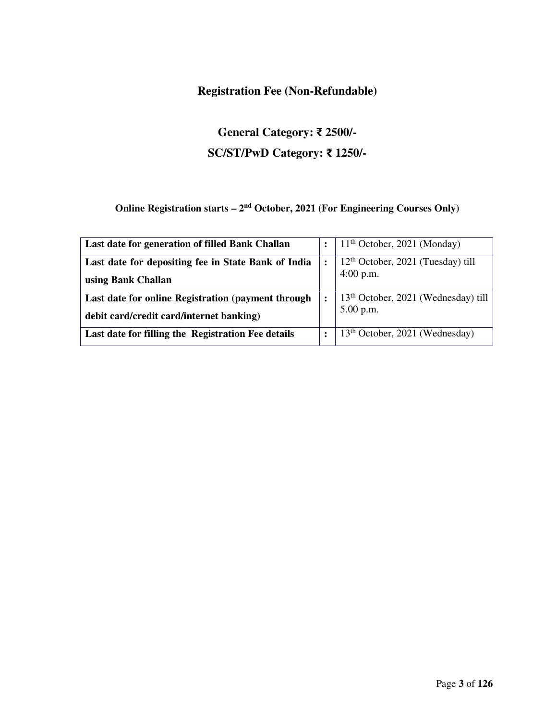#### **Registration Fee (Non-Refundable)**

## **General Category:** ₹ **2500/- SC/ST/PwD Category:** ₹ **1250/-**

## **Online Registration starts – 2nd October, 2021 (For Engineering Courses Only)**

| Last date for generation of filled Bank Challan     |                      | $11th$ October, 2021 (Monday)              |
|-----------------------------------------------------|----------------------|--------------------------------------------|
| Last date for depositing fee in State Bank of India | $\ddot{\cdot}$       | $12th$ October, 2021 (Tuesday) till        |
| using Bank Challan                                  |                      | $4:00$ p.m.                                |
| Last date for online Registration (payment through  | $\ddot{\phantom{a}}$ | $13th$ October, 2021 (Wednesday) till      |
| debit card/credit card/internet banking)            |                      | $5.00$ p.m.                                |
| Last date for filling the Registration Fee details  | $\ddot{\cdot}$       | 13 <sup>th</sup> October, 2021 (Wednesday) |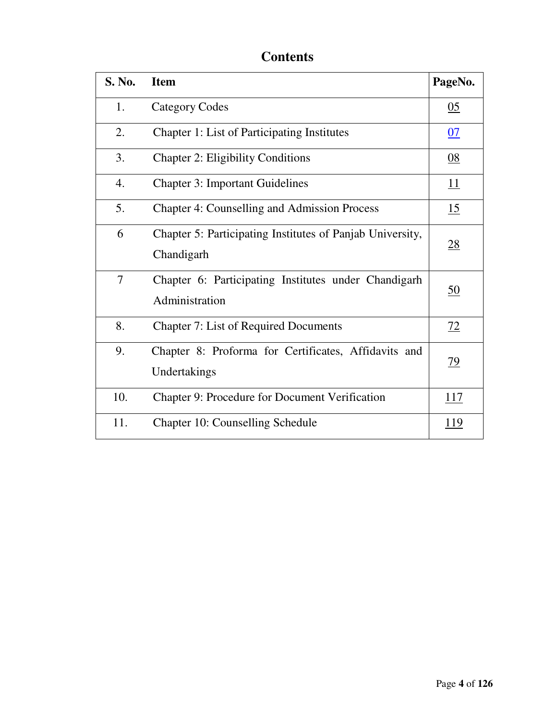## **Contents**

| <b>S. No.</b>    | <b>Item</b>                                                             | PageNo.          |
|------------------|-------------------------------------------------------------------------|------------------|
| 1.               | <b>Category Codes</b>                                                   | $\underline{05}$ |
| 2.               | Chapter 1: List of Participating Institutes                             | 07               |
| 3.               | <b>Chapter 2: Eligibility Conditions</b>                                | $\underline{08}$ |
| $\overline{4}$ . | <b>Chapter 3: Important Guidelines</b>                                  | <u> 11</u>       |
| 5.               | <b>Chapter 4: Counselling and Admission Process</b>                     | 15               |
| 6                | Chapter 5: Participating Institutes of Panjab University,<br>Chandigarh | <u>28</u>        |
| $\overline{7}$   | Chapter 6: Participating Institutes under Chandigarh<br>Administration  | <u>50</u>        |
| 8.               | <b>Chapter 7: List of Required Documents</b>                            | 72               |
| 9.               | Chapter 8: Proforma for Certificates, Affidavits and<br>Undertakings    | <u>79</u>        |
| 10.              | Chapter 9: Procedure for Document Verification                          | <u>117</u>       |
| 11.              | Chapter 10: Counselling Schedule                                        | <u>119</u>       |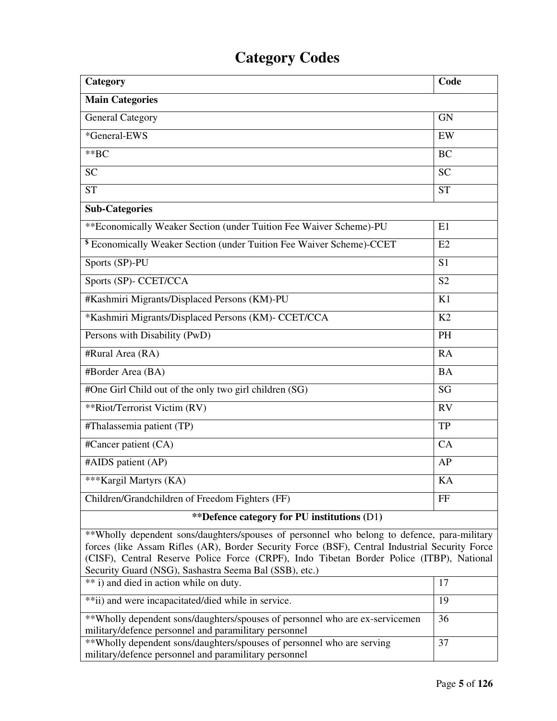## **Category Codes**

| Category                                                                         | Code           |
|----------------------------------------------------------------------------------|----------------|
| <b>Main Categories</b>                                                           |                |
| General Category                                                                 | <b>GN</b>      |
| *General-EWS                                                                     | EW             |
| $*$ $BC$                                                                         | <b>BC</b>      |
| <b>SC</b>                                                                        | <b>SC</b>      |
| <b>ST</b>                                                                        | <b>ST</b>      |
| <b>Sub-Categories</b>                                                            |                |
| ** Economically Weaker Section (under Tuition Fee Waiver Scheme)-PU              | E1             |
| <sup>\$</sup> Economically Weaker Section (under Tuition Fee Waiver Scheme)-CCET | E2             |
| Sports (SP)-PU                                                                   | S <sub>1</sub> |
| Sports (SP)- CCET/CCA                                                            | S <sub>2</sub> |
| #Kashmiri Migrants/Displaced Persons (KM)-PU                                     | K1             |
| *Kashmiri Migrants/Displaced Persons (KM)- CCET/CCA                              | K2             |
| Persons with Disability (PwD)                                                    | <b>PH</b>      |
| #Rural Area (RA)                                                                 | RA             |
| #Border Area (BA)                                                                | <b>BA</b>      |
| #One Girl Child out of the only two girl children (SG)                           | SG             |
| **Riot/Terrorist Victim (RV)                                                     | RV             |
| #Thalassemia patient (TP)                                                        | TP             |
| #Cancer patient (CA)                                                             | CA             |
| #AIDS patient (AP)                                                               | AP             |
| *** Kargil Martyrs (KA)                                                          | KA             |
| Children/Grandchildren of Freedom Fighters (FF)                                  | FF             |
| <i>**</i> Defence category for PU institutions (D1)                              |                |

\*\*Wholly dependent sons/daughters/spouses of personnel who belong to defence, para-military forces (like Assam Rifles (AR), Border Security Force (BSF), Central Industrial Security Force (CISF), Central Reserve Police Force (CRPF), Indo Tibetan Border Police (ITBP), National Security Guard (NSG), Sashastra Seema Bal (SSB), etc.)

| ** i) and died in action while on duty.                                      |    |
|------------------------------------------------------------------------------|----|
| **ii) and were incapacitated/died while in service.                          | 19 |
| **Wholly dependent sons/daughters/spouses of personnel who are ex-servicemen | 36 |
| military/defence personnel and paramilitary personnel                        |    |
| **Wholly dependent sons/daughters/spouses of personnel who are serving       | 37 |
| military/defence personnel and paramilitary personnel                        |    |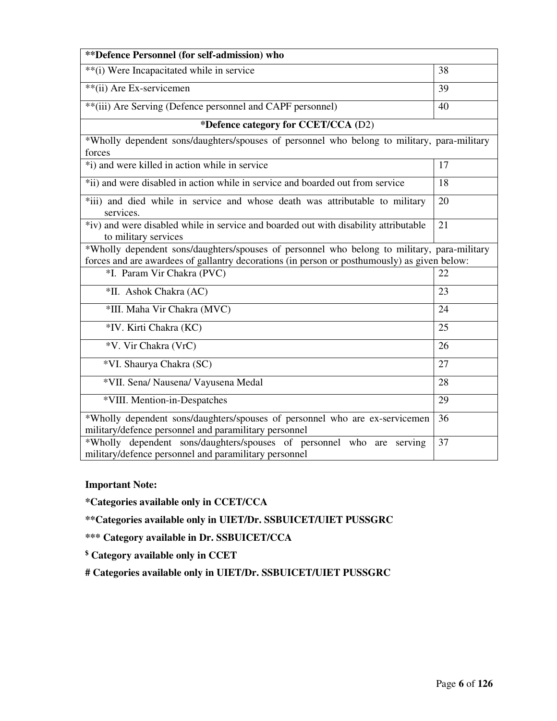| **Defence Personnel (for self-admission) who                                                                                                                                                |    |  |
|---------------------------------------------------------------------------------------------------------------------------------------------------------------------------------------------|----|--|
| **(i) Were Incapacitated while in service                                                                                                                                                   | 38 |  |
| **(ii) Are Ex-servicemen                                                                                                                                                                    | 39 |  |
| **(iii) Are Serving (Defence personnel and CAPF personnel)                                                                                                                                  | 40 |  |
| *Defence category for CCET/CCA (D2)                                                                                                                                                         |    |  |
| *Wholly dependent sons/daughters/spouses of personnel who belong to military, para-military<br>forces                                                                                       |    |  |
| *i) and were killed in action while in service                                                                                                                                              | 17 |  |
| *ii) and were disabled in action while in service and boarded out from service                                                                                                              | 18 |  |
| *iii) and died while in service and whose death was attributable to military<br>services.                                                                                                   | 20 |  |
| *iv) and were disabled while in service and boarded out with disability attributable<br>to military services                                                                                | 21 |  |
| *Wholly dependent sons/daughters/spouses of personnel who belong to military, para-military<br>forces and are awardees of gallantry decorations (in person or posthumously) as given below: |    |  |
| *I. Param Vir Chakra (PVC)                                                                                                                                                                  | 22 |  |
| *II. Ashok Chakra (AC)                                                                                                                                                                      | 23 |  |
| *III. Maha Vir Chakra (MVC)                                                                                                                                                                 | 24 |  |
| *IV. Kirti Chakra (KC)                                                                                                                                                                      | 25 |  |
| *V. Vir Chakra (VrC)                                                                                                                                                                        | 26 |  |
| *VI. Shaurya Chakra (SC)                                                                                                                                                                    | 27 |  |
| *VII. Sena/ Nausena/ Vayusena Medal                                                                                                                                                         | 28 |  |
| *VIII. Mention-in-Despatches                                                                                                                                                                | 29 |  |
| *Wholly dependent sons/daughters/spouses of personnel who are ex-servicemen<br>military/defence personnel and paramilitary personnel                                                        | 36 |  |
| *Wholly dependent sons/daughters/spouses of personnel who are serving<br>military/defence personnel and paramilitary personnel                                                              | 37 |  |

#### **Important Note:**

**\*Categories available only in CCET/CCA** 

**\*\*Categories available only in UIET/Dr. SSBUICET/UIET PUSSGRC** 

**\*\*\* Category available in Dr. SSBUICET/CCA** 

**\$ Category available only in CCET** 

**# Categories available only in UIET/Dr. SSBUICET/UIET PUSSGRC**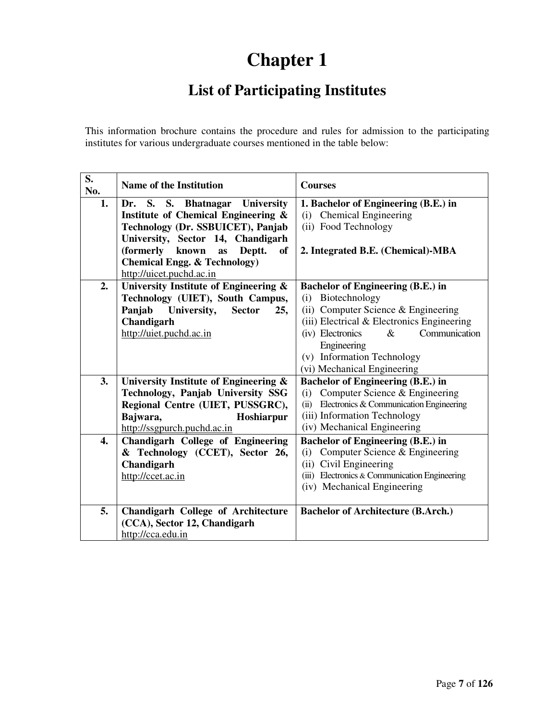## **Chapter 1**

## **List of Participating Institutes**

This information brochure contains the procedure and rules for admission to the participating institutes for various undergraduate courses mentioned in the table below:

| S.<br>No. | <b>Name of the Institution</b>                 | <b>Courses</b>                                |  |  |
|-----------|------------------------------------------------|-----------------------------------------------|--|--|
| 1.        | Dr. S. S. Bhatnagar<br><b>University</b>       | 1. Bachelor of Engineering (B.E.) in          |  |  |
|           | <b>Institute of Chemical Engineering &amp;</b> | (i) Chemical Engineering                      |  |  |
|           | Technology (Dr. SSBUICET), Panjab              | (ii) Food Technology                          |  |  |
|           | University, Sector 14, Chandigarh              |                                               |  |  |
|           | (formerly<br>Deptt.<br>known<br>of<br>as       | 2. Integrated B.E. (Chemical)-MBA             |  |  |
|           | <b>Chemical Engg. &amp; Technology)</b>        |                                               |  |  |
|           | http://uicet.puchd.ac.in                       |                                               |  |  |
| 2.        | University Institute of Engineering &          | <b>Bachelor of Engineering (B.E.) in</b>      |  |  |
|           | Technology (UIET), South Campus,               | Biotechnology<br>(i)                          |  |  |
|           | University,<br>Panjab<br><b>Sector</b><br>25,  | (ii) Computer Science & Engineering           |  |  |
|           | Chandigarh                                     | (iii) Electrical & Electronics Engineering    |  |  |
|           | http://uiet.puchd.ac.in                        | (iv) Electronics<br>Communication<br>$\&$     |  |  |
|           |                                                | Engineering                                   |  |  |
|           |                                                | (v) Information Technology                    |  |  |
|           |                                                | (vi) Mechanical Engineering                   |  |  |
| 3.        | University Institute of Engineering &          | <b>Bachelor of Engineering (B.E.) in</b>      |  |  |
|           | Technology, Panjab University SSG              | Computer Science & Engineering<br>(i)         |  |  |
|           | Regional Centre (UIET, PUSSGRC),               | (ii) Electronics & Communication Engineering  |  |  |
|           | Bajwara,<br>Hoshiarpur                         | (iii) Information Technology                  |  |  |
|           | http://ssgpurch.puchd.ac.in                    | (iv) Mechanical Engineering                   |  |  |
| 4.        | Chandigarh College of Engineering              | <b>Bachelor of Engineering (B.E.) in</b>      |  |  |
|           | & Technology (CCET), Sector 26,                | Computer Science & Engineering<br>(i)         |  |  |
|           | Chandigarh                                     | Civil Engineering<br>(ii)                     |  |  |
|           | http://ccet.ac.in                              | (iii) Electronics & Communication Engineering |  |  |
|           |                                                | (iv) Mechanical Engineering                   |  |  |
| 5.        | <b>Chandigarh College of Architecture</b>      | <b>Bachelor of Architecture (B.Arch.)</b>     |  |  |
|           | (CCA), Sector 12, Chandigarh                   |                                               |  |  |
|           | http://cca.edu.in                              |                                               |  |  |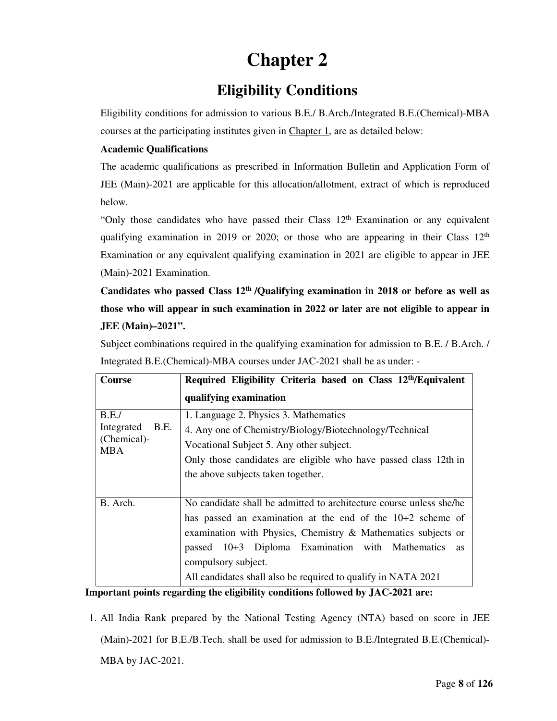## **Chapter 2**

## **Eligibility Conditions**

Eligibility conditions for admission to various B.E./ B.Arch./Integrated B.E.(Chemical)-MBA courses at the participating institutes given in Chapter 1, are as detailed below:

#### **Academic Qualifications**

The academic qualifications as prescribed in Information Bulletin and Application Form of JEE (Main)-2021 are applicable for this allocation/allotment, extract of which is reproduced below.

"Only those candidates who have passed their Class 12<sup>th</sup> Examination or any equivalent qualifying examination in 2019 or 2020; or those who are appearing in their Class  $12<sup>th</sup>$ Examination or any equivalent qualifying examination in 2021 are eligible to appear in JEE (Main)-2021 Examination.

**Candidates who passed Class 12th /Qualifying examination in 2018 or before as well as those who will appear in such examination in 2022 or later are not eligible to appear in JEE (Main)–2021".** 

Subject combinations required in the qualifying examination for admission to B.E. / B.Arch. / Integrated B.E.(Chemical)-MBA courses under JAC-2021 shall be as under: -

| <b>Course</b>                                           | Required Eligibility Criteria based on Class 12th/Equivalent                                                                                                                                                                                                                                                                                           |
|---------------------------------------------------------|--------------------------------------------------------------------------------------------------------------------------------------------------------------------------------------------------------------------------------------------------------------------------------------------------------------------------------------------------------|
|                                                         | qualifying examination                                                                                                                                                                                                                                                                                                                                 |
| B.E.<br>B.E.<br>Integrated<br>(Chemical)-<br><b>MBA</b> | 1. Language 2. Physics 3. Mathematics<br>4. Any one of Chemistry/Biology/Biotechnology/Technical<br>Vocational Subject 5. Any other subject.<br>Only those candidates are eligible who have passed class 12th in<br>the above subjects taken together.                                                                                                 |
| B. Arch.                                                | No candidate shall be admitted to architecture course unless she/he<br>has passed an examination at the end of the $10+2$ scheme of<br>examination with Physics, Chemistry & Mathematics subjects or<br>passed 10+3 Diploma Examination with Mathematics<br>as<br>compulsory subject.<br>All candidates shall also be required to qualify in NATA 2021 |

#### **Important points regarding the eligibility conditions followed by JAC-2021 are:**

1. All India Rank prepared by the National Testing Agency (NTA) based on score in JEE (Main)-2021 for B.E./B.Tech. shall be used for admission to B.E./Integrated B.E.(Chemical)- MBA by JAC-2021.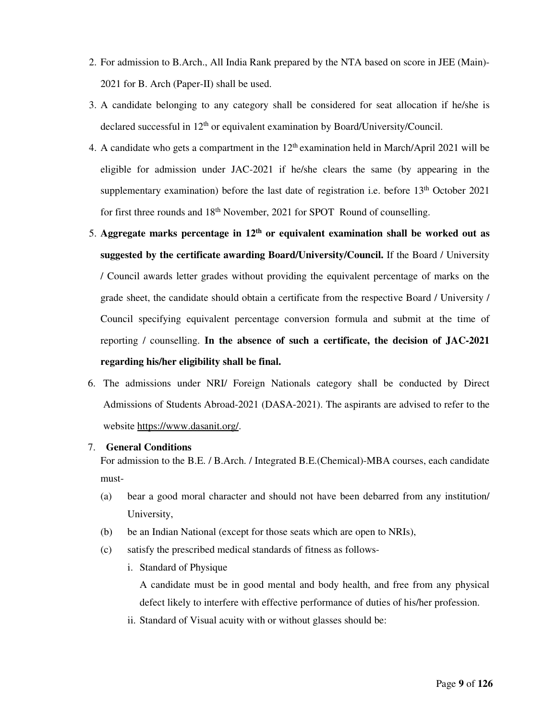- 2. For admission to B.Arch., All India Rank prepared by the NTA based on score in JEE (Main)- 2021 for B. Arch (Paper-II) shall be used.
- 3. A candidate belonging to any category shall be considered for seat allocation if he/she is declared successful in 12<sup>th</sup> or equivalent examination by Board/University/Council.
- 4. A candidate who gets a compartment in the  $12<sup>th</sup>$  examination held in March/April 2021 will be eligible for admission under JAC-2021 if he/she clears the same (by appearing in the supplementary examination) before the last date of registration i.e. before  $13<sup>th</sup>$  October 2021 for first three rounds and 18<sup>th</sup> November, 2021 for SPOT Round of counselling.
- 5. **Aggregate marks percentage in 12th or equivalent examination shall be worked out as suggested by the certificate awarding Board/University/Council.** If the Board / University / Council awards letter grades without providing the equivalent percentage of marks on the grade sheet, the candidate should obtain a certificate from the respective Board / University / Council specifying equivalent percentage conversion formula and submit at the time of reporting / counselling. **In the absence of such a certificate, the decision of JAC-2021 regarding his/her eligibility shall be final.**
- 6. The admissions under NRI/ Foreign Nationals category shall be conducted by Direct Admissions of Students Abroad-2021 (DASA-2021). The aspirants are advised to refer to the website https://www.dasanit.org/.

#### 7. **General Conditions**

For admission to the B.E. / B.Arch. / Integrated B.E.(Chemical)-MBA courses, each candidate must-

- (a) bear a good moral character and should not have been debarred from any institution/ University,
- (b) be an Indian National (except for those seats which are open to NRIs),
- (c) satisfy the prescribed medical standards of fitness as follows
	- i. Standard of Physique

 A candidate must be in good mental and body health, and free from any physical defect likely to interfere with effective performance of duties of his/her profession.

ii. Standard of Visual acuity with or without glasses should be: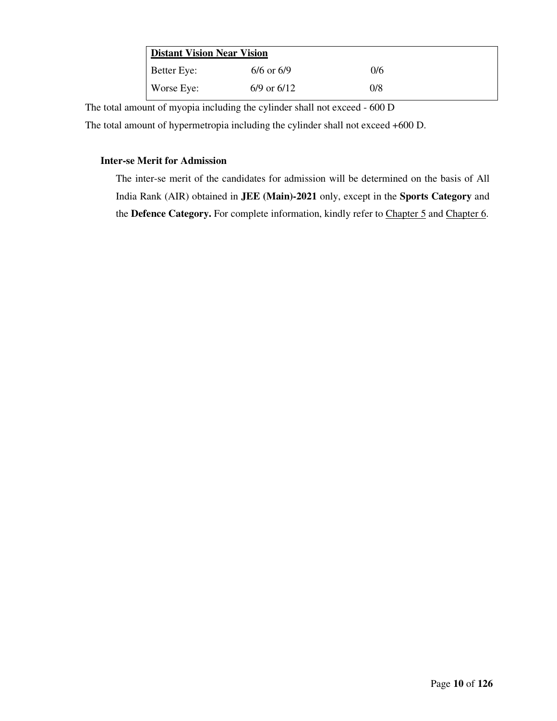| <b>Distant Vision Near Vision</b> |                 |     |  |  |
|-----------------------------------|-----------------|-----|--|--|
| <b>Better Eye:</b>                | $6/6$ or $6/9$  | 0/6 |  |  |
| Worse Eye:                        | $6/9$ or $6/12$ | 0/8 |  |  |

The total amount of myopia including the cylinder shall not exceed - 600 D

The total amount of hypermetropia including the cylinder shall not exceed +600 D.

#### **Inter-se Merit for Admission**

The inter-se merit of the candidates for admission will be determined on the basis of All India Rank (AIR) obtained in **JEE (Main)-2021** only, except in the **Sports Category** and the **Defence Category.** For complete information, kindly refer to Chapter 5 and Chapter 6.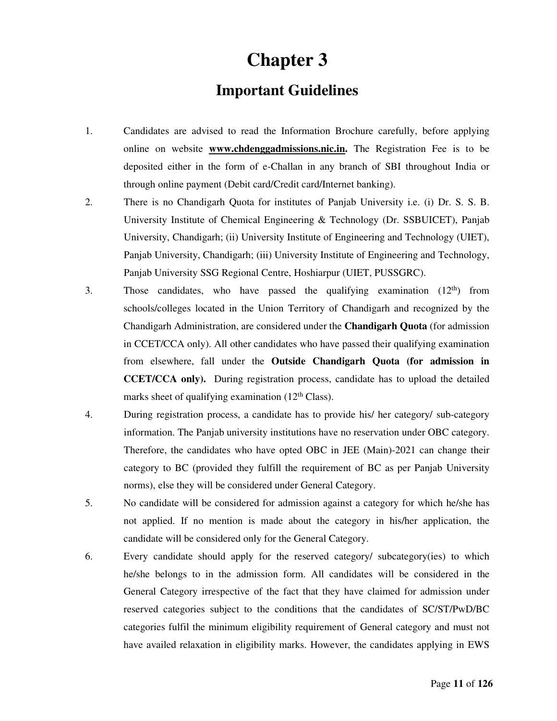## **Chapter 3**

## **Important Guidelines**

- 1. Candidates are advised to read the Information Brochure carefully, before applying online on website **www.chdenggadmissions.nic.in.** The Registration Fee is to be deposited either in the form of e-Challan in any branch of SBI throughout India or through online payment (Debit card/Credit card/Internet banking).
- 2. There is no Chandigarh Quota for institutes of Panjab University i.e. (i) Dr. S. S. B. University Institute of Chemical Engineering & Technology (Dr. SSBUICET), Panjab University, Chandigarh; (ii) University Institute of Engineering and Technology (UIET), Panjab University, Chandigarh; (iii) University Institute of Engineering and Technology, Panjab University SSG Regional Centre, Hoshiarpur (UIET, PUSSGRC).
- 3. Those candidates, who have passed the qualifying examination  $(12<sup>th</sup>)$  from schools/colleges located in the Union Territory of Chandigarh and recognized by the Chandigarh Administration, are considered under the **Chandigarh Quota** (for admission in CCET/CCA only). All other candidates who have passed their qualifying examination from elsewhere, fall under the **Outside Chandigarh Quota (for admission in CCET/CCA only).** During registration process, candidate has to upload the detailed marks sheet of qualifying examination  $(12<sup>th</sup> Class)$ .
- 4. During registration process, a candidate has to provide his/ her category/ sub-category information. The Panjab university institutions have no reservation under OBC category. Therefore, the candidates who have opted OBC in JEE (Main)-2021 can change their category to BC (provided they fulfill the requirement of BC as per Panjab University norms), else they will be considered under General Category.
- 5. No candidate will be considered for admission against a category for which he/she has not applied. If no mention is made about the category in his/her application, the candidate will be considered only for the General Category.
- 6. Every candidate should apply for the reserved category/ subcategory(ies) to which he/she belongs to in the admission form. All candidates will be considered in the General Category irrespective of the fact that they have claimed for admission under reserved categories subject to the conditions that the candidates of SC/ST/PwD/BC categories fulfil the minimum eligibility requirement of General category and must not have availed relaxation in eligibility marks. However, the candidates applying in EWS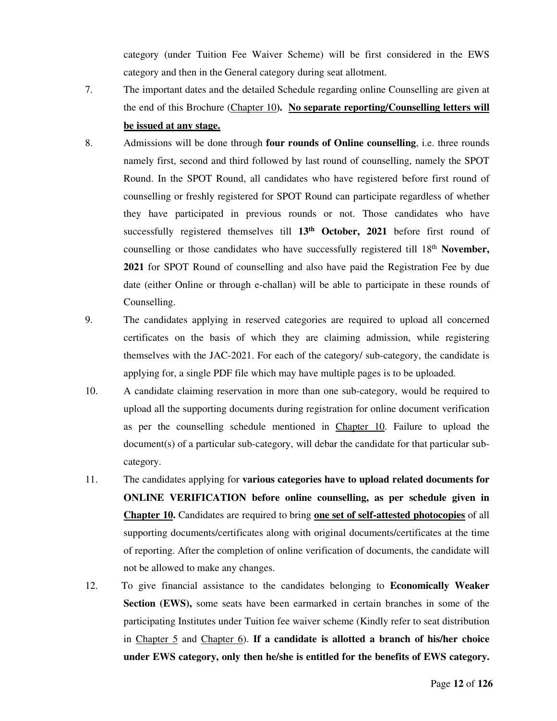category (under Tuition Fee Waiver Scheme) will be first considered in the EWS category and then in the General category during seat allotment.

- 7. The important dates and the detailed Schedule regarding online Counselling are given at the end of this Brochure (Chapter 10**). No separate reporting/Counselling letters will be issued at any stage.**
- 8. Admissions will be done through **four rounds of Online counselling**, i.e. three rounds namely first, second and third followed by last round of counselling, namely the SPOT Round. In the SPOT Round, all candidates who have registered before first round of counselling or freshly registered for SPOT Round can participate regardless of whether they have participated in previous rounds or not. Those candidates who have successfully registered themselves till **13th October, 2021** before first round of counselling or those candidates who have successfully registered till 18th **November, 2021** for SPOT Round of counselling and also have paid the Registration Fee by due date (either Online or through e-challan) will be able to participate in these rounds of Counselling.
- 9. The candidates applying in reserved categories are required to upload all concerned certificates on the basis of which they are claiming admission, while registering themselves with the JAC-2021. For each of the category/ sub-category, the candidate is applying for, a single PDF file which may have multiple pages is to be uploaded.
- 10. A candidate claiming reservation in more than one sub-category, would be required to upload all the supporting documents during registration for online document verification as per the counselling schedule mentioned in Chapter 10. Failure to upload the document(s) of a particular sub-category, will debar the candidate for that particular subcategory.
- 11. The candidates applying for **various categories have to upload related documents for ONLINE VERIFICATION before online counselling, as per schedule given in Chapter 10.** Candidates are required to bring **one set of self-attested photocopies** of all supporting documents/certificates along with original documents/certificates at the time of reporting. After the completion of online verification of documents, the candidate will not be allowed to make any changes.
- 12. To give financial assistance to the candidates belonging to **Economically Weaker Section (EWS),** some seats have been earmarked in certain branches in some of the participating Institutes under Tuition fee waiver scheme (Kindly refer to seat distribution in Chapter 5 and Chapter 6). **If a candidate is allotted a branch of his/her choice under EWS category, only then he/she is entitled for the benefits of EWS category.**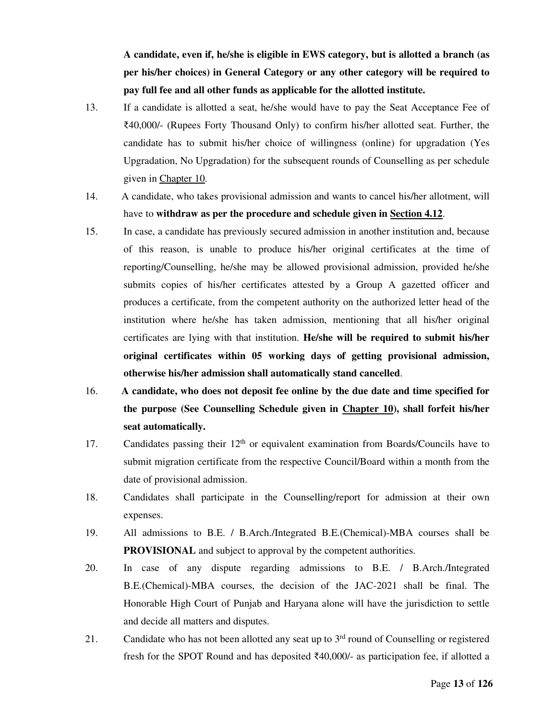**A candidate, even if, he/she is eligible in EWS category, but is allotted a branch (as per his/her choices) in General Category or any other category will be required to pay full fee and all other funds as applicable for the allotted institute.**

- 13. If a candidate is allotted a seat, he/she would have to pay the Seat Acceptance Fee of ₹40,000/- (Rupees Forty Thousand Only) to confirm his/her allotted seat. Further, the candidate has to submit his/her choice of willingness (online) for upgradation (Yes Upgradation, No Upgradation) for the subsequent rounds of Counselling as per schedule given in Chapter 10.
- 14. A candidate, who takes provisional admission and wants to cancel his/her allotment, will have to **withdraw as per the procedure and schedule given in Section 4.12**.
- 15. In case, a candidate has previously secured admission in another institution and, because of this reason, is unable to produce his/her original certificates at the time of reporting/Counselling, he/she may be allowed provisional admission, provided he/she submits copies of his/her certificates attested by a Group A gazetted officer and produces a certificate, from the competent authority on the authorized letter head of the institution where he/she has taken admission, mentioning that all his/her original certificates are lying with that institution. **He/she will be required to submit his/her original certificates within 05 working days of getting provisional admission, otherwise his/her admission shall automatically stand cancelled**.
- 16. **A candidate, who does not deposit fee online by the due date and time specified for the purpose (See Counselling Schedule given in Chapter 10), shall forfeit his/her seat automatically.**
- 17. Candidates passing their  $12<sup>th</sup>$  or equivalent examination from Boards/Councils have to submit migration certificate from the respective Council/Board within a month from the date of provisional admission.
- 18. Candidates shall participate in the Counselling/report for admission at their own expenses.
- 19. All admissions to B.E. / B.Arch./Integrated B.E.(Chemical)-MBA courses shall be **PROVISIONAL** and subject to approval by the competent authorities.
- 20. In case of any dispute regarding admissions to B.E. / B.Arch./Integrated B.E.(Chemical)-MBA courses, the decision of the JAC-2021 shall be final. The Honorable High Court of Punjab and Haryana alone will have the jurisdiction to settle and decide all matters and disputes.
- 21. Candidate who has not been allotted any seat up to  $3<sup>rd</sup>$  round of Counselling or registered fresh for the SPOT Round and has deposited ₹40,000/- as participation fee, if allotted a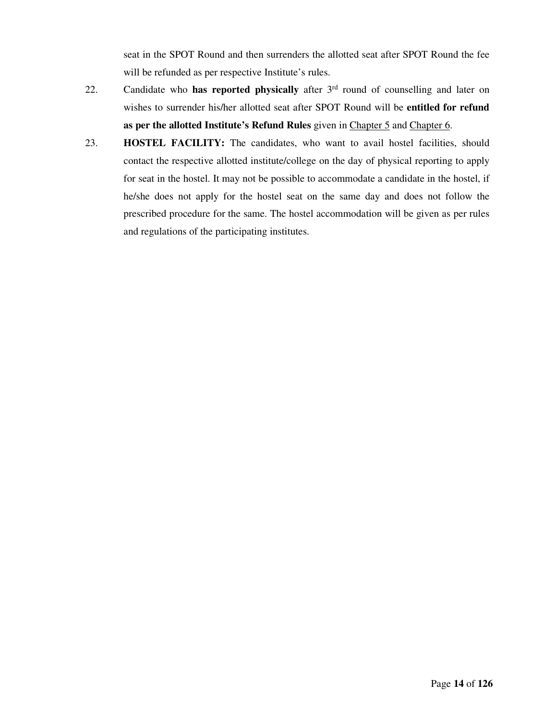seat in the SPOT Round and then surrenders the allotted seat after SPOT Round the fee will be refunded as per respective Institute's rules.

- 22. Candidate who **has reported physically** after 3rd round of counselling and later on wishes to surrender his/her allotted seat after SPOT Round will be **entitled for refund as per the allotted Institute's Refund Rules** given in Chapter 5 and Chapter 6.
- 23. **HOSTEL FACILITY:** The candidates, who want to avail hostel facilities, should contact the respective allotted institute/college on the day of physical reporting to apply for seat in the hostel. It may not be possible to accommodate a candidate in the hostel, if he/she does not apply for the hostel seat on the same day and does not follow the prescribed procedure for the same. The hostel accommodation will be given as per rules and regulations of the participating institutes.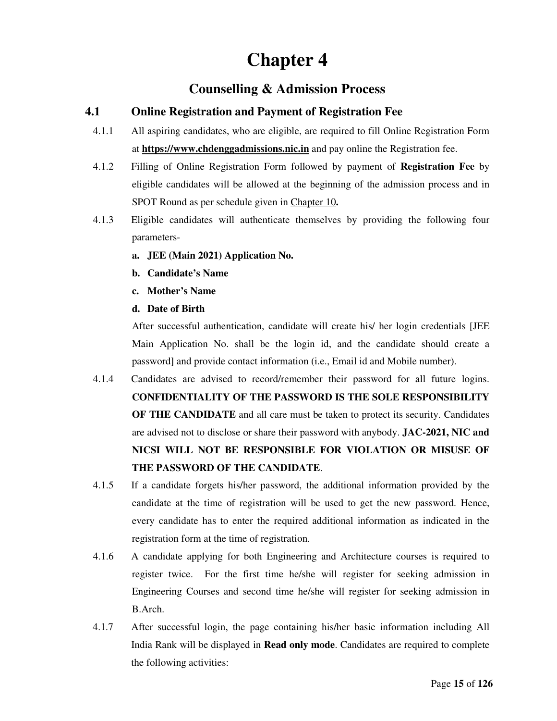## **Chapter 4**

### **Counselling & Admission Process**

#### **4.1 Online Registration and Payment of Registration Fee**

- 4.1.1 All aspiring candidates, who are eligible, are required to fill Online Registration Form at **https://www.chdenggadmissions.nic.in** and pay online the Registration fee.
- 4.1.2 Filling of Online Registration Form followed by payment of **Registration Fee** by eligible candidates will be allowed at the beginning of the admission process and in SPOT Round as per schedule given in Chapter 10**.**
- 4.1.3 Eligible candidates will authenticate themselves by providing the following four parameters
	- **a. JEE (Main 2021) Application No.**
	- **b. Candidate's Name**
	- **c. Mother's Name**
	- **d. Date of Birth**

After successful authentication, candidate will create his/ her login credentials [JEE Main Application No. shall be the login id, and the candidate should create a password] and provide contact information (i.e., Email id and Mobile number).

- 4.1.4 Candidates are advised to record/remember their password for all future logins. **CONFIDENTIALITY OF THE PASSWORD IS THE SOLE RESPONSIBILITY OF THE CANDIDATE** and all care must be taken to protect its security. Candidates are advised not to disclose or share their password with anybody. **JAC-2021, NIC and NICSI WILL NOT BE RESPONSIBLE FOR VIOLATION OR MISUSE OF THE PASSWORD OF THE CANDIDATE**.
- 4.1.5 If a candidate forgets his/her password, the additional information provided by the candidate at the time of registration will be used to get the new password. Hence, every candidate has to enter the required additional information as indicated in the registration form at the time of registration.
- 4.1.6 A candidate applying for both Engineering and Architecture courses is required to register twice. For the first time he/she will register for seeking admission in Engineering Courses and second time he/she will register for seeking admission in B.Arch.
- 4.1.7 After successful login, the page containing his/her basic information including All India Rank will be displayed in **Read only mode**. Candidates are required to complete the following activities: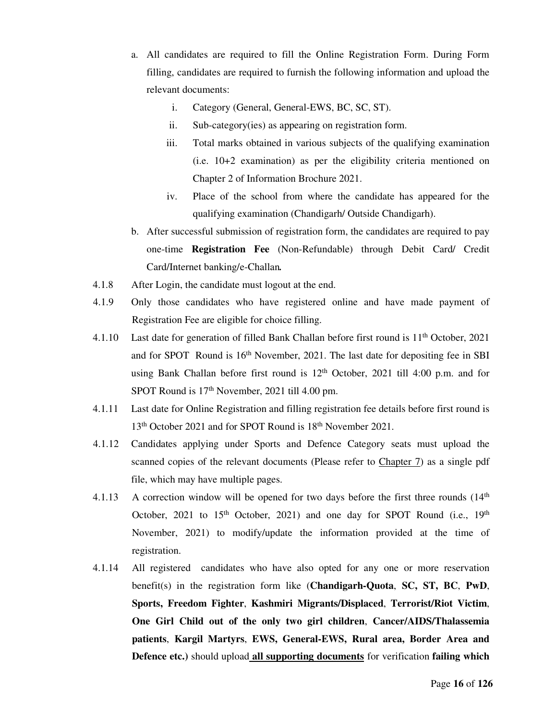- a. All candidates are required to fill the Online Registration Form. During Form filling, candidates are required to furnish the following information and upload the relevant documents:
	- i. Category (General, General-EWS, BC, SC, ST).
	- ii. Sub-category(ies) as appearing on registration form.
	- iii. Total marks obtained in various subjects of the qualifying examination (i.e. 10+2 examination) as per the eligibility criteria mentioned on Chapter 2 of Information Brochure 2021.
	- iv. Place of the school from where the candidate has appeared for the qualifying examination (Chandigarh/ Outside Chandigarh).
- b. After successful submission of registration form, the candidates are required to pay one-time **Registration Fee** (Non-Refundable) through Debit Card/ Credit Card/Internet banking/e-Challan*.*
- 4.1.8 After Login, the candidate must logout at the end.
- 4.1.9 Only those candidates who have registered online and have made payment of Registration Fee are eligible for choice filling.
- 4.1.10 Last date for generation of filled Bank Challan before first round is 11<sup>th</sup> October, 2021 and for SPOT Round is 16<sup>th</sup> November, 2021. The last date for depositing fee in SBI using Bank Challan before first round is 12<sup>th</sup> October, 2021 till 4:00 p.m. and for SPOT Round is 17<sup>th</sup> November, 2021 till 4.00 pm.
- 4.1.11 Last date for Online Registration and filling registration fee details before first round is 13<sup>th</sup> October 2021 and for SPOT Round is 18<sup>th</sup> November 2021.
- 4.1.12 Candidates applying under Sports and Defence Category seats must upload the scanned copies of the relevant documents (Please refer to Chapter 7) as a single pdf file, which may have multiple pages.
- 4.1.13 A correction window will be opened for two days before the first three rounds  $(14<sup>th</sup>$ October, 2021 to  $15<sup>th</sup>$  October, 2021) and one day for SPOT Round (i.e.,  $19<sup>th</sup>$ November, 2021) to modify/update the information provided at the time of registration.
- 4.1.14 All registered candidates who have also opted for any one or more reservation benefit(s) in the registration form like (**Chandigarh-Quota**, **SC, ST, BC**, **PwD**, **Sports, Freedom Fighter**, **Kashmiri Migrants/Displaced**, **Terrorist/Riot Victim**, **One Girl Child out of the only two girl children**, **Cancer/AIDS/Thalassemia patients**, **Kargil Martyrs**, **EWS, General-EWS, Rural area, Border Area and Defence etc.)** should upload **all supporting documents** for verification **failing which**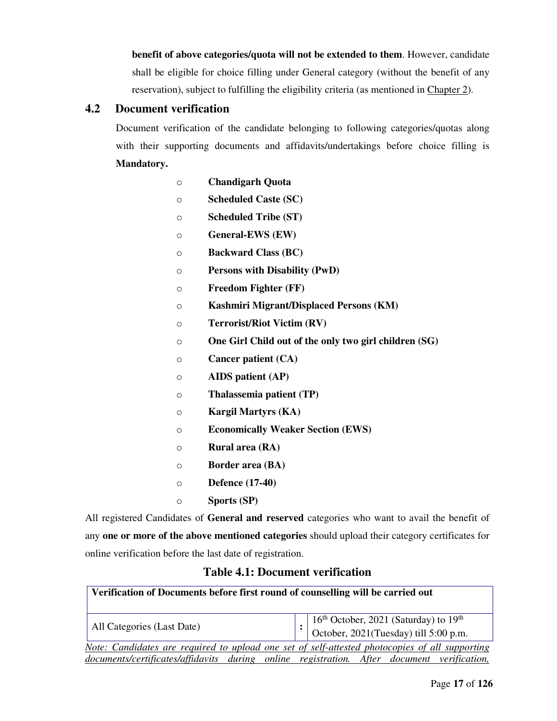**benefit of above categories/quota will not be extended to them**. However, candidate shall be eligible for choice filling under General category (without the benefit of any reservation), subject to fulfilling the eligibility criteria (as mentioned in Chapter 2).

#### **4.2 Document verification**

Document verification of the candidate belonging to following categories/quotas along with their supporting documents and affidavits/undertakings before choice filling is **Mandatory.** 

- o **Chandigarh Quota**
- o **Scheduled Caste (SC)**
- o **Scheduled Tribe (ST)**
- o **General-EWS (EW)**
- o **Backward Class (BC)**
- o **Persons with Disability (PwD)**
- o **Freedom Fighter (FF)**
- o **Kashmiri Migrant/Displaced Persons (KM)**
- o **Terrorist/Riot Victim (RV)**
- o **One Girl Child out of the only two girl children (SG)**
- o **Cancer patient (CA)**
- o **AIDS patient (AP)**
- o **Thalassemia patient (TP)**
- o **Kargil Martyrs (KA)**
- o **Economically Weaker Section (EWS)**
- o **Rural area (RA)**
- o **Border area (BA)**
- o **Defence (17-40)**
- o **Sports (SP)**

All registered Candidates of **General and reserved** categories who want to avail the benefit of any **one or more of the above mentioned categories** should upload their category certificates for online verification before the last date of registration.

#### **Table 4.1: Document verification**

| Verification of Documents before first round of counselling will be carried out                |                                                                                                                           |  |  |  |  |  |
|------------------------------------------------------------------------------------------------|---------------------------------------------------------------------------------------------------------------------------|--|--|--|--|--|
| All Categories (Last Date)                                                                     | $: \left  \begin{array}{l} 16^{th}$ October, 2021 (Saturday) to 19 <sup>th</sup><br>October, 2021(Tuesday) till 5:00 p.m. |  |  |  |  |  |
| Note: Candidates are required to upload one set of self-attested photocopies of all supporting |                                                                                                                           |  |  |  |  |  |
| documents/certificates/affidavits during online registration. After document verification,     |                                                                                                                           |  |  |  |  |  |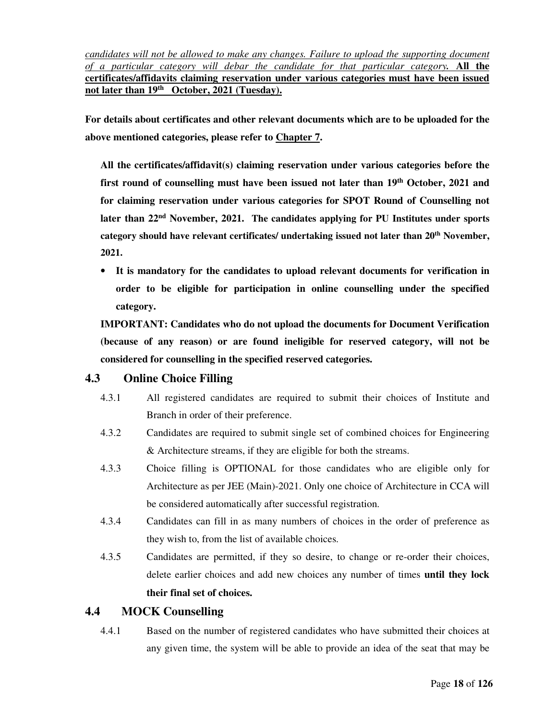*candidates will not be allowed to make any changes. Failure to upload the supporting document of a particular category will debar the candidate for that particular category.* **All the certificates/affidavits claiming reservation under various categories must have been issued not later than 19th October, 2021 (Tuesday).** 

**For details about certificates and other relevant documents which are to be uploaded for the above mentioned categories, please refer to Chapter 7.**

**All the certificates/affidavit(s) claiming reservation under various categories before the first round of counselling must have been issued not later than 19th October, 2021 and for claiming reservation under various categories for SPOT Round of Counselling not later than 22nd November, 2021. The candidates applying for PU Institutes under sports category should have relevant certificates/ undertaking issued not later than 20th November, 2021.**

• **It is mandatory for the candidates to upload relevant documents for verification in order to be eligible for participation in online counselling under the specified category.** 

**IMPORTANT: Candidates who do not upload the documents for Document Verification (because of any reason) or are found ineligible for reserved category, will not be considered for counselling in the specified reserved categories.** 

#### **4.3 Online Choice Filling**

- 4.3.1 All registered candidates are required to submit their choices of Institute and Branch in order of their preference.
- 4.3.2 Candidates are required to submit single set of combined choices for Engineering & Architecture streams, if they are eligible for both the streams.
- 4.3.3 Choice filling is OPTIONAL for those candidates who are eligible only for Architecture as per JEE (Main)-2021. Only one choice of Architecture in CCA will be considered automatically after successful registration.
- 4.3.4 Candidates can fill in as many numbers of choices in the order of preference as they wish to, from the list of available choices.
- 4.3.5 Candidates are permitted, if they so desire, to change or re-order their choices, delete earlier choices and add new choices any number of times **until they lock their final set of choices.**

#### **4.4 MOCK Counselling**

4.4.1 Based on the number of registered candidates who have submitted their choices at any given time, the system will be able to provide an idea of the seat that may be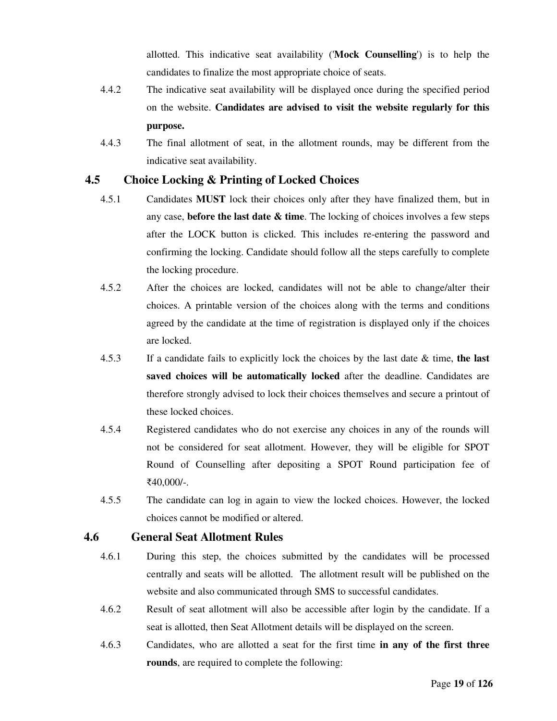allotted. This indicative seat availability ('**Mock Counselling**') is to help the candidates to finalize the most appropriate choice of seats.

- 4.4.2 The indicative seat availability will be displayed once during the specified period on the website. **Candidates are advised to visit the website regularly for this purpose.**
- 4.4.3 The final allotment of seat, in the allotment rounds, may be different from the indicative seat availability.

#### **4.5 Choice Locking & Printing of Locked Choices**

- 4.5.1 Candidates **MUST** lock their choices only after they have finalized them, but in any case, **before the last date & time**. The locking of choices involves a few steps after the LOCK button is clicked. This includes re-entering the password and confirming the locking. Candidate should follow all the steps carefully to complete the locking procedure.
- 4.5.2 After the choices are locked, candidates will not be able to change/alter their choices. A printable version of the choices along with the terms and conditions agreed by the candidate at the time of registration is displayed only if the choices are locked.
- 4.5.3 If a candidate fails to explicitly lock the choices by the last date & time, **the last saved choices will be automatically locked** after the deadline. Candidates are therefore strongly advised to lock their choices themselves and secure a printout of these locked choices.
- 4.5.4 Registered candidates who do not exercise any choices in any of the rounds will not be considered for seat allotment. However, they will be eligible for SPOT Round of Counselling after depositing a SPOT Round participation fee of ₹40,000/-.
- 4.5.5 The candidate can log in again to view the locked choices. However, the locked choices cannot be modified or altered.

#### **4.6 General Seat Allotment Rules**

- 4.6.1 During this step, the choices submitted by the candidates will be processed centrally and seats will be allotted. The allotment result will be published on the website and also communicated through SMS to successful candidates.
- 4.6.2 Result of seat allotment will also be accessible after login by the candidate. If a seat is allotted, then Seat Allotment details will be displayed on the screen.
- 4.6.3 Candidates, who are allotted a seat for the first time **in any of the first three rounds**, are required to complete the following: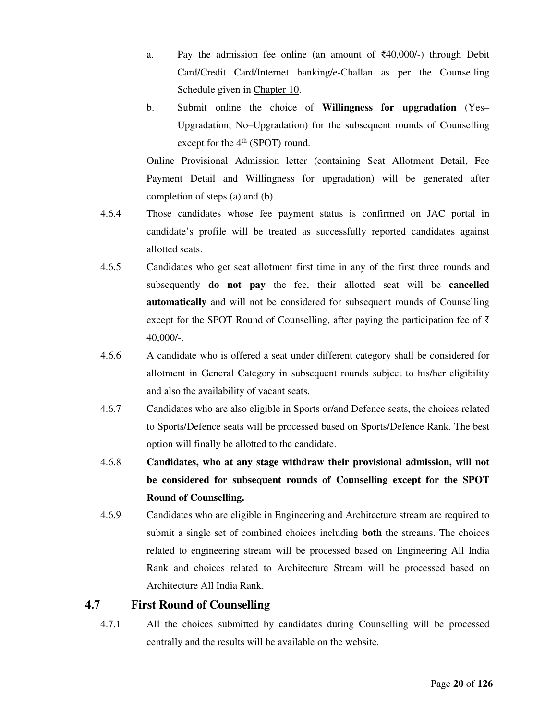- a. Pay the admission fee online (an amount of  $\overline{240,000/-}$ ) through Debit Card/Credit Card/Internet banking/e-Challan as per the Counselling Schedule given in Chapter 10.
- b. Submit online the choice of **Willingness for upgradation** (Yes– Upgradation, No–Upgradation) for the subsequent rounds of Counselling except for the  $4<sup>th</sup>$  (SPOT) round.

Online Provisional Admission letter (containing Seat Allotment Detail, Fee Payment Detail and Willingness for upgradation) will be generated after completion of steps (a) and (b).

- 4.6.4 Those candidates whose fee payment status is confirmed on JAC portal in candidate's profile will be treated as successfully reported candidates against allotted seats.
- 4.6.5 Candidates who get seat allotment first time in any of the first three rounds and subsequently **do not pay** the fee, their allotted seat will be **cancelled automatically** and will not be considered for subsequent rounds of Counselling except for the SPOT Round of Counselling, after paying the participation fee of ₹ 40,000/-.
- 4.6.6 A candidate who is offered a seat under different category shall be considered for allotment in General Category in subsequent rounds subject to his/her eligibility and also the availability of vacant seats.
- 4.6.7 Candidates who are also eligible in Sports or/and Defence seats, the choices related to Sports/Defence seats will be processed based on Sports/Defence Rank. The best option will finally be allotted to the candidate.
- 4.6.8 **Candidates, who at any stage withdraw their provisional admission, will not be considered for subsequent rounds of Counselling except for the SPOT Round of Counselling.**
- 4.6.9 Candidates who are eligible in Engineering and Architecture stream are required to submit a single set of combined choices including **both** the streams. The choices related to engineering stream will be processed based on Engineering All India Rank and choices related to Architecture Stream will be processed based on Architecture All India Rank.

#### **4.7 First Round of Counselling**

4.7.1 All the choices submitted by candidates during Counselling will be processed centrally and the results will be available on the website.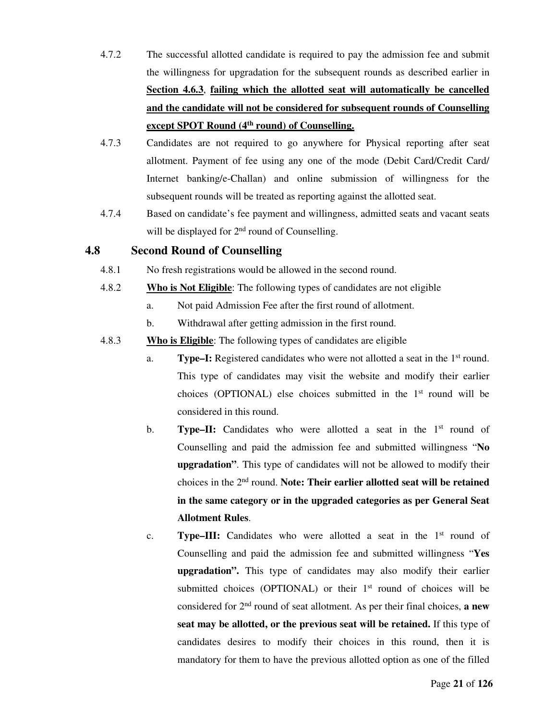- 4.7.2 The successful allotted candidate is required to pay the admission fee and submit the willingness for upgradation for the subsequent rounds as described earlier in **Section 4.6.3**, **failing which the allotted seat will automatically be cancelled and the candidate will not be considered for subsequent rounds of Counselling except SPOT Round (4th round) of Counselling.**
- 4.7.3 Candidates are not required to go anywhere for Physical reporting after seat allotment. Payment of fee using any one of the mode (Debit Card/Credit Card/ Internet banking/e-Challan) and online submission of willingness for the subsequent rounds will be treated as reporting against the allotted seat.
- 4.7.4 Based on candidate's fee payment and willingness, admitted seats and vacant seats will be displayed for  $2<sup>nd</sup>$  round of Counselling.

#### **4.8 Second Round of Counselling**

- 4.8.1 No fresh registrations would be allowed in the second round.
- 4.8.2 **Who is Not Eligible**: The following types of candidates are not eligible
	- a. Not paid Admission Fee after the first round of allotment.
	- b. Withdrawal after getting admission in the first round.
- 4.8.3 **Who is Eligible**: The following types of candidates are eligible
	- a. **Type–I:** Registered candidates who were not allotted a seat in the 1st round. This type of candidates may visit the website and modify their earlier choices (OPTIONAL) else choices submitted in the 1st round will be considered in this round.
	- b. **Type–II:** Candidates who were allotted a seat in the 1<sup>st</sup> round of Counselling and paid the admission fee and submitted willingness "**No upgradation"**. This type of candidates will not be allowed to modify their choices in the 2nd round. **Note: Their earlier allotted seat will be retained in the same category or in the upgraded categories as per General Seat Allotment Rules**.
	- c. **Type–III:** Candidates who were allotted a seat in the 1<sup>st</sup> round of Counselling and paid the admission fee and submitted willingness "**Yes upgradation".** This type of candidates may also modify their earlier submitted choices (OPTIONAL) or their  $1<sup>st</sup>$  round of choices will be considered for 2nd round of seat allotment. As per their final choices, **a new seat may be allotted, or the previous seat will be retained.** If this type of candidates desires to modify their choices in this round, then it is mandatory for them to have the previous allotted option as one of the filled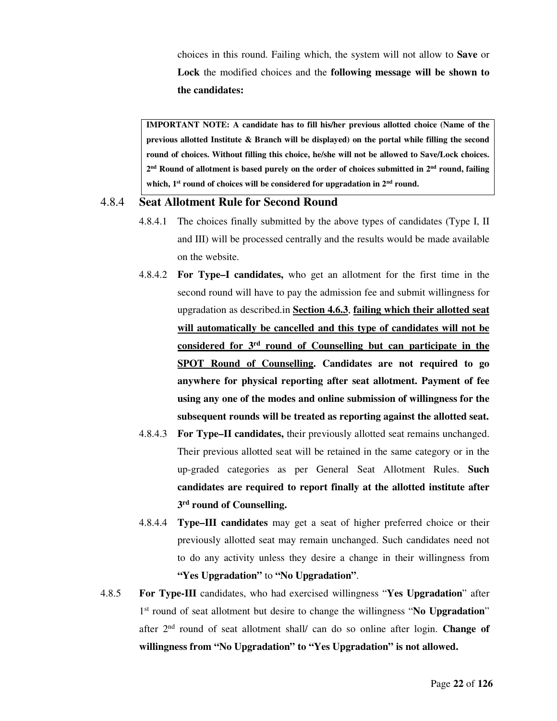choices in this round. Failing which, the system will not allow to **Save** or **Lock** the modified choices and the **following message will be shown to the candidates:** 

**IMPORTANT NOTE: A candidate has to fill his/her previous allotted choice (Name of the previous allotted Institute & Branch will be displayed) on the portal while filling the second round of choices. Without filling this choice, he/she will not be allowed to Save/Lock choices. 2 nd Round of allotment is based purely on the order of choices submitted in 2nd round, failing which, 1st round of choices will be considered for upgradation in 2nd round.** 

#### 4.8.4 **Seat Allotment Rule for Second Round**

- 4.8.4.1 The choices finally submitted by the above types of candidates (Type I, II and III) will be processed centrally and the results would be made available on the website.
- 4.8.4.2 **For Type–I candidates,** who get an allotment for the first time in the second round will have to pay the admission fee and submit willingness for upgradation as described.in **Section 4.6.3**, **failing which their allotted seat will automatically be cancelled and this type of candidates will not be considered for 3rd round of Counselling but can participate in the SPOT Round of Counselling. Candidates are not required to go anywhere for physical reporting after seat allotment. Payment of fee using any one of the modes and online submission of willingness for the subsequent rounds will be treated as reporting against the allotted seat.**
- 4.8.4.3 **For Type–II candidates,** their previously allotted seat remains unchanged. Their previous allotted seat will be retained in the same category or in the up-graded categories as per General Seat Allotment Rules. **Such candidates are required to report finally at the allotted institute after 3 rd round of Counselling.**
- 4.8.4.4 **Type–III candidates** may get a seat of higher preferred choice or their previously allotted seat may remain unchanged. Such candidates need not to do any activity unless they desire a change in their willingness from **"Yes Upgradation"** to **"No Upgradation"**.
- 4.8.5 **For Type-III** candidates, who had exercised willingness "**Yes Upgradation**" after 1 st round of seat allotment but desire to change the willingness "**No Upgradation**" after 2nd round of seat allotment shall/ can do so online after login. **Change of willingness from "No Upgradation" to "Yes Upgradation" is not allowed.**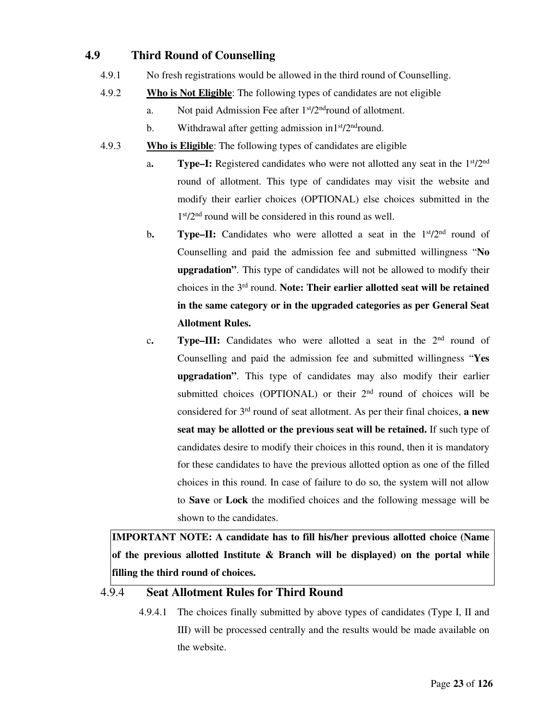#### **4.9 Third Round of Counselling**

- 4.9.1 No fresh registrations would be allowed in the third round of Counselling.
- 4.9.2 **Who is Not Eligible**: The following types of candidates are not eligible
	- a. Not paid Admission Fee after 1<sup>st</sup>/2<sup>nd</sup>round of allotment.
	- b. Withdrawal after getting admission in1st/2<sup>nd</sup>round.
- 4.9.3 **Who is Eligible**: The following types of candidates are eligible
	- a**. Type–I:** Registered candidates who were not allotted any seat in the 1st/2nd round of allotment. This type of candidates may visit the website and modify their earlier choices (OPTIONAL) else choices submitted in the 1 st/2nd round will be considered in this round as well.
	- b. **Type–II:** Candidates who were allotted a seat in the 1<sup>st</sup>/2<sup>nd</sup> round of Counselling and paid the admission fee and submitted willingness "**No upgradation"**. This type of candidates will not be allowed to modify their choices in the 3rd round. **Note: Their earlier allotted seat will be retained in the same category or in the upgraded categories as per General Seat Allotment Rules.**
	- c. **Type–III:** Candidates who were allotted a seat in the 2<sup>nd</sup> round of Counselling and paid the admission fee and submitted willingness "**Yes upgradation"**. This type of candidates may also modify their earlier submitted choices (OPTIONAL) or their  $2<sup>nd</sup>$  round of choices will be considered for 3rd round of seat allotment. As per their final choices, **a new seat may be allotted or the previous seat will be retained.** If such type of candidates desire to modify their choices in this round, then it is mandatory for these candidates to have the previous allotted option as one of the filled choices in this round. In case of failure to do so, the system will not allow to **Save** or **Lock** the modified choices and the following message will be shown to the candidates.

**IMPORTANT NOTE: A candidate has to fill his/her previous allotted choice (Name of the previous allotted Institute & Branch will be displayed) on the portal while filling the third round of choices.** 

#### 4.9.4 **Seat Allotment Rules for Third Round**

4.9.4.1 The choices finally submitted by above types of candidates (Type I, II and III) will be processed centrally and the results would be made available on the website.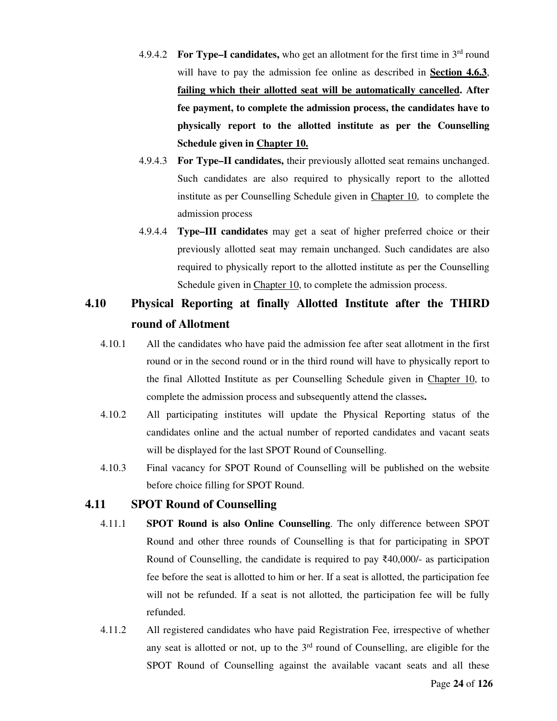- 4.9.4.2 **For Type–I candidates,** who get an allotment for the first time in 3rd round will have to pay the admission fee online as described in **Section 4.6.3**, **failing which their allotted seat will be automatically cancelled. After fee payment, to complete the admission process, the candidates have to physically report to the allotted institute as per the Counselling Schedule given in Chapter 10.**
- 4.9.4.3 **For Type–II candidates,** their previously allotted seat remains unchanged. Such candidates are also required to physically report to the allotted institute as per Counselling Schedule given in Chapter 10, to complete the admission process
- 4.9.4.4 **Type–III candidates** may get a seat of higher preferred choice or their previously allotted seat may remain unchanged. Such candidates are also required to physically report to the allotted institute as per the Counselling Schedule given in Chapter 10, to complete the admission process.

## **4.10 Physical Reporting at finally Allotted Institute after the THIRD round of Allotment**

- 4.10.1 All the candidates who have paid the admission fee after seat allotment in the first round or in the second round or in the third round will have to physically report to the final Allotted Institute as per Counselling Schedule given in Chapter 10, to complete the admission process and subsequently attend the classes**.**
- 4.10.2 All participating institutes will update the Physical Reporting status of the candidates online and the actual number of reported candidates and vacant seats will be displayed for the last SPOT Round of Counselling.
- 4.10.3 Final vacancy for SPOT Round of Counselling will be published on the website before choice filling for SPOT Round.

#### **4.11 SPOT Round of Counselling**

- 4.11.1 **SPOT Round is also Online Counselling**. The only difference between SPOT Round and other three rounds of Counselling is that for participating in SPOT Round of Counselling, the candidate is required to pay  $\bar{\xi}40,000/4$  as participation fee before the seat is allotted to him or her. If a seat is allotted, the participation fee will not be refunded. If a seat is not allotted, the participation fee will be fully refunded.
- 4.11.2 All registered candidates who have paid Registration Fee, irrespective of whether any seat is allotted or not, up to the  $3<sup>rd</sup>$  round of Counselling, are eligible for the SPOT Round of Counselling against the available vacant seats and all these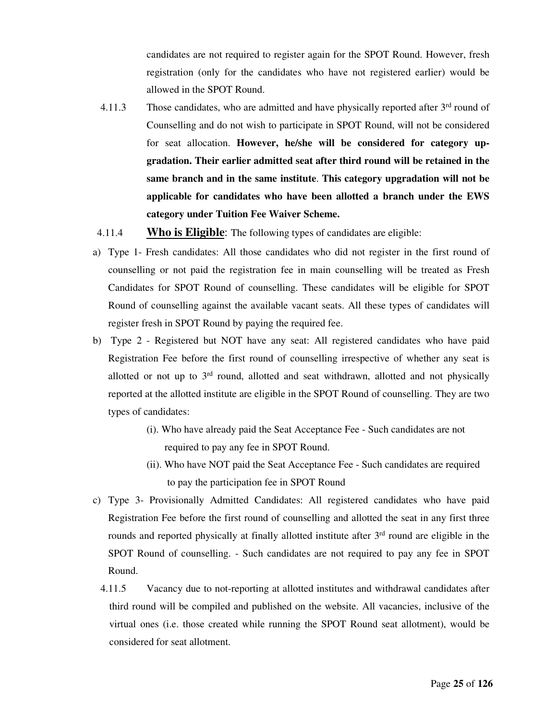candidates are not required to register again for the SPOT Round. However, fresh registration (only for the candidates who have not registered earlier) would be allowed in the SPOT Round.

- 4.11.3 Those candidates, who are admitted and have physically reported after  $3<sup>rd</sup>$  round of Counselling and do not wish to participate in SPOT Round, will not be considered for seat allocation. **However, he/she will be considered for category upgradation. Their earlier admitted seat after third round will be retained in the same branch and in the same institute**. **This category upgradation will not be applicable for candidates who have been allotted a branch under the EWS category under Tuition Fee Waiver Scheme.**
- 4.11.4 **Who is Eligible**: The following types of candidates are eligible:
- a) Type 1- Fresh candidates: All those candidates who did not register in the first round of counselling or not paid the registration fee in main counselling will be treated as Fresh Candidates for SPOT Round of counselling. These candidates will be eligible for SPOT Round of counselling against the available vacant seats. All these types of candidates will register fresh in SPOT Round by paying the required fee.
- b) Type 2 Registered but NOT have any seat: All registered candidates who have paid Registration Fee before the first round of counselling irrespective of whether any seat is allotted or not up to  $3<sup>rd</sup>$  round, allotted and seat withdrawn, allotted and not physically reported at the allotted institute are eligible in the SPOT Round of counselling. They are two types of candidates:
	- (i). Who have already paid the Seat Acceptance Fee Such candidates are not required to pay any fee in SPOT Round.
	- (ii). Who have NOT paid the Seat Acceptance Fee Such candidates are required to pay the participation fee in SPOT Round
- c) Type 3- Provisionally Admitted Candidates: All registered candidates who have paid Registration Fee before the first round of counselling and allotted the seat in any first three rounds and reported physically at finally allotted institute after 3<sup>rd</sup> round are eligible in the SPOT Round of counselling. - Such candidates are not required to pay any fee in SPOT Round.
	- 4.11.5 Vacancy due to not-reporting at allotted institutes and withdrawal candidates after third round will be compiled and published on the website. All vacancies, inclusive of the virtual ones (i.e. those created while running the SPOT Round seat allotment), would be considered for seat allotment.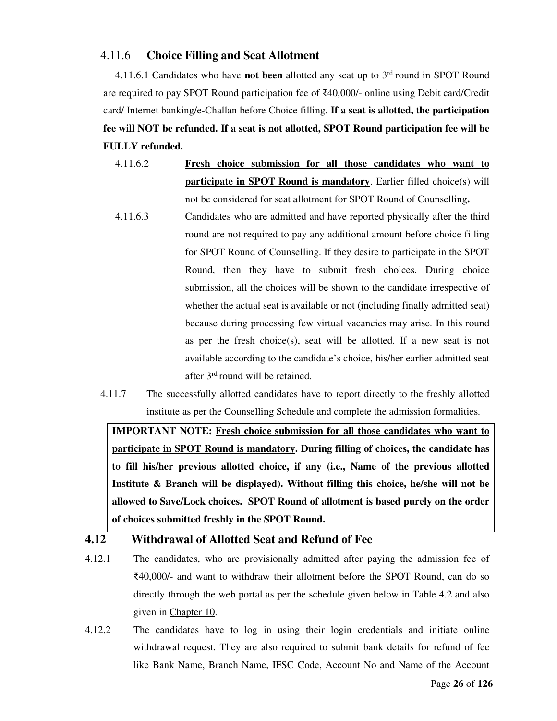#### 4.11.6 **Choice Filling and Seat Allotment**

4.11.6.1 Candidates who have **not been** allotted any seat up to 3rd round in SPOT Round are required to pay SPOT Round participation fee of ₹40,000/- online using Debit card/Credit card/ Internet banking/e-Challan before Choice filling. **If a seat is allotted, the participation fee will NOT be refunded. If a seat is not allotted, SPOT Round participation fee will be FULLY refunded.** 

- 4.11.6.2 **Fresh choice submission for all those candidates who want to participate in SPOT Round is mandatory.** Earlier filled choice(s) will not be considered for seat allotment for SPOT Round of Counselling**.**
- 4.11.6.3 Candidates who are admitted and have reported physically after the third round are not required to pay any additional amount before choice filling for SPOT Round of Counselling. If they desire to participate in the SPOT Round, then they have to submit fresh choices. During choice submission, all the choices will be shown to the candidate irrespective of whether the actual seat is available or not (including finally admitted seat) because during processing few virtual vacancies may arise. In this round as per the fresh choice(s), seat will be allotted. If a new seat is not available according to the candidate's choice, his/her earlier admitted seat after 3rd round will be retained.
- 4.11.7 The successfully allotted candidates have to report directly to the freshly allotted institute as per the Counselling Schedule and complete the admission formalities.

**IMPORTANT NOTE: Fresh choice submission for all those candidates who want to participate in SPOT Round is mandatory. During filling of choices, the candidate has to fill his/her previous allotted choice, if any (i.e., Name of the previous allotted Institute & Branch will be displayed). Without filling this choice, he/she will not be allowed to Save/Lock choices. SPOT Round of allotment is based purely on the order of choices submitted freshly in the SPOT Round.** 

#### **4.12 Withdrawal of Allotted Seat and Refund of Fee**

- 4.12.1 The candidates, who are provisionally admitted after paying the admission fee of ₹40,000/- and want to withdraw their allotment before the SPOT Round, can do so directly through the web portal as per the schedule given below in Table 4.2 and also given in Chapter 10.
- 4.12.2 The candidates have to log in using their login credentials and initiate online withdrawal request. They are also required to submit bank details for refund of fee like Bank Name, Branch Name, IFSC Code, Account No and Name of the Account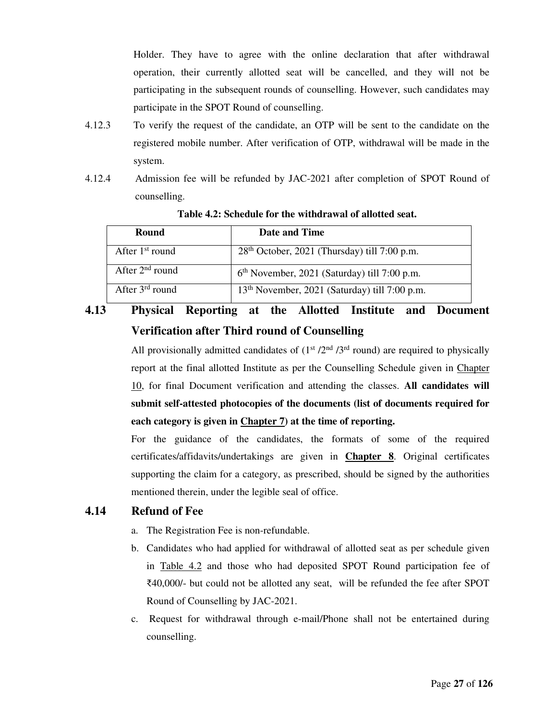Holder. They have to agree with the online declaration that after withdrawal operation, their currently allotted seat will be cancelled, and they will not be participating in the subsequent rounds of counselling. However, such candidates may participate in the SPOT Round of counselling.

- 4.12.3 To verify the request of the candidate, an OTP will be sent to the candidate on the registered mobile number. After verification of OTP, withdrawal will be made in the system.
- 4.12.4 Admission fee will be refunded by JAC-2021 after completion of SPOT Round of counselling.

| Round             | Date and Time                                             |
|-------------------|-----------------------------------------------------------|
| After $1st$ round | 28 <sup>th</sup> October, 2021 (Thursday) till 7:00 p.m.  |
| After $2nd$ round | $6th$ November, 2021 (Saturday) till 7:00 p.m.            |
| After $3rd$ round | 13 <sup>th</sup> November, 2021 (Saturday) till 7:00 p.m. |

 **Table 4.2: Schedule for the withdrawal of allotted seat.** 

**4.13 Physical Reporting at the Allotted Institute and Document Verification after Third round of Counselling** 

> All provisionally admitted candidates of  $(1<sup>st</sup> / 2<sup>nd</sup> / 3<sup>rd</sup>$  round) are required to physically report at the final allotted Institute as per the Counselling Schedule given in Chapter 10, for final Document verification and attending the classes. **All candidates will submit self-attested photocopies of the documents (list of documents required for each category is given in Chapter 7) at the time of reporting.**

> For the guidance of the candidates, the formats of some of the required certificates/affidavits/undertakings are given in **Chapter 8**. Original certificates supporting the claim for a category, as prescribed, should be signed by the authorities mentioned therein, under the legible seal of office.

#### **4.14 Refund of Fee**

- a. The Registration Fee is non-refundable.
- b. Candidates who had applied for withdrawal of allotted seat as per schedule given in Table 4.2 and those who had deposited SPOT Round participation fee of ₹40,000/- but could not be allotted any seat, will be refunded the fee after SPOT Round of Counselling by JAC-2021.
- c. Request for withdrawal through e-mail/Phone shall not be entertained during counselling.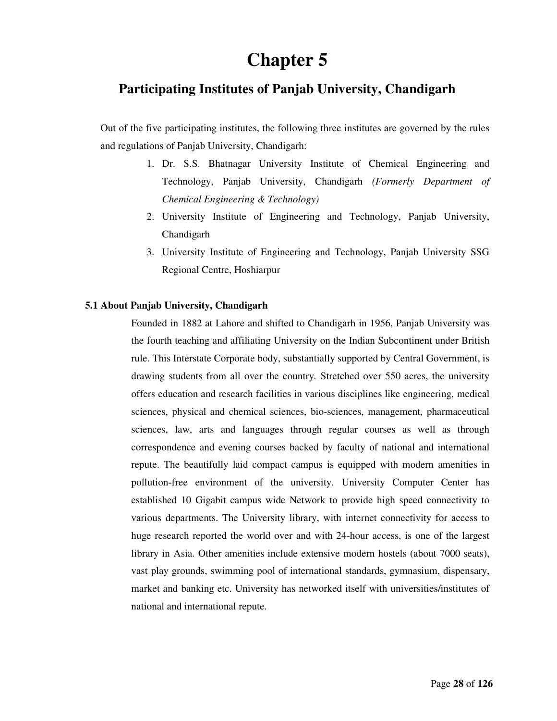## **Chapter 5**

### **Participating Institutes of Panjab University, Chandigarh**

Out of the five participating institutes, the following three institutes are governed by the rules and regulations of Panjab University, Chandigarh:

- 1. Dr. S.S. Bhatnagar University Institute of Chemical Engineering and Technology, Panjab University, Chandigarh *(Formerly Department of Chemical Engineering & Technology)*
- 2. University Institute of Engineering and Technology, Panjab University, Chandigarh
- 3. University Institute of Engineering and Technology, Panjab University SSG Regional Centre, Hoshiarpur

#### **5.1 About Panjab University, Chandigarh**

Founded in 1882 at Lahore and shifted to Chandigarh in 1956, Panjab University was the fourth teaching and affiliating University on the Indian Subcontinent under British rule. This Interstate Corporate body, substantially supported by Central Government, is drawing students from all over the country*.* Stretched over 550 acres, the university offers education and research facilities in various disciplines like engineering, medical sciences, physical and chemical sciences, bio-sciences, management, pharmaceutical sciences, law, arts and languages through regular courses as well as through correspondence and evening courses backed by faculty of national and international repute. The beautifully laid compact campus is equipped with modern amenities in pollution-free environment of the university. University Computer Center has established 10 Gigabit campus wide Network to provide high speed connectivity to various departments. The University library, with internet connectivity for access to huge research reported the world over and with 24-hour access, is one of the largest library in Asia. Other amenities include extensive modern hostels (about 7000 seats), vast play grounds, swimming pool of international standards, gymnasium, dispensary, market and banking etc. University has networked itself with universities/institutes of national and international repute.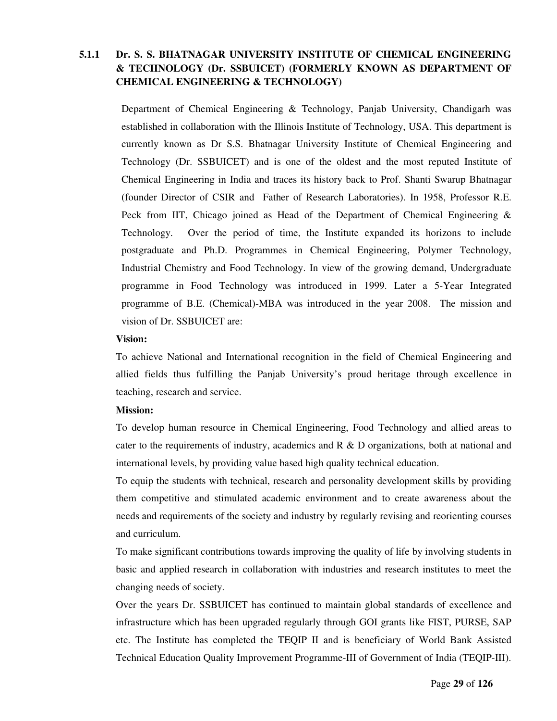#### **5.1.1 Dr. S. S. BHATNAGAR UNIVERSITY INSTITUTE OF CHEMICAL ENGINEERING & TECHNOLOGY (Dr. SSBUICET) (FORMERLY KNOWN AS DEPARTMENT OF CHEMICAL ENGINEERING & TECHNOLOGY)**

Department of Chemical Engineering & Technology, Panjab University, Chandigarh was established in collaboration with the Illinois Institute of Technology, USA. This department is currently known as Dr S.S. Bhatnagar University Institute of Chemical Engineering and Technology (Dr. SSBUICET) and is one of the oldest and the most reputed Institute of Chemical Engineering in India and traces its history back to Prof. Shanti Swarup Bhatnagar (founder Director of CSIR and Father of Research Laboratories). In 1958, Professor R.E. Peck from IIT, Chicago joined as Head of the Department of Chemical Engineering & Technology. Over the period of time, the Institute expanded its horizons to include postgraduate and Ph.D. Programmes in Chemical Engineering, Polymer Technology, Industrial Chemistry and Food Technology. In view of the growing demand, Undergraduate programme in Food Technology was introduced in 1999. Later a 5-Year Integrated programme of B.E. (Chemical)-MBA was introduced in the year 2008. The mission and vision of Dr. SSBUICET are:

#### **Vision:**

To achieve National and International recognition in the field of Chemical Engineering and allied fields thus fulfilling the Panjab University's proud heritage through excellence in teaching, research and service.

#### **Mission:**

To develop human resource in Chemical Engineering, Food Technology and allied areas to cater to the requirements of industry, academics and  $R \& D$  organizations, both at national and international levels, by providing value based high quality technical education.

To equip the students with technical, research and personality development skills by providing them competitive and stimulated academic environment and to create awareness about the needs and requirements of the society and industry by regularly revising and reorienting courses and curriculum.

To make significant contributions towards improving the quality of life by involving students in basic and applied research in collaboration with industries and research institutes to meet the changing needs of society.

Over the years Dr. SSBUICET has continued to maintain global standards of excellence and infrastructure which has been upgraded regularly through GOI grants like FIST, PURSE, SAP etc. The Institute has completed the TEQIP II and is beneficiary of World Bank Assisted Technical Education Quality Improvement Programme-III of Government of India (TEQIP-III).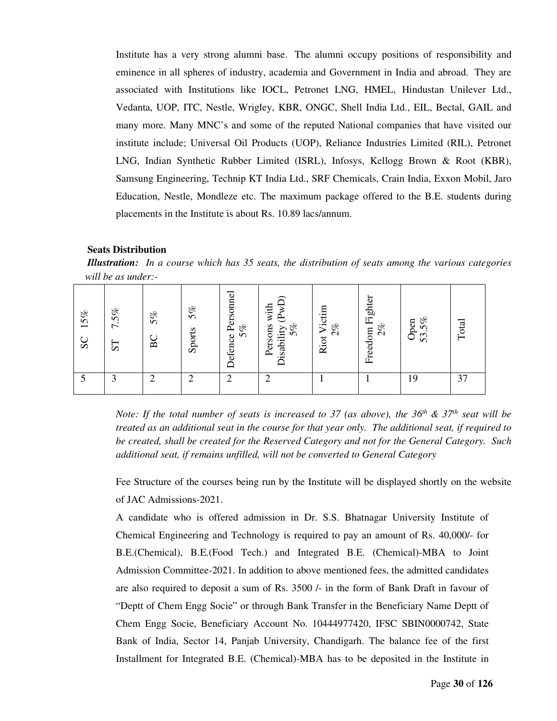Institute has a very strong alumni base. The alumni occupy positions of responsibility and eminence in all spheres of industry, academia and Government in India and abroad. They are associated with Institutions like IOCL, Petronet LNG, HMEL, Hindustan Unilever Ltd., Vedanta, UOP, ITC, Nestle, Wrigley, KBR, ONGC, Shell India Ltd., EIL, Bectal, GAIL and many more. Many MNC's and some of the reputed National companies that have visited our institute include; Universal Oil Products (UOP), Reliance Industries Limited (RIL), Petronet LNG, Indian Synthetic Rubber Limited (ISRL), Infosys, Kellogg Brown & Root (KBR), Samsung Engineering, Technip KT India Ltd., SRF Chemicals, Crain India, Exxon Mobil, Jaro Education, Nestle, Mondleze etc. The maximum package offered to the B.E. students during placements in the Institute is about Rs. 10.89 lacs/annum.

#### **Seats Distribution**

*Illustration: In a course which has 35 seats, the distribution of seats among the various categories will be as under:-* 

| 15%<br>SC | 7.5%<br>51 | $5\%$<br>BC | 5%<br>Sports | Defence Personnel<br>5% | Persons with<br>Disability (PwI<br>5% | Riot Victim<br>2% | Freedom Fighter<br>2% | $5\%$<br>Open<br>53. | Total |
|-----------|------------|-------------|--------------|-------------------------|---------------------------------------|-------------------|-----------------------|----------------------|-------|
|           | 3          | ◠<br>∠      | ◠            | $\overline{2}$          | ◠<br>∠                                |                   |                       | 19                   | 37    |

*Note: If the total number of seats is increased to 37 (as above), the 36th & 37th seat will be treated as an additional seat in the course for that year only. The additional seat, if required to be created, shall be created for the Reserved Category and not for the General Category. Such additional seat, if remains unfilled, will not be converted to General Category* 

Fee Structure of the courses being run by the Institute will be displayed shortly on the website of JAC Admissions-2021.

A candidate who is offered admission in Dr. S.S. Bhatnagar University Institute of Chemical Engineering and Technology is required to pay an amount of Rs. 40,000/- for B.E.(Chemical), B.E.(Food Tech.) and Integrated B.E. (Chemical)-MBA to Joint Admission Committee-2021. In addition to above mentioned fees, the admitted candidates are also required to deposit a sum of Rs. 3500 /- in the form of Bank Draft in favour of "Deptt of Chem Engg Socie" or through Bank Transfer in the Beneficiary Name Deptt of Chem Engg Socie, Beneficiary Account No. 10444977420, IFSC SBIN0000742, State Bank of India, Sector 14, Panjab University, Chandigarh. The balance fee of the first Installment for Integrated B.E. (Chemical)-MBA has to be deposited in the Institute in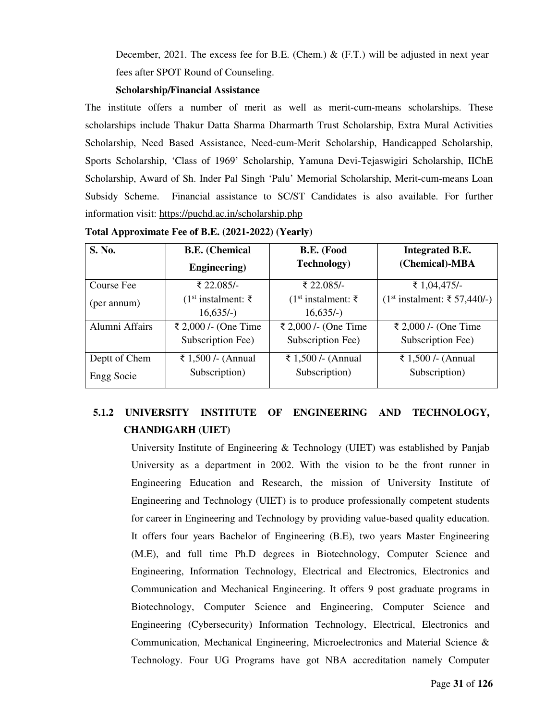December, 2021. The excess fee for B.E. (Chem.)  $\&$  (F.T.) will be adjusted in next year fees after SPOT Round of Counseling.

#### **Scholarship/Financial Assistance**

The institute offers a number of merit as well as merit-cum-means scholarships. These scholarships include Thakur Datta Sharma Dharmarth Trust Scholarship, Extra Mural Activities Scholarship, Need Based Assistance, Need-cum-Merit Scholarship, Handicapped Scholarship, Sports Scholarship, 'Class of 1969' Scholarship, Yamuna Devi-Tejaswigiri Scholarship, IIChE Scholarship, Award of Sh. Inder Pal Singh 'Palu' Memorial Scholarship, Merit-cum-means Loan Subsidy Scheme. Financial assistance to SC/ST Candidates is also available. For further information visit: https://puchd.ac.in/scholarship.php

| <b>S. No.</b>  | <b>B.E.</b> (Chemical            | B.E. (Food                       | <b>Integrated B.E.</b>          |
|----------------|----------------------------------|----------------------------------|---------------------------------|
|                | <b>Engineering</b> )             | <b>Technology</b> )              | (Chemical)-MBA                  |
| Course Fee     | ₹ 22.085/-                       | ₹ 22.085/-                       | ₹ 1,04,475/-                    |
| (per annum)    | (1 <sup>st</sup> installment: ₹) | (1 <sup>st</sup> installment: ₹) | $(1st installment: ₹ 57,440/-)$ |
|                | $16,635/-$                       | $16,635/-$                       |                                 |
| Alumni Affairs | ₹ 2,000 / - (One Time            | ₹ 2,000 /- (One Time             | ₹ 2,000 /- (One Time            |
|                | Subscription Fee)                | Subscription Fee)                | Subscription Fee)               |
| Deptt of Chem  | ₹ 1,500 /- (Annual               | ₹ 1,500 / - (Annual              | ₹ 1,500 /- (Annual              |
| Engg Socie     | Subscription)                    | Subscription)                    | Subscription)                   |

**Total Approximate Fee of B.E. (2021-2022) (Yearly)** 

### **5.1.2 UNIVERSITY INSTITUTE OF ENGINEERING AND TECHNOLOGY, CHANDIGARH (UIET)**

University Institute of Engineering  $&$  Technology (UIET) was established by Panjab University as a department in 2002. With the vision to be the front runner in Engineering Education and Research, the mission of University Institute of Engineering and Technology (UIET) is to produce professionally competent students for career in Engineering and Technology by providing value-based quality education. It offers four years Bachelor of Engineering (B.E), two years Master Engineering (M.E), and full time Ph.D degrees in Biotechnology, Computer Science and Engineering, Information Technology, Electrical and Electronics, Electronics and Communication and Mechanical Engineering. It offers 9 post graduate programs in Biotechnology, Computer Science and Engineering, Computer Science and Engineering (Cybersecurity) Information Technology, Electrical, Electronics and Communication, Mechanical Engineering, Microelectronics and Material Science & Technology. Four UG Programs have got NBA accreditation namely Computer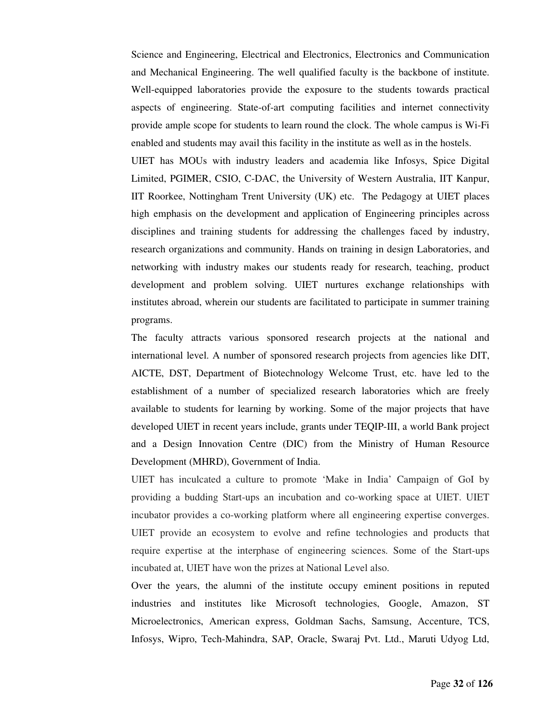Science and Engineering, Electrical and Electronics, Electronics and Communication and Mechanical Engineering. The well qualified faculty is the backbone of institute. Well-equipped laboratories provide the exposure to the students towards practical aspects of engineering. State-of-art computing facilities and internet connectivity provide ample scope for students to learn round the clock. The whole campus is Wi-Fi enabled and students may avail this facility in the institute as well as in the hostels.

UIET has MOUs with industry leaders and academia like Infosys, Spice Digital Limited, PGIMER, CSIO, C-DAC, the University of Western Australia, IIT Kanpur, IIT Roorkee, Nottingham Trent University (UK) etc. The Pedagogy at UIET places high emphasis on the development and application of Engineering principles across disciplines and training students for addressing the challenges faced by industry, research organizations and community. Hands on training in design Laboratories, and networking with industry makes our students ready for research, teaching, product development and problem solving. UIET nurtures exchange relationships with institutes abroad, wherein our students are facilitated to participate in summer training programs.

The faculty attracts various sponsored research projects at the national and international level. A number of sponsored research projects from agencies like DIT, AICTE, DST, Department of Biotechnology Welcome Trust, etc. have led to the establishment of a number of specialized research laboratories which are freely available to students for learning by working. Some of the major projects that have developed UIET in recent years include, grants under TEQIP-III, a world Bank project and a Design Innovation Centre (DIC) from the Ministry of Human Resource Development (MHRD), Government of India.

UIET has inculcated a culture to promote 'Make in India' Campaign of GoI by providing a budding Start-ups an incubation and co-working space at UIET. UIET incubator provides a co-working platform where all engineering expertise converges. UIET provide an ecosystem to evolve and refine technologies and products that require expertise at the interphase of engineering sciences. Some of the Start-ups incubated at, UIET have won the prizes at National Level also.

Over the years, the alumni of the institute occupy eminent positions in reputed industries and institutes like Microsoft technologies, Google, Amazon, ST Microelectronics, American express, Goldman Sachs, Samsung, Accenture, TCS, Infosys, Wipro, Tech-Mahindra, SAP, Oracle, Swaraj Pvt. Ltd., Maruti Udyog Ltd,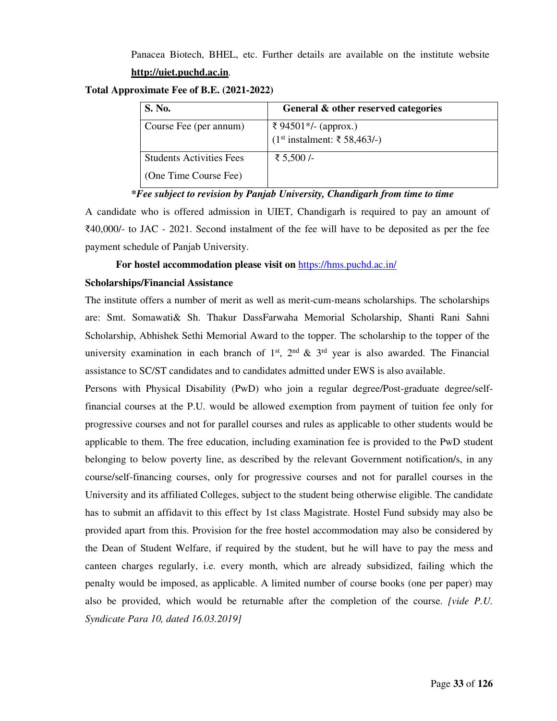Panacea Biotech, BHEL, etc. Further details are available on the institute website

#### **http://uiet.puchd.ac.in**.

**Total Approximate Fee of B.E. (2021-2022)** 

| <b>S. No.</b>                   | General & other reserved categories |
|---------------------------------|-------------------------------------|
| Course Fee (per annum)          | ₹ 94501*/- (approx.)                |
|                                 | $(1st installment: ₹ 58,463/-)$     |
| <b>Students Activities Fees</b> | ₹ 5,500 /-                          |
| (One Time Course Fee)           |                                     |

*\*Fee subject to revision by Panjab University, Chandigarh from time to time* 

A candidate who is offered admission in UIET, Chandigarh is required to pay an amount of ₹40,000/- to JAC - 2021. Second instalment of the fee will have to be deposited as per the fee payment schedule of Panjab University.

 **For hostel accommodation please visit on** https://hms.puchd.ac.in/

#### **Scholarships/Financial Assistance**

The institute offers a number of merit as well as merit-cum-means scholarships. The scholarships are: Smt. Somawati& Sh. Thakur DassFarwaha Memorial Scholarship, Shanti Rani Sahni Scholarship, Abhishek Sethi Memorial Award to the topper. The scholarship to the topper of the university examination in each branch of  $1<sup>st</sup>$ ,  $2<sup>nd</sup>$  &  $3<sup>rd</sup>$  year is also awarded. The Financial assistance to SC/ST candidates and to candidates admitted under EWS is also available.

Persons with Physical Disability (PwD) who join a regular degree/Post-graduate degree/selffinancial courses at the P.U. would be allowed exemption from payment of tuition fee only for progressive courses and not for parallel courses and rules as applicable to other students would be applicable to them. The free education, including examination fee is provided to the PwD student belonging to below poverty line, as described by the relevant Government notification/s, in any course/self-financing courses, only for progressive courses and not for parallel courses in the University and its affiliated Colleges, subject to the student being otherwise eligible. The candidate has to submit an affidavit to this effect by 1st class Magistrate. Hostel Fund subsidy may also be provided apart from this. Provision for the free hostel accommodation may also be considered by the Dean of Student Welfare, if required by the student, but he will have to pay the mess and canteen charges regularly, i.e. every month, which are already subsidized, failing which the penalty would be imposed, as applicable. A limited number of course books (one per paper) may also be provided, which would be returnable after the completion of the course. *[vide P.U. Syndicate Para 10, dated 16.03.2019]*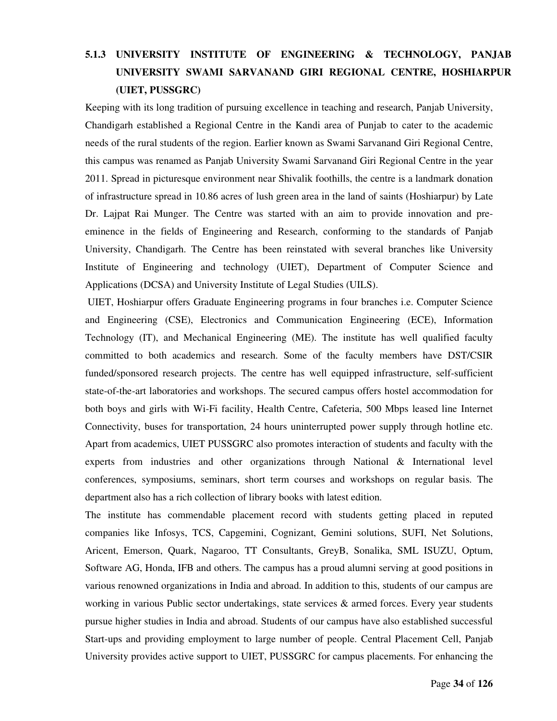### **5.1.3 UNIVERSITY INSTITUTE OF ENGINEERING & TECHNOLOGY, PANJAB UNIVERSITY SWAMI SARVANAND GIRI REGIONAL CENTRE, HOSHIARPUR (UIET, PUSSGRC)**

Keeping with its long tradition of pursuing excellence in teaching and research, Panjab University, Chandigarh established a Regional Centre in the Kandi area of Punjab to cater to the academic needs of the rural students of the region. Earlier known as Swami Sarvanand Giri Regional Centre, this campus was renamed as Panjab University Swami Sarvanand Giri Regional Centre in the year 2011. Spread in picturesque environment near Shivalik foothills, the centre is a landmark donation of infrastructure spread in 10.86 acres of lush green area in the land of saints (Hoshiarpur) by Late Dr. Lajpat Rai Munger. The Centre was started with an aim to provide innovation and preeminence in the fields of Engineering and Research, conforming to the standards of Panjab University, Chandigarh. The Centre has been reinstated with several branches like University Institute of Engineering and technology (UIET), Department of Computer Science and Applications (DCSA) and University Institute of Legal Studies (UILS).

 UIET, Hoshiarpur offers Graduate Engineering programs in four branches i.e. Computer Science and Engineering (CSE), Electronics and Communication Engineering (ECE), Information Technology (IT), and Mechanical Engineering (ME). The institute has well qualified faculty committed to both academics and research. Some of the faculty members have DST/CSIR funded/sponsored research projects. The centre has well equipped infrastructure, self-sufficient state-of-the-art laboratories and workshops. The secured campus offers hostel accommodation for both boys and girls with Wi-Fi facility, Health Centre, Cafeteria, 500 Mbps leased line Internet Connectivity, buses for transportation, 24 hours uninterrupted power supply through hotline etc. Apart from academics, UIET PUSSGRC also promotes interaction of students and faculty with the experts from industries and other organizations through National & International level conferences, symposiums, seminars, short term courses and workshops on regular basis. The department also has a rich collection of library books with latest edition.

The institute has commendable placement record with students getting placed in reputed companies like Infosys, TCS, Capgemini, Cognizant, Gemini solutions, SUFI, Net Solutions, Aricent, Emerson, Quark, Nagaroo, TT Consultants, GreyB, Sonalika, SML ISUZU, Optum, Software AG, Honda, IFB and others. The campus has a proud alumni serving at good positions in various renowned organizations in India and abroad. In addition to this, students of our campus are working in various Public sector undertakings, state services  $\&$  armed forces. Every year students pursue higher studies in India and abroad. Students of our campus have also established successful Start-ups and providing employment to large number of people. Central Placement Cell, Panjab University provides active support to UIET, PUSSGRC for campus placements. For enhancing the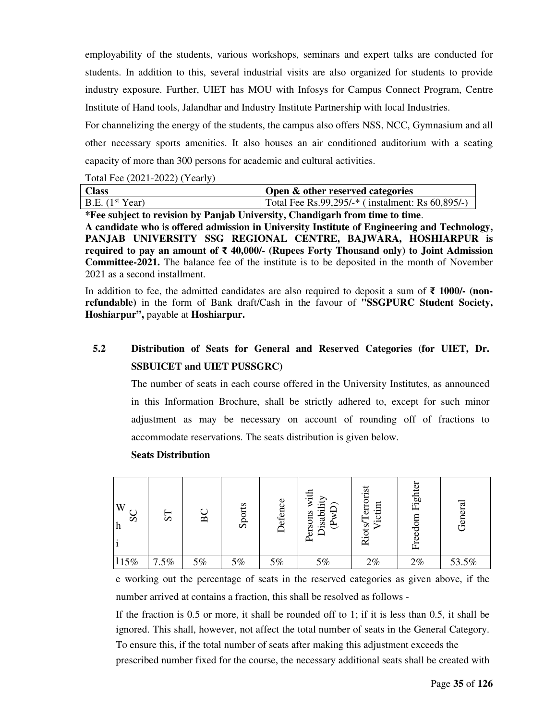employability of the students, various workshops, seminars and expert talks are conducted for students. In addition to this, several industrial visits are also organized for students to provide industry exposure. Further, UIET has MOU with Infosys for Campus Connect Program, Centre Institute of Hand tools, Jalandhar and Industry Institute Partnership with local Industries.

For channelizing the energy of the students, the campus also offers NSS, NCC, Gymnasium and all other necessary sports amenities. It also houses an air conditioned auditorium with a seating capacity of more than 300 persons for academic and cultural activities.

#### Total Fee (2021-2022) (Yearly)

| <b>Class</b>      | <b>Open &amp; other reserved categories</b>         |
|-------------------|-----------------------------------------------------|
| B.E. $(1st Year)$ | Total Fee Rs.99,295/-* (instalment: Rs $60,895/$ -) |

**\*Fee subject to revision by Panjab University, Chandigarh from time to time**.

**A candidate who is offered admission in University Institute of Engineering and Technology, PANJAB UNIVERSITY SSG REGIONAL CENTRE, BAJWARA, HOSHIARPUR is required to pay an amount of** ₹ **40,000/- (Rupees Forty Thousand only) to Joint Admission Committee-2021.** The balance fee of the institute is to be deposited in the month of November 2021 as a second installment.

In addition to fee, the admitted candidates are also required to deposit a sum of ₹ **1000/- (nonrefundable)** in the form of Bank draft/Cash in the favour of **"SSGPURC Student Society, Hoshiarpur",** payable at **Hoshiarpur.**

### **5.2 Distribution of Seats for General and Reserved Categories (for UIET, Dr. SSBUICET and UIET PUSSGRC)**

The number of seats in each course offered in the University Institutes, as announced in this Information Brochure, shall be strictly adhered to, except for such minor adjustment as may be necessary on account of rounding off of fractions to accommodate reservations. The seats distribution is given below.

# W h i  $115%$ prescribed number fixed for the course, the necessary additional seats shall be created with SC ST BC Sports Defence Persons with Disability (PwD) Riots/Terrorist Victim Freedom Fighter General 15% 7.5% 5% 5% 5% 5% 2% 2% 53.5%

#### **Seats Distribution**

e working out the percentage of seats in the reserved categories as given above, if the number arrived at contains a fraction, this shall be resolved as follows -

If the fraction is 0.5 or more, it shall be rounded off to 1; if it is less than 0.5, it shall be ignored. This shall, however, not affect the total number of seats in the General Category. To ensure this, if the total number of seats after making this adjustment exceeds the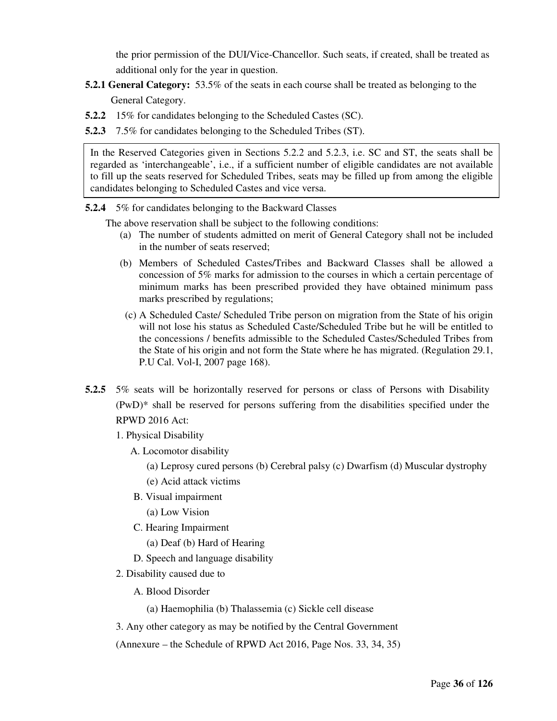the prior permission of the DUI/Vice-Chancellor. Such seats, if created, shall be treated as additional only for the year in question.

- **5.2.1 General Category:** 53.5% of the seats in each course shall be treated as belonging to the General Category.
- **5.2.2** 15% for candidates belonging to the Scheduled Castes (SC).
- **5.2.3** 7.5% for candidates belonging to the Scheduled Tribes (ST).

In the Reserved Categories given in Sections 5.2.2 and 5.2.3, i.e. SC and ST, the seats shall be regarded as 'interchangeable', i.e., if a sufficient number of eligible candidates are not available to fill up the seats reserved for Scheduled Tribes, seats may be filled up from among the eligible candidates belonging to Scheduled Castes and vice versa.

- **5.2.4** 5% for candidates belonging to the Backward Classes
	- The above reservation shall be subject to the following conditions:
		- (a) The number of students admitted on merit of General Category shall not be included in the number of seats reserved;
		- (b) Members of Scheduled Castes/Tribes and Backward Classes shall be allowed a concession of 5% marks for admission to the courses in which a certain percentage of minimum marks has been prescribed provided they have obtained minimum pass marks prescribed by regulations;
		- (c) A Scheduled Caste/ Scheduled Tribe person on migration from the State of his origin will not lose his status as Scheduled Caste/Scheduled Tribe but he will be entitled to the concessions / benefits admissible to the Scheduled Castes/Scheduled Tribes from the State of his origin and not form the State where he has migrated. (Regulation 29.1, P.U Cal. Vol-I, 2007 page 168).
- **5.2.5** 5% seats will be horizontally reserved for persons or class of Persons with Disability (PwD)\* shall be reserved for persons suffering from the disabilities specified under the RPWD 2016 Act:
	- 1. Physical Disability
		- A. Locomotor disability
			- (a) Leprosy cured persons (b) Cerebral palsy (c) Dwarfism (d) Muscular dystrophy
			- (e) Acid attack victims
			- B. Visual impairment
				- (a) Low Vision
		- C. Hearing Impairment
			- (a) Deaf (b) Hard of Hearing
		- D. Speech and language disability
	- 2. Disability caused due to
		- A. Blood Disorder
			- (a) Haemophilia (b) Thalassemia (c) Sickle cell disease
	- 3. Any other category as may be notified by the Central Government
	- (Annexure the Schedule of RPWD Act 2016, Page Nos. 33, 34, 35)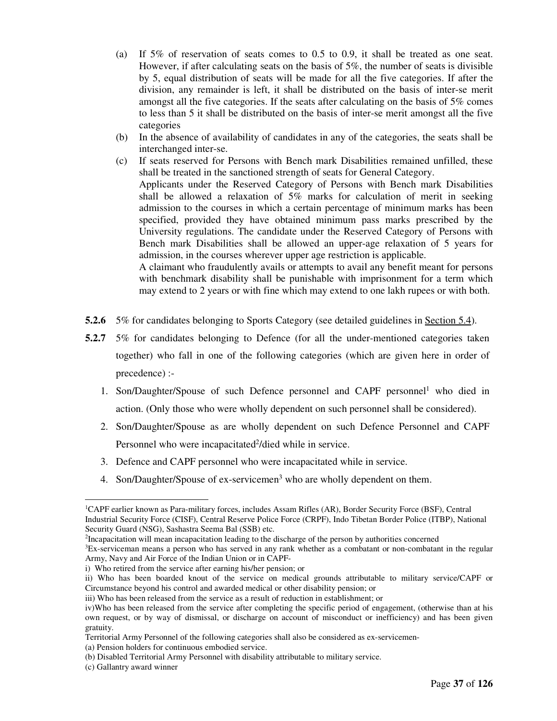- (a) If 5% of reservation of seats comes to 0.5 to 0.9, it shall be treated as one seat. However, if after calculating seats on the basis of 5%, the number of seats is divisible by 5, equal distribution of seats will be made for all the five categories. If after the division, any remainder is left, it shall be distributed on the basis of inter-se merit amongst all the five categories. If the seats after calculating on the basis of 5% comes to less than 5 it shall be distributed on the basis of inter-se merit amongst all the five categories
- (b) In the absence of availability of candidates in any of the categories, the seats shall be interchanged inter-se.
- (c) If seats reserved for Persons with Bench mark Disabilities remained unfilled, these shall be treated in the sanctioned strength of seats for General Category. Applicants under the Reserved Category of Persons with Bench mark Disabilities shall be allowed a relaxation of 5% marks for calculation of merit in seeking admission to the courses in which a certain percentage of minimum marks has been specified, provided they have obtained minimum pass marks prescribed by the University regulations. The candidate under the Reserved Category of Persons with Bench mark Disabilities shall be allowed an upper-age relaxation of 5 years for admission, in the courses wherever upper age restriction is applicable.

 A claimant who fraudulently avails or attempts to avail any benefit meant for persons with benchmark disability shall be punishable with imprisonment for a term which may extend to 2 years or with fine which may extend to one lakh rupees or with both.

- **5.2.6** 5% for candidates belonging to Sports Category (see detailed guidelines in <u>Section 5.4</u>).
- **5.2.7** 5% for candidates belonging to Defence (for all the under-mentioned categories taken together) who fall in one of the following categories (which are given here in order of precedence) :-
	- 1. Son/Daughter/Spouse of such Defence personnel and CAPF personnel<sup>1</sup> who died in action. (Only those who were wholly dependent on such personnel shall be considered).
	- 2. Son/Daughter/Spouse as are wholly dependent on such Defence Personnel and CAPF Personnel who were incapacitated<sup>2</sup>/died while in service.
	- 3. Defence and CAPF personnel who were incapacitated while in service.
	- 4. Son/Daughter/Spouse of ex-servicemen<sup>3</sup> who are wholly dependent on them.

-

<sup>1</sup>CAPF earlier known as Para-military forces, includes Assam Rifles (AR), Border Security Force (BSF), Central Industrial Security Force (CISF), Central Reserve Police Force (CRPF), Indo Tibetan Border Police (ITBP), National Security Guard (NSG), Sashastra Seema Bal (SSB) etc.

<sup>2</sup> Incapacitation will mean incapacitation leading to the discharge of the person by authorities concerned

<sup>3</sup>Ex-serviceman means a person who has served in any rank whether as a combatant or non-combatant in the regular Army, Navy and Air Force of the Indian Union or in CAPF-

i) Who retired from the service after earning his/her pension; or

ii) Who has been boarded knout of the service on medical grounds attributable to military service/CAPF or Circumstance beyond his control and awarded medical or other disability pension; or

iii) Who has been released from the service as a result of reduction in establishment; or

iv)Who has been released from the service after completing the specific period of engagement, (otherwise than at his own request, or by way of dismissal, or discharge on account of misconduct or inefficiency) and has been given gratuity.

Territorial Army Personnel of the following categories shall also be considered as ex-servicemen-

<sup>(</sup>a) Pension holders for continuous embodied service.

<sup>(</sup>b) Disabled Territorial Army Personnel with disability attributable to military service.

<sup>(</sup>c) Gallantry award winner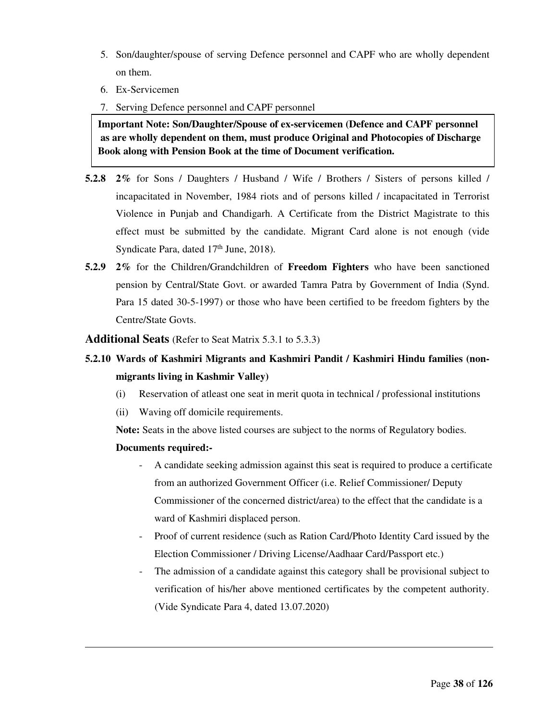- 5. Son/daughter/spouse of serving Defence personnel and CAPF who are wholly dependent on them.
- 6. Ex-Servicemen
- 7. Serving Defence personnel and CAPF personnel

**Important Note: Son/Daughter/Spouse of ex-servicemen (Defence and CAPF personnel as are wholly dependent on them, must produce Original and Photocopies of Discharge Book along with Pension Book at the time of Document verification.**

- **5.2.8 2%** for Sons / Daughters / Husband / Wife / Brothers / Sisters of persons killed / incapacitated in November, 1984 riots and of persons killed / incapacitated in Terrorist Violence in Punjab and Chandigarh. A Certificate from the District Magistrate to this effect must be submitted by the candidate. Migrant Card alone is not enough (vide Syndicate Para, dated 17<sup>th</sup> June, 2018).
- **5.2.9 2%** for the Children/Grandchildren of **Freedom Fighters** who have been sanctioned pension by Central/State Govt. or awarded Tamra Patra by Government of India (Synd. Para 15 dated 30-5-1997) or those who have been certified to be freedom fighters by the Centre/State Govts.
- **Additional Seats** (Refer to Seat Matrix 5.3.1 to 5.3.3)
- **5.2.10 Wards of Kashmiri Migrants and Kashmiri Pandit / Kashmiri Hindu families (nonmigrants living in Kashmir Valley)**
	- (i) Reservation of atleast one seat in merit quota in technical / professional institutions
	- (ii) Waving off domicile requirements.

**Note:** Seats in the above listed courses are subject to the norms of Regulatory bodies.

#### **Documents required:-**

-

- A candidate seeking admission against this seat is required to produce a certificate from an authorized Government Officer (i.e. Relief Commissioner/ Deputy Commissioner of the concerned district/area) to the effect that the candidate is a ward of Kashmiri displaced person.
- Proof of current residence (such as Ration Card/Photo Identity Card issued by the Election Commissioner / Driving License/Aadhaar Card/Passport etc.)
- The admission of a candidate against this category shall be provisional subject to verification of his/her above mentioned certificates by the competent authority. (Vide Syndicate Para 4, dated 13.07.2020)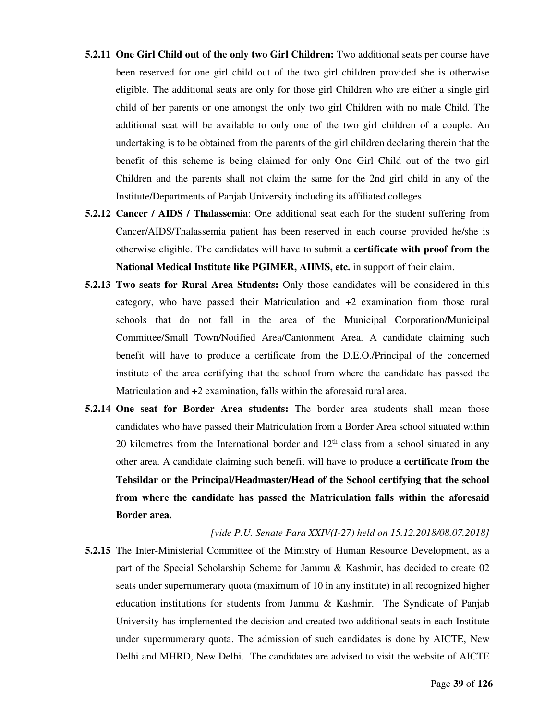- **5.2.11 One Girl Child out of the only two Girl Children:** Two additional seats per course have been reserved for one girl child out of the two girl children provided she is otherwise eligible. The additional seats are only for those girl Children who are either a single girl child of her parents or one amongst the only two girl Children with no male Child. The additional seat will be available to only one of the two girl children of a couple. An undertaking is to be obtained from the parents of the girl children declaring therein that the benefit of this scheme is being claimed for only One Girl Child out of the two girl Children and the parents shall not claim the same for the 2nd girl child in any of the Institute/Departments of Panjab University including its affiliated colleges.
- **5.2.12 Cancer / AIDS / Thalassemia**: One additional seat each for the student suffering from Cancer/AIDS/Thalassemia patient has been reserved in each course provided he/she is otherwise eligible. The candidates will have to submit a **certificate with proof from the National Medical Institute like PGIMER, AIIMS, etc.** in support of their claim.
- **5.2.13 Two seats for Rural Area Students:** Only those candidates will be considered in this category, who have passed their Matriculation and +2 examination from those rural schools that do not fall in the area of the Municipal Corporation/Municipal Committee/Small Town/Notified Area/Cantonment Area. A candidate claiming such benefit will have to produce a certificate from the D.E.O./Principal of the concerned institute of the area certifying that the school from where the candidate has passed the Matriculation and +2 examination, falls within the aforesaid rural area.
- **5.2.14 One seat for Border Area students:** The border area students shall mean those candidates who have passed their Matriculation from a Border Area school situated within 20 kilometres from the International border and  $12<sup>th</sup>$  class from a school situated in any other area. A candidate claiming such benefit will have to produce **a certificate from the Tehsildar or the Principal/Headmaster/Head of the School certifying that the school from where the candidate has passed the Matriculation falls within the aforesaid Border area.**

*[vide P.U. Senate Para XXIV(I-27) held on 15.12.2018/08.07.2018]* **5.2.15** The Inter-Ministerial Committee of the Ministry of Human Resource Development, as a part of the Special Scholarship Scheme for Jammu & Kashmir, has decided to create 02 seats under supernumerary quota (maximum of 10 in any institute) in all recognized higher education institutions for students from Jammu & Kashmir. The Syndicate of Panjab University has implemented the decision and created two additional seats in each Institute under supernumerary quota. The admission of such candidates is done by AICTE, New Delhi and MHRD, New Delhi. The candidates are advised to visit the website of AICTE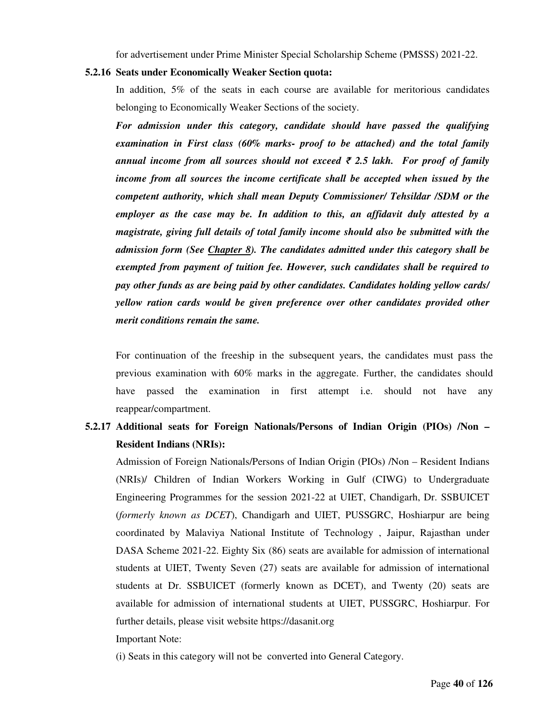for advertisement under Prime Minister Special Scholarship Scheme (PMSSS) 2021-22.

#### **5.2.16 Seats under Economically Weaker Section quota:**

In addition, 5% of the seats in each course are available for meritorious candidates belonging to Economically Weaker Sections of the society.

*For admission under this category, candidate should have passed the qualifying examination in First class (60% marks- proof to be attached) and the total family annual income from all sources should not exceed* ₹ *2.5 lakh. For proof of family income from all sources the income certificate shall be accepted when issued by the competent authority, which shall mean Deputy Commissioner/ Tehsildar /SDM or the employer as the case may be. In addition to this, an affidavit duly attested by a magistrate, giving full details of total family income should also be submitted with the admission form (See Chapter 8). The candidates admitted under this category shall be exempted from payment of tuition fee. However, such candidates shall be required to pay other funds as are being paid by other candidates. Candidates holding yellow cards/ yellow ration cards would be given preference over other candidates provided other merit conditions remain the same.* 

For continuation of the freeship in the subsequent years, the candidates must pass the previous examination with 60% marks in the aggregate. Further, the candidates should have passed the examination in first attempt i.e. should not have any reappear/compartment.

# **5.2.17 Additional seats for Foreign Nationals/Persons of Indian Origin (PIOs) /Non – Resident Indians (NRIs):**

Admission of Foreign Nationals/Persons of Indian Origin (PIOs) /Non – Resident Indians (NRIs)/ Children of Indian Workers Working in Gulf (CIWG) to Undergraduate Engineering Programmes for the session 2021-22 at UIET, Chandigarh, Dr. SSBUICET (*formerly known as DCET*), Chandigarh and UIET, PUSSGRC, Hoshiarpur are being coordinated by Malaviya National Institute of Technology , Jaipur, Rajasthan under DASA Scheme 2021-22. Eighty Six (86) seats are available for admission of international students at UIET, Twenty Seven (27) seats are available for admission of international students at Dr. SSBUICET (formerly known as DCET), and Twenty (20) seats are available for admission of international students at UIET, PUSSGRC, Hoshiarpur. For further details, please visit website https://dasanit.org

Important Note:

(i) Seats in this category will not be converted into General Category.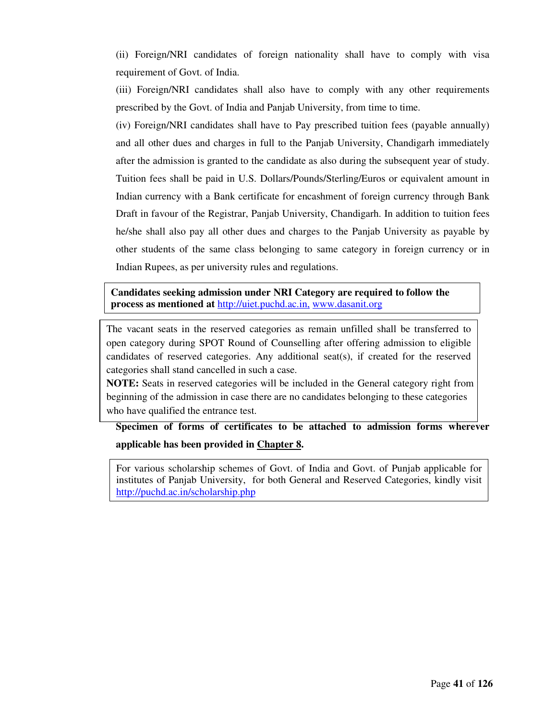(ii) Foreign/NRI candidates of foreign nationality shall have to comply with visa requirement of Govt. of India.

(iii) Foreign/NRI candidates shall also have to comply with any other requirements prescribed by the Govt. of India and Panjab University, from time to time.

(iv) Foreign/NRI candidates shall have to Pay prescribed tuition fees (payable annually) and all other dues and charges in full to the Panjab University, Chandigarh immediately after the admission is granted to the candidate as also during the subsequent year of study. Tuition fees shall be paid in U.S. Dollars/Pounds/Sterling/Euros or equivalent amount in Indian currency with a Bank certificate for encashment of foreign currency through Bank Draft in favour of the Registrar, Panjab University, Chandigarh. In addition to tuition fees he/she shall also pay all other dues and charges to the Panjab University as payable by other students of the same class belonging to same category in foreign currency or in Indian Rupees, as per university rules and regulations.

**Candidates seeking admission under NRI Category are required to follow the process as mentioned at** http://uiet.puchd.ac.in, www.dasanit.org

The vacant seats in the reserved categories as remain unfilled shall be transferred to open category during SPOT Round of Counselling after offering admission to eligible candidates of reserved categories. Any additional seat(s), if created for the reserved categories shall stand cancelled in such a case.

**NOTE:** Seats in reserved categories will be included in the General category right from beginning of the admission in case there are no candidates belonging to these categories who have qualified the entrance test.

**Specimen of forms of certificates to be attached to admission forms wherever applicable has been provided in Chapter 8.** 

For various scholarship schemes of Govt. of India and Govt. of Punjab applicable for institutes of Panjab University, for both General and Reserved Categories, kindly visit http://puchd.ac.in/scholarship.php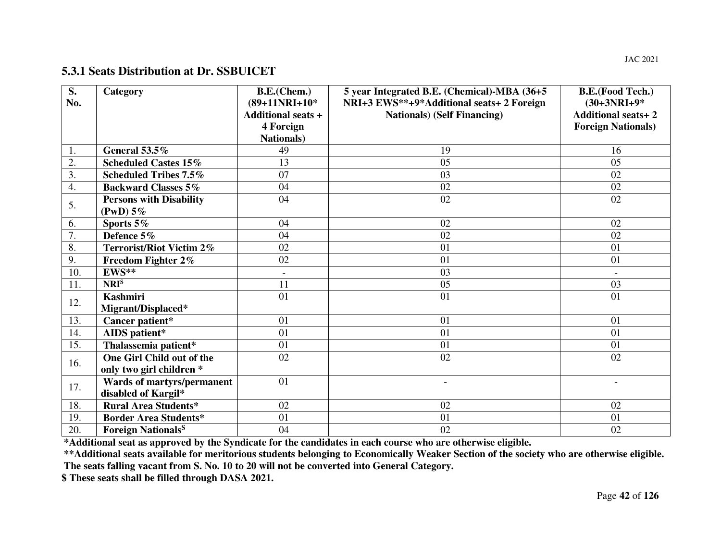# **5.3.1 Seats Distribution at Dr. SSBUICET**

| $\overline{\mathbf{S}}$ .<br>No. | Category                                                 | B.E.(Chem.)<br>$(89+11NRI+10^*$<br><b>Additional seats +</b><br>4 Foreign | 5 year Integrated B.E. (Chemical)-MBA (36+5<br>NRI+3 EWS**+9*Additional seats+2 Foreign<br><b>Nationals</b> ) (Self Financing) | <b>B.E.(Food Tech.)</b><br>$(30+3NRI+9*)$<br><b>Additional seats+2</b><br><b>Foreign Nationals</b> ) |
|----------------------------------|----------------------------------------------------------|---------------------------------------------------------------------------|--------------------------------------------------------------------------------------------------------------------------------|------------------------------------------------------------------------------------------------------|
|                                  |                                                          | <b>Nationals</b> )                                                        |                                                                                                                                |                                                                                                      |
| 1.                               | General 53.5%                                            | 49                                                                        | 19                                                                                                                             | 16                                                                                                   |
| 2.                               | <b>Scheduled Castes 15%</b>                              | 13                                                                        | 0 <sub>5</sub>                                                                                                                 | 05                                                                                                   |
| 3.                               | <b>Scheduled Tribes 7.5%</b>                             | 07                                                                        | 03                                                                                                                             | 02                                                                                                   |
| 4.                               | <b>Backward Classes 5%</b>                               | 04                                                                        | 02                                                                                                                             | 02                                                                                                   |
| 5.                               | <b>Persons with Disability</b><br>(PwD) 5%               | 04                                                                        | 02                                                                                                                             | 02                                                                                                   |
| 6.                               | Sports $5\%$                                             | 04                                                                        | 02                                                                                                                             | 02                                                                                                   |
| $\overline{7}$ .                 | Defence 5%                                               | 04                                                                        | 02                                                                                                                             | 02                                                                                                   |
| 8.                               | <b>Terrorist/Riot Victim 2%</b>                          | 02                                                                        | 01                                                                                                                             | 01                                                                                                   |
| 9.                               | Freedom Fighter 2%                                       | 02                                                                        | 01                                                                                                                             | 01                                                                                                   |
| 10.                              | EWS**                                                    | $\blacksquare$                                                            | 03                                                                                                                             | $\overline{\phantom{a}}$                                                                             |
| 11.                              | NRI <sup>S</sup>                                         | 11                                                                        | 05                                                                                                                             | 03                                                                                                   |
| 12.                              | <b>Kashmiri</b><br>Migrant/Displaced*                    | 01                                                                        | 01                                                                                                                             | 01                                                                                                   |
| 13.                              | Cancer patient*                                          | 01                                                                        | 01                                                                                                                             | 01                                                                                                   |
| 14.                              | AIDS patient*                                            | 01                                                                        | 01                                                                                                                             | 01                                                                                                   |
| 15.                              | Thalassemia patient*                                     | 01                                                                        | 01                                                                                                                             | 01                                                                                                   |
| 16.                              | One Girl Child out of the<br>only two girl children *    | 02                                                                        | 02                                                                                                                             | 02                                                                                                   |
| 17.                              | <b>Wards of martyrs/permanent</b><br>disabled of Kargil* | 01                                                                        |                                                                                                                                |                                                                                                      |
| 18.                              | <b>Rural Area Students*</b>                              | 02                                                                        | 02                                                                                                                             | 02                                                                                                   |
| 19.                              | <b>Border Area Students*</b>                             | 01                                                                        | 01                                                                                                                             | 01                                                                                                   |
| 20.                              | <b>Foreign Nationals</b> <sup>S</sup>                    | 04                                                                        | 02                                                                                                                             | 02                                                                                                   |

**\*Additional seat as approved by the Syndicate for the candidates in each course who are otherwise eligible.** 

 **\*\*Additional seats available for meritorious students belonging to Economically Weaker Section of the society who are otherwise eligible. The seats falling vacant from S. No. 10 to 20 will not be converted into General Category.** 

**\$ These seats shall be filled through DASA 2021.**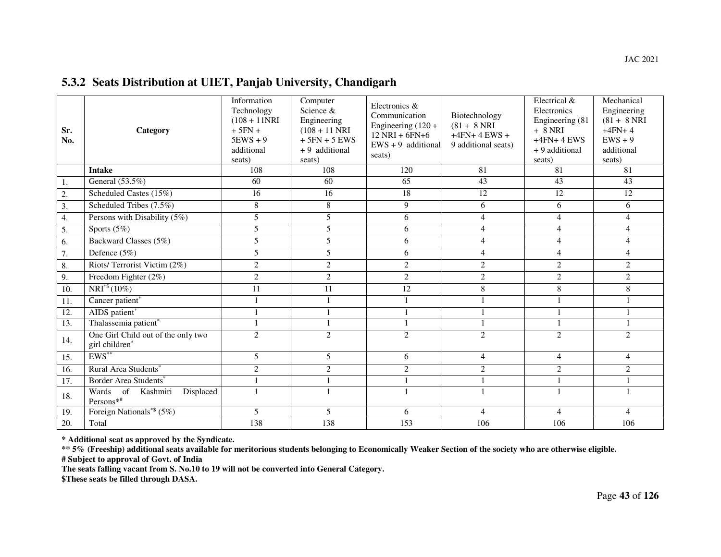# **5.3.2 Seats Distribution at UIET, Panjab University, Chandigarh**

| Sr.<br>No. | Category                                             | Information<br>Technology<br>$(108 + 11)$ NRI<br>$+5FN +$<br>$5$ EWS + 9<br>additional<br>seats) | Computer<br>Science &<br>Engineering<br>$(108 + 11)$ NRI<br>$+5FN + 5$ EWS<br>+9 additional<br>seats) | Electronics &<br>Communication<br>Engineering $(120 +$<br>$12$ NRI + 6FN+6<br>$EWS + 9$ additional<br>seats) | Biotechnology<br>$(81 + 8 \text{ NRI})$<br>$+4FN+4$ EWS +<br>9 additional seats) | Electrical &<br>Electronics<br>Engineering (81<br>$+ 8$ NRI<br>$+4FN+4$ EWS<br>+ 9 additional<br>seats) | Mechanical<br>Engineering<br>$(81 + 8 \text{ NRI})$<br>$+4FN+4$<br>$EWS + 9$<br>additional<br>seats) |
|------------|------------------------------------------------------|--------------------------------------------------------------------------------------------------|-------------------------------------------------------------------------------------------------------|--------------------------------------------------------------------------------------------------------------|----------------------------------------------------------------------------------|---------------------------------------------------------------------------------------------------------|------------------------------------------------------------------------------------------------------|
|            | <b>Intake</b>                                        | 108                                                                                              | 108                                                                                                   | 120                                                                                                          | 81                                                                               | 81                                                                                                      | 81                                                                                                   |
| 1.         | General (53.5%)                                      | 60                                                                                               | 60                                                                                                    | 65                                                                                                           | 43                                                                               | 43                                                                                                      | 43                                                                                                   |
| 2.         | Scheduled Castes (15%)                               | 16                                                                                               | 16                                                                                                    | 18                                                                                                           | 12                                                                               | 12                                                                                                      | 12                                                                                                   |
| 3.         | Scheduled Tribes (7.5%)                              | $\overline{8}$                                                                                   | 8                                                                                                     | $\overline{9}$                                                                                               | 6                                                                                | 6                                                                                                       | 6                                                                                                    |
| 4.         | Persons with Disability (5%)                         | 5                                                                                                | 5                                                                                                     | 6                                                                                                            | $\overline{4}$                                                                   | $\overline{4}$                                                                                          | $\overline{4}$                                                                                       |
| 5.         | Sports $(5%)$                                        | 5                                                                                                | 5                                                                                                     | 6                                                                                                            | $\overline{4}$                                                                   | $\overline{4}$                                                                                          | $\overline{4}$                                                                                       |
| 6.         | Backward Classes (5%)                                | 5                                                                                                | 5                                                                                                     | 6                                                                                                            | $\overline{4}$                                                                   | $\overline{4}$                                                                                          | $\overline{4}$                                                                                       |
| 7.         | Defence $(5\%)$                                      | 5                                                                                                | 5                                                                                                     | 6                                                                                                            | $\overline{4}$                                                                   | $\overline{4}$                                                                                          | $\overline{4}$                                                                                       |
| 8.         | Riots/ Terrorist Victim (2%)                         | $\overline{c}$                                                                                   | $\overline{2}$                                                                                        | 2                                                                                                            | $\overline{2}$                                                                   | $\overline{c}$                                                                                          | $\overline{c}$                                                                                       |
| 9.         | Freedom Fighter $(2\%)$                              | $\overline{c}$                                                                                   | $\overline{2}$                                                                                        | $\overline{2}$                                                                                               | $\overline{2}$                                                                   | $\overline{2}$                                                                                          | $\sqrt{2}$                                                                                           |
| 10.        | $NRI^{*}(10\%)$                                      | 11                                                                                               | 11                                                                                                    | 12                                                                                                           | $8\,$                                                                            | 8                                                                                                       | 8                                                                                                    |
| 11.        | Cancer patient*                                      | $\mathbf{1}$                                                                                     |                                                                                                       |                                                                                                              |                                                                                  |                                                                                                         | $\mathbf{1}$                                                                                         |
| 12.        | AIDS patient <sup>*</sup>                            |                                                                                                  |                                                                                                       |                                                                                                              |                                                                                  |                                                                                                         | 1                                                                                                    |
| 13.        | Thalassemia patient*                                 | $\mathbf{1}$                                                                                     |                                                                                                       |                                                                                                              |                                                                                  |                                                                                                         | $\mathbf{1}$                                                                                         |
| 14.        | One Girl Child out of the only two<br>girl children* | $\overline{2}$                                                                                   | $\overline{2}$                                                                                        | $\overline{c}$                                                                                               | $\overline{2}$                                                                   | $\overline{2}$                                                                                          | 2                                                                                                    |
| 15.        | $EWS^{**}$                                           | 5                                                                                                | 5                                                                                                     | 6                                                                                                            | $\overline{4}$                                                                   | $\overline{4}$                                                                                          | $\overline{4}$                                                                                       |
| 16.        | Rural Area Students*                                 | $\overline{2}$                                                                                   | 2                                                                                                     | 2                                                                                                            | 2                                                                                | $\overline{c}$                                                                                          | $\overline{c}$                                                                                       |
| 17.        | Border Area Students*                                |                                                                                                  |                                                                                                       |                                                                                                              |                                                                                  |                                                                                                         | 1                                                                                                    |
| 18.        | Wards of Kashmiri<br>Displaced<br>Persons**          | $\mathbf{1}$                                                                                     |                                                                                                       |                                                                                                              |                                                                                  |                                                                                                         |                                                                                                      |
| 19.        | Foreign Nationals <sup>*\$</sup> (5%)                | 5                                                                                                | 5                                                                                                     | 6                                                                                                            | 4                                                                                | $\overline{4}$                                                                                          | $\overline{4}$                                                                                       |
| 20.        | Total                                                | 138                                                                                              | 138                                                                                                   | 153                                                                                                          | 106                                                                              | 106                                                                                                     | 106                                                                                                  |

**\* Additional seat as approved by the Syndicate.** 

 **\*\* 5% (Freeship) additional seats available for meritorious students belonging to Economically Weaker Section of the society who are otherwise eligible. # Subject to approval of Govt. of India** 

**The seats falling vacant from S. No.10 to 19 will not be converted into General Category.** 

**\$These seats be filled through DASA.**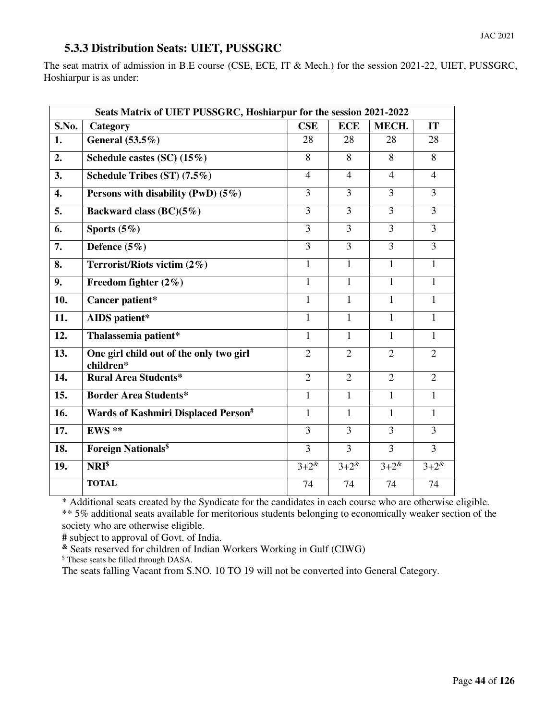# **5.3.3 Distribution Seats: UIET, PUSSGRC**

The seat matrix of admission in B.E course (CSE, ECE, IT & Mech.) for the session 2021-22, UIET, PUSSGRC, Hoshiarpur is as under:

|       | Seats Matrix of UIET PUSSGRC, Hoshiarpur for the session 2021-2022 |                |                |                |                |  |
|-------|--------------------------------------------------------------------|----------------|----------------|----------------|----------------|--|
| S.No. | Category                                                           | <b>CSE</b>     | <b>ECE</b>     | MECH.          | <b>IT</b>      |  |
| 1.    | General (53.5%)                                                    | 28             | 28             | 28             | 28             |  |
| 2.    | Schedule castes $(SC)$ $(15\%)$                                    | 8              | 8              | 8              | 8              |  |
| 3.    | Schedule Tribes (ST) (7.5%)                                        | $\overline{4}$ | $\overline{4}$ | $\overline{4}$ | $\overline{4}$ |  |
| 4.    | Persons with disability (PwD) $(5\%)$                              | 3              | 3              | 3              | 3              |  |
| 5.    | Backward class $(BC)(5\%)$                                         | 3              | $\overline{3}$ | $\overline{3}$ | $\overline{3}$ |  |
| 6.    | Sports $(5\%)$                                                     | 3              | 3              | 3              | 3              |  |
| 7.    | Defence $(5\%)$                                                    | 3              | 3              | 3              | 3              |  |
| 8.    | Terrorist/Riots victim (2%)                                        | 1              | $\mathbf{1}$   | $\mathbf{1}$   | 1              |  |
| 9.    | Freedom fighter $(2\%)$                                            | $\mathbf{1}$   | $\mathbf{1}$   | $\mathbf{1}$   | $\mathbf{1}$   |  |
| 10.   | Cancer patient*                                                    | $\overline{1}$ | $\mathbf{1}$   | $\mathbf{1}$   | $\mathbf{1}$   |  |
| 11.   | <b>AIDS</b> patient*                                               | $\mathbf{1}$   | $\mathbf{1}$   | 1              | 1              |  |
| 12.   | Thalassemia patient*                                               | $\mathbf{1}$   | $\mathbf{1}$   | $\mathbf{1}$   | 1              |  |
| 13.   | One girl child out of the only two girl<br>children*               | 2              | $\overline{2}$ | $\overline{2}$ | $\overline{2}$ |  |
| 14.   | <b>Rural Area Students*</b>                                        | $\overline{2}$ | $\overline{2}$ | $\overline{2}$ | $\overline{2}$ |  |
| 15.   | <b>Border Area Students*</b>                                       | $\mathbf{1}$   | $\mathbf{1}$   | $\mathbf{1}$   | $\mathbf{1}$   |  |
| 16.   | Wards of Kashmiri Displaced Person#                                | $\mathbf{1}$   | 1              | 1              | 1              |  |
| 17.   | $EWS**$                                                            | $\overline{3}$ | $\overline{3}$ | $\overline{3}$ | $\overline{3}$ |  |
| 18.   | <b>Foreign Nationals<sup>\$</sup></b>                              | $\overline{3}$ | $\overline{3}$ | $\overline{3}$ | $\overline{3}$ |  |
| 19.   | NRI <sup>§</sup>                                                   | $3 + 2^{\&}$   | $3+2^{k}$      | $3 + 2^{\&}$   | $3 + 2^{\&}$   |  |
|       | <b>TOTAL</b>                                                       | 74             | 74             | 74             | 74             |  |

\* Additional seats created by the Syndicate for the candidates in each course who are otherwise eligible. \*\* 5% additional seats available for meritorious students belonging to economically weaker section of the society who are otherwise eligible.

**#** subject to approval of Govt. of India.

**&** Seats reserved for children of Indian Workers Working in Gulf (CIWG)

\$ These seats be filled through DASA.

The seats falling Vacant from S.NO. 10 TO 19 will not be converted into General Category.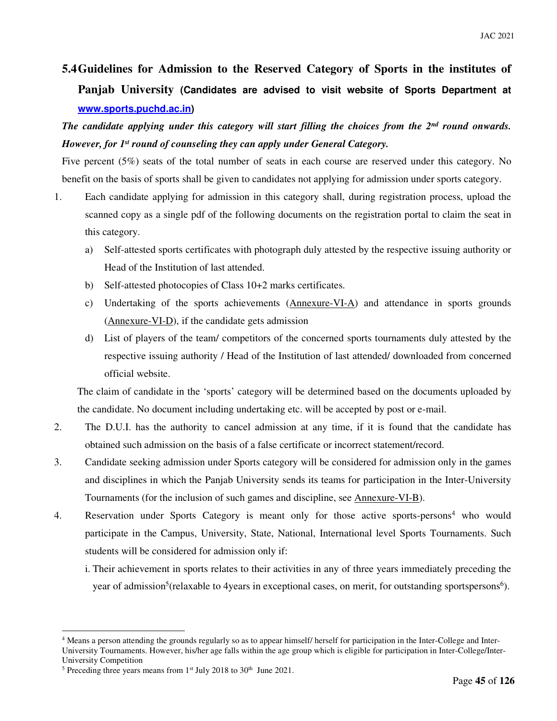# **5.4Guidelines for Admission to the Reserved Category of Sports in the institutes of Panjab University (Candidates are advised to visit website of Sports Department at www.sports.puchd.ac.in)**

*The candidate applying under this category will start filling the choices from the 2nd round onwards. However, for 1st round of counseling they can apply under General Category.* 

Five percent (5%) seats of the total number of seats in each course are reserved under this category. No benefit on the basis of sports shall be given to candidates not applying for admission under sports category.

- 1. Each candidate applying for admission in this category shall, during registration process, upload the scanned copy as a single pdf of the following documents on the registration portal to claim the seat in this category.
	- a) Self-attested sports certificates with photograph duly attested by the respective issuing authority or Head of the Institution of last attended.
	- b) Self-attested photocopies of Class 10+2 marks certificates.
	- c) Undertaking of the sports achievements (Annexure-VI-A) and attendance in sports grounds (Annexure-VI-D), if the candidate gets admission
	- d) List of players of the team/ competitors of the concerned sports tournaments duly attested by the respective issuing authority / Head of the Institution of last attended/ downloaded from concerned official website.

The claim of candidate in the 'sports' category will be determined based on the documents uploaded by the candidate. No document including undertaking etc. will be accepted by post or e-mail.

- 2. The D.U.I. has the authority to cancel admission at any time, if it is found that the candidate has obtained such admission on the basis of a false certificate or incorrect statement/record.
- 3. Candidate seeking admission under Sports category will be considered for admission only in the games and disciplines in which the Panjab University sends its teams for participation in the Inter-University Tournaments (for the inclusion of such games and discipline, see Annexure-VI-B).
- 4. Reservation under Sports Category is meant only for those active sports-persons<sup>4</sup> who would participate in the Campus, University, State, National, International level Sports Tournaments. Such students will be considered for admission only if:
	- i. Their achievement in sports relates to their activities in any of three years immediately preceding the year of admission<sup>5</sup>(relaxable to 4years in exceptional cases, on merit, for outstanding sportspersons<sup>6</sup>).

-

<sup>4</sup> Means a person attending the grounds regularly so as to appear himself/ herself for participation in the Inter-College and Inter-University Tournaments. However, his/her age falls within the age group which is eligible for participation in Inter-College/Inter-University Competition

<sup>&</sup>lt;sup>5</sup> Preceding three years means from  $1<sup>st</sup>$  July 2018 to 30<sup>th</sup> June 2021.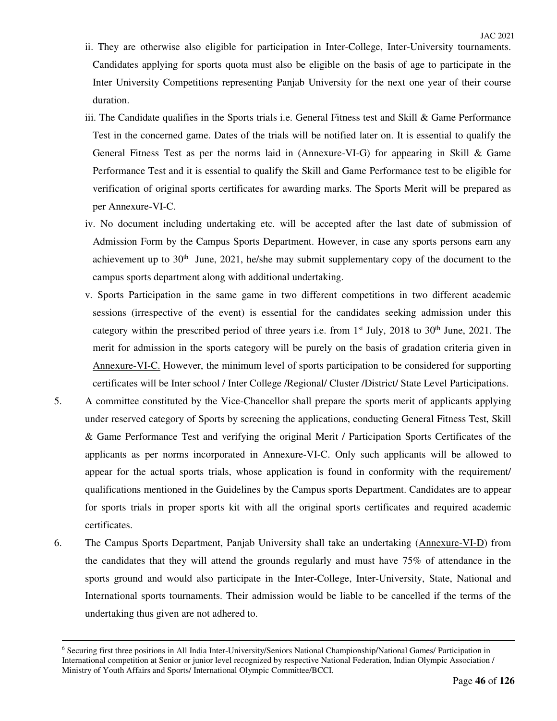- ii. They are otherwise also eligible for participation in Inter-College, Inter-University tournaments. Candidates applying for sports quota must also be eligible on the basis of age to participate in the Inter University Competitions representing Panjab University for the next one year of their course duration.
- iii. The Candidate qualifies in the Sports trials i.e. General Fitness test and Skill  $\&$  Game Performance Test in the concerned game. Dates of the trials will be notified later on. It is essential to qualify the General Fitness Test as per the norms laid in (Annexure-VI-G) for appearing in Skill & Game Performance Test and it is essential to qualify the Skill and Game Performance test to be eligible for verification of original sports certificates for awarding marks. The Sports Merit will be prepared as per Annexure-VI-C.
- iv. No document including undertaking etc. will be accepted after the last date of submission of Admission Form by the Campus Sports Department. However, in case any sports persons earn any achievement up to  $30<sup>th</sup>$  June, 2021, he/she may submit supplementary copy of the document to the campus sports department along with additional undertaking.
- v. Sports Participation in the same game in two different competitions in two different academic sessions (irrespective of the event) is essential for the candidates seeking admission under this category within the prescribed period of three years i.e. from 1<sup>st</sup> July, 2018 to 30<sup>th</sup> June, 2021. The merit for admission in the sports category will be purely on the basis of gradation criteria given in Annexure-VI-C. However, the minimum level of sports participation to be considered for supporting certificates will be Inter school / Inter College /Regional/ Cluster /District/ State Level Participations.
- 5. A committee constituted by the Vice-Chancellor shall prepare the sports merit of applicants applying under reserved category of Sports by screening the applications, conducting General Fitness Test, Skill & Game Performance Test and verifying the original Merit / Participation Sports Certificates of the applicants as per norms incorporated in Annexure-VI-C. Only such applicants will be allowed to appear for the actual sports trials, whose application is found in conformity with the requirement/ qualifications mentioned in the Guidelines by the Campus sports Department. Candidates are to appear for sports trials in proper sports kit with all the original sports certificates and required academic certificates.
- 6. The Campus Sports Department, Panjab University shall take an undertaking (Annexure-VI-D) from the candidates that they will attend the grounds regularly and must have 75% of attendance in the sports ground and would also participate in the Inter-College, Inter-University, State, National and International sports tournaments. Their admission would be liable to be cancelled if the terms of the undertaking thus given are not adhered to.

 $\overline{a}$ 

<sup>6</sup> Securing first three positions in All India Inter-University/Seniors National Championship/National Games/ Participation in International competition at Senior or junior level recognized by respective National Federation, Indian Olympic Association / Ministry of Youth Affairs and Sports/ International Olympic Committee/BCCI.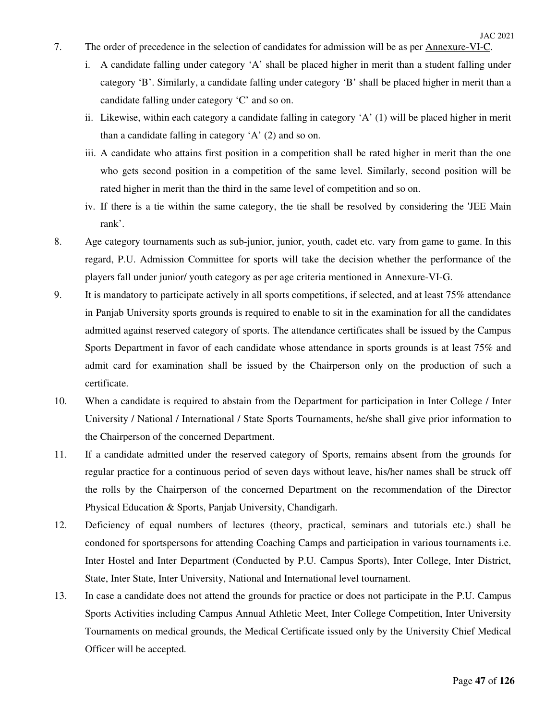- 7. The order of precedence in the selection of candidates for admission will be as per Annexure-VI-C.
	- i. A candidate falling under category 'A' shall be placed higher in merit than a student falling under category 'B'. Similarly, a candidate falling under category 'B' shall be placed higher in merit than a candidate falling under category 'C' and so on.
	- ii. Likewise, within each category a candidate falling in category 'A' (1) will be placed higher in merit than a candidate falling in category 'A' (2) and so on.
	- iii. A candidate who attains first position in a competition shall be rated higher in merit than the one who gets second position in a competition of the same level. Similarly, second position will be rated higher in merit than the third in the same level of competition and so on.
	- iv. If there is a tie within the same category, the tie shall be resolved by considering the 'JEE Main rank'.
- 8. Age category tournaments such as sub-junior, junior, youth, cadet etc. vary from game to game. In this regard, P.U. Admission Committee for sports will take the decision whether the performance of the players fall under junior/ youth category as per age criteria mentioned in Annexure-VI-G.
- 9. It is mandatory to participate actively in all sports competitions, if selected, and at least 75% attendance in Panjab University sports grounds is required to enable to sit in the examination for all the candidates admitted against reserved category of sports. The attendance certificates shall be issued by the Campus Sports Department in favor of each candidate whose attendance in sports grounds is at least 75% and admit card for examination shall be issued by the Chairperson only on the production of such a certificate.
- 10. When a candidate is required to abstain from the Department for participation in Inter College / Inter University / National / International / State Sports Tournaments, he/she shall give prior information to the Chairperson of the concerned Department.
- 11. If a candidate admitted under the reserved category of Sports, remains absent from the grounds for regular practice for a continuous period of seven days without leave, his/her names shall be struck off the rolls by the Chairperson of the concerned Department on the recommendation of the Director Physical Education & Sports, Panjab University, Chandigarh.
- 12. Deficiency of equal numbers of lectures (theory, practical, seminars and tutorials etc.) shall be condoned for sportspersons for attending Coaching Camps and participation in various tournaments i.e. Inter Hostel and Inter Department (Conducted by P.U. Campus Sports), Inter College, Inter District, State, Inter State, Inter University, National and International level tournament.
- 13. In case a candidate does not attend the grounds for practice or does not participate in the P.U. Campus Sports Activities including Campus Annual Athletic Meet, Inter College Competition, Inter University Tournaments on medical grounds, the Medical Certificate issued only by the University Chief Medical Officer will be accepted.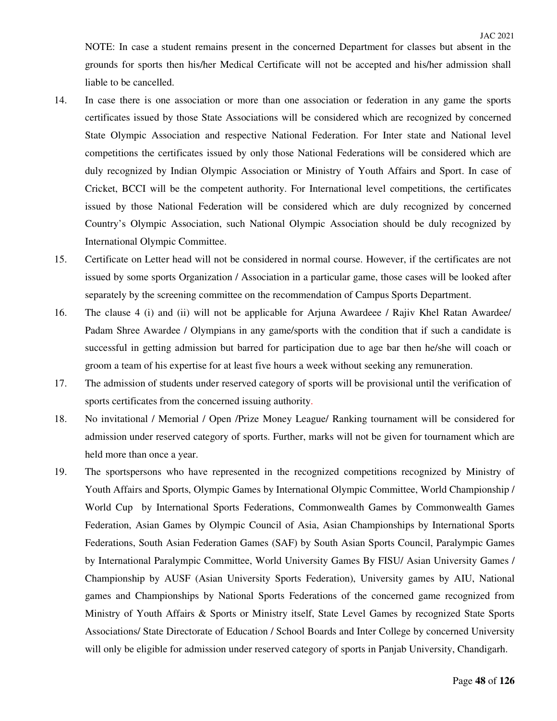NOTE: In case a student remains present in the concerned Department for classes but absent in the grounds for sports then his/her Medical Certificate will not be accepted and his/her admission shall liable to be cancelled.

- 14. In case there is one association or more than one association or federation in any game the sports certificates issued by those State Associations will be considered which are recognized by concerned State Olympic Association and respective National Federation. For Inter state and National level competitions the certificates issued by only those National Federations will be considered which are duly recognized by Indian Olympic Association or Ministry of Youth Affairs and Sport. In case of Cricket, BCCI will be the competent authority. For International level competitions, the certificates issued by those National Federation will be considered which are duly recognized by concerned Country's Olympic Association, such National Olympic Association should be duly recognized by International Olympic Committee.
- 15. Certificate on Letter head will not be considered in normal course. However, if the certificates are not issued by some sports Organization / Association in a particular game, those cases will be looked after separately by the screening committee on the recommendation of Campus Sports Department.
- 16. The clause 4 (i) and (ii) will not be applicable for Arjuna Awardeee / Rajiv Khel Ratan Awardee/ Padam Shree Awardee / Olympians in any game/sports with the condition that if such a candidate is successful in getting admission but barred for participation due to age bar then he/she will coach or groom a team of his expertise for at least five hours a week without seeking any remuneration.
- 17. The admission of students under reserved category of sports will be provisional until the verification of sports certificates from the concerned issuing authority.
- 18. No invitational / Memorial / Open /Prize Money League/ Ranking tournament will be considered for admission under reserved category of sports. Further, marks will not be given for tournament which are held more than once a year.
- 19. The sportspersons who have represented in the recognized competitions recognized by Ministry of Youth Affairs and Sports, Olympic Games by International Olympic Committee, World Championship / World Cup by International Sports Federations, Commonwealth Games by Commonwealth Games Federation, Asian Games by Olympic Council of Asia, Asian Championships by International Sports Federations, South Asian Federation Games (SAF) by South Asian Sports Council, Paralympic Games by International Paralympic Committee, World University Games By FISU/ Asian University Games / Championship by AUSF (Asian University Sports Federation), University games by AIU, National games and Championships by National Sports Federations of the concerned game recognized from Ministry of Youth Affairs & Sports or Ministry itself, State Level Games by recognized State Sports Associations/ State Directorate of Education / School Boards and Inter College by concerned University will only be eligible for admission under reserved category of sports in Panjab University, Chandigarh.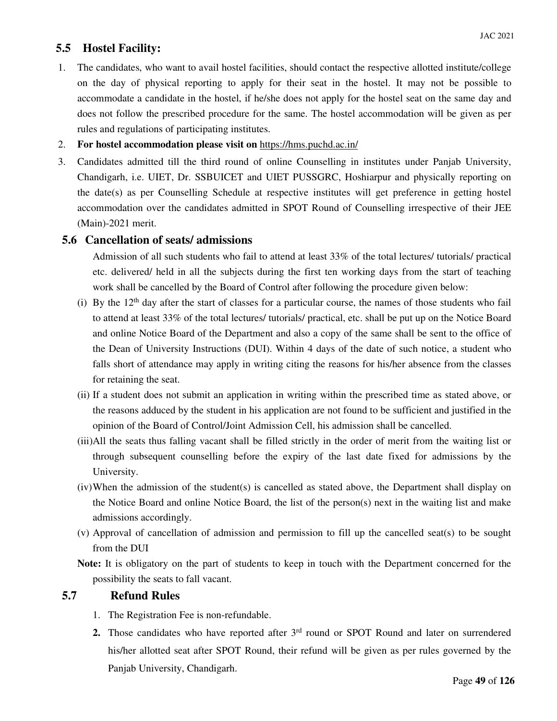# **5.5 Hostel Facility:**

- 1. The candidates, who want to avail hostel facilities, should contact the respective allotted institute/college on the day of physical reporting to apply for their seat in the hostel. It may not be possible to accommodate a candidate in the hostel, if he/she does not apply for the hostel seat on the same day and does not follow the prescribed procedure for the same. The hostel accommodation will be given as per rules and regulations of participating institutes.
- 2. **For hostel accommodation please visit on** https://hms.puchd.ac.in/
- 3. Candidates admitted till the third round of online Counselling in institutes under Panjab University, Chandigarh, i.e. UIET, Dr. SSBUICET and UIET PUSSGRC, Hoshiarpur and physically reporting on the date(s) as per Counselling Schedule at respective institutes will get preference in getting hostel accommodation over the candidates admitted in SPOT Round of Counselling irrespective of their JEE (Main)-2021 merit.

# **5.6 Cancellation of seats/ admissions**

Admission of all such students who fail to attend at least 33% of the total lectures/ tutorials/ practical etc. delivered/ held in all the subjects during the first ten working days from the start of teaching work shall be cancelled by the Board of Control after following the procedure given below:

- (i) By the  $12<sup>th</sup>$  day after the start of classes for a particular course, the names of those students who fail to attend at least 33% of the total lectures/ tutorials/ practical, etc. shall be put up on the Notice Board and online Notice Board of the Department and also a copy of the same shall be sent to the office of the Dean of University Instructions (DUI). Within 4 days of the date of such notice, a student who falls short of attendance may apply in writing citing the reasons for his/her absence from the classes for retaining the seat.
- (ii) If a student does not submit an application in writing within the prescribed time as stated above, or the reasons adduced by the student in his application are not found to be sufficient and justified in the opinion of the Board of Control/Joint Admission Cell, his admission shall be cancelled.
- (iii)All the seats thus falling vacant shall be filled strictly in the order of merit from the waiting list or through subsequent counselling before the expiry of the last date fixed for admissions by the University.
- (iv)When the admission of the student(s) is cancelled as stated above, the Department shall display on the Notice Board and online Notice Board, the list of the person(s) next in the waiting list and make admissions accordingly.
- (v) Approval of cancellation of admission and permission to fill up the cancelled seat(s) to be sought from the DUI

**Note:** It is obligatory on the part of students to keep in touch with the Department concerned for the possibility the seats to fall vacant.

### **5.7 Refund Rules**

- 1. The Registration Fee is non-refundable.
- 2. Those candidates who have reported after 3<sup>rd</sup> round or SPOT Round and later on surrendered his/her allotted seat after SPOT Round, their refund will be given as per rules governed by the Panjab University, Chandigarh.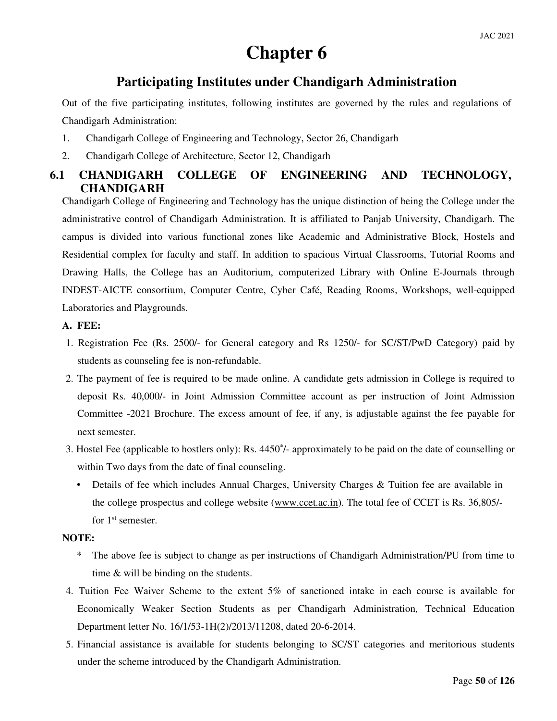# **Chapter 6**

# **Participating Institutes under Chandigarh Administration**

Out of the five participating institutes, following institutes are governed by the rules and regulations of Chandigarh Administration:

- 1. Chandigarh College of Engineering and Technology, Sector 26, Chandigarh
- 2. Chandigarh College of Architecture, Sector 12, Chandigarh

# **6.1 CHANDIGARH COLLEGE OF ENGINEERING AND TECHNOLOGY, CHANDIGARH**

Chandigarh College of Engineering and Technology has the unique distinction of being the College under the administrative control of Chandigarh Administration. It is affiliated to Panjab University, Chandigarh. The campus is divided into various functional zones like Academic and Administrative Block, Hostels and Residential complex for faculty and staff. In addition to spacious Virtual Classrooms, Tutorial Rooms and Drawing Halls, the College has an Auditorium, computerized Library with Online E-Journals through INDEST-AICTE consortium, Computer Centre, Cyber Café, Reading Rooms, Workshops, well-equipped Laboratories and Playgrounds.

### **A. FEE:**

- 1. Registration Fee (Rs. 2500/- for General category and Rs 1250/- for SC/ST/PwD Category) paid by students as counseling fee is non-refundable.
- 2. The payment of fee is required to be made online. A candidate gets admission in College is required to deposit Rs. 40,000/- in Joint Admission Committee account as per instruction of Joint Admission Committee -2021 Brochure. The excess amount of fee, if any, is adjustable against the fee payable for next semester.
- 3. Hostel Fee (applicable to hostlers only): Rs. 4450\* /- approximately to be paid on the date of counselling or within Two days from the date of final counseling.
	- Details of fee which includes Annual Charges, University Charges & Tuition fee are available in the college prospectus and college website (www.ccet.ac.in). The total fee of CCET is Rs. 36,805/ for 1<sup>st</sup> semester.

### **NOTE:**

- \* The above fee is subject to change as per instructions of Chandigarh Administration/PU from time to time & will be binding on the students.
- 4. Tuition Fee Waiver Scheme to the extent 5% of sanctioned intake in each course is available for Economically Weaker Section Students as per Chandigarh Administration, Technical Education Department letter No. 16/1/53-1H(2)/2013/11208, dated 20-6-2014.
- 5. Financial assistance is available for students belonging to SC/ST categories and meritorious students under the scheme introduced by the Chandigarh Administration.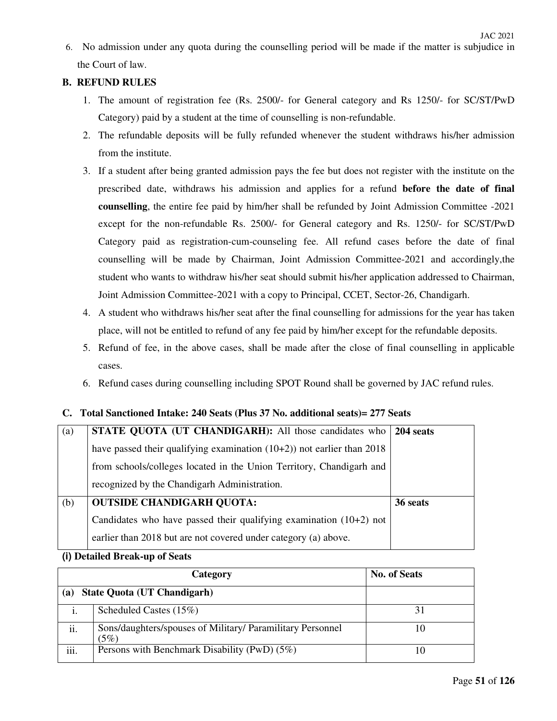6. No admission under any quota during the counselling period will be made if the matter is subjudice in the Court of law.

## **B. REFUND RULES**

- 1. The amount of registration fee (Rs. 2500/- for General category and Rs 1250/- for SC/ST/PwD Category) paid by a student at the time of counselling is non-refundable.
- 2. The refundable deposits will be fully refunded whenever the student withdraws his/her admission from the institute.
- 3. If a student after being granted admission pays the fee but does not register with the institute on the prescribed date, withdraws his admission and applies for a refund **before the date of final counselling**, the entire fee paid by him/her shall be refunded by Joint Admission Committee -2021 except for the non-refundable Rs. 2500/- for General category and Rs. 1250/- for SC/ST/PwD Category paid as registration-cum-counseling fee. All refund cases before the date of final counselling will be made by Chairman, Joint Admission Committee-2021 and accordingly,the student who wants to withdraw his/her seat should submit his/her application addressed to Chairman, Joint Admission Committee-2021 with a copy to Principal, CCET, Sector-26, Chandigarh.
- 4. A student who withdraws his/her seat after the final counselling for admissions for the year has taken place, will not be entitled to refund of any fee paid by him/her except for the refundable deposits.
- 5. Refund of fee, in the above cases, shall be made after the close of final counselling in applicable cases.
- 6. Refund cases during counselling including SPOT Round shall be governed by JAC refund rules.

### **C. Total Sanctioned Intake: 240 Seats (Plus 37 No. additional seats)= 277 Seats**

| (a) | STATE QUOTA (UT CHANDIGARH): All those candidates who                     | 204 seats |
|-----|---------------------------------------------------------------------------|-----------|
|     | have passed their qualifying examination $(10+2)$ ) not earlier than 2018 |           |
|     | from schools/colleges located in the Union Territory, Chandigarh and      |           |
|     | recognized by the Chandigarh Administration.                              |           |
| (b) | <b>OUTSIDE CHANDIGARH QUOTA:</b>                                          | 36 seats  |
|     | Candidates who have passed their qualifying examination $(10+2)$ not      |           |
|     | earlier than 2018 but are not covered under category (a) above.           |           |

#### **(i) Detailed Break-up of Seats**

|      | <b>Category</b>                                                    | <b>No. of Seats</b> |
|------|--------------------------------------------------------------------|---------------------|
| (a)  | <b>State Quota (UT Chandigarh)</b>                                 |                     |
| 1.   | Scheduled Castes (15%)                                             |                     |
| ii.  | Sons/daughters/spouses of Military/ Paramilitary Personnel<br>(5%) |                     |
| iii. | Persons with Benchmark Disability (PwD) $(5\%)$                    |                     |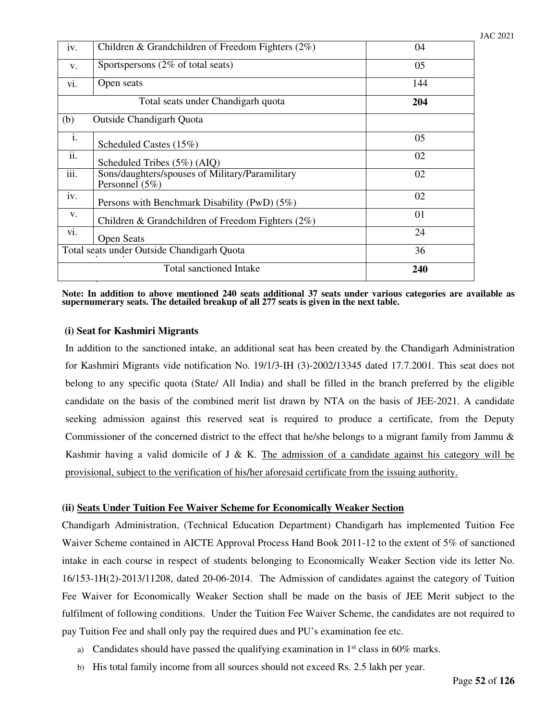| iv.  | Children & Grandchildren of Freedom Fighters $(2\%)$                | 04  |
|------|---------------------------------------------------------------------|-----|
| V.   | Sportspersons (2% of total seats)                                   | 05  |
| vi.  | Open seats                                                          | 144 |
|      | Total seats under Chandigarh quota                                  | 204 |
| (b)  | Outside Chandigarh Quota                                            |     |
| i.   | Scheduled Castes (15%)                                              | 05  |
| ii.  | Scheduled Tribes $(5\%)$ (AIQ)                                      | 02  |
| iii. | Sons/daughters/spouses of Military/Paramilitary<br>Personnel $(5%)$ | 02  |
| iv.  | Persons with Benchmark Disability (PwD) (5%)                        | 02  |
| V.   | Children & Grandchildren of Freedom Fighters $(2\%)$                | 01  |
| vi.  | <b>Open Seats</b>                                                   | 24  |
|      | Total seats under Outside Chandigarh Quota                          | 36  |
|      | <b>Total sanctioned Intake</b>                                      | 240 |

**Note: In addition to above mentioned 240 seats additional 37 seats under various categories are available as supernumerary seats. The detailed breakup of all 277 seats is given in the next table.** 

#### **(i) Seat for Kashmiri Migrants**

In addition to the sanctioned intake, an additional seat has been created by the Chandigarh Administration for Kashmiri Migrants vide notification No. 19/1/3-IH (3)-2002/13345 dated 17.7.2001. This seat does not belong to any specific quota (State/ All India) and shall be filled in the branch preferred by the eligible candidate on the basis of the combined merit list drawn by NTA on the basis of JEE-2021. A candidate seeking admission against this reserved seat is required to produce a certificate, from the Deputy Commissioner of the concerned district to the effect that he/she belongs to a migrant family from Jammu & Kashmir having a valid domicile of J & K. The admission of a candidate against his category will be provisional, subject to the verification of his/her aforesaid certificate from the issuing authority.

#### **(ii) Seats Under Tuition Fee Waiver Scheme for Economically Weaker Section**

Chandigarh Administration, (Technical Education Department) Chandigarh has implemented Tuition Fee Waiver Scheme contained in AICTE Approval Process Hand Book 2011-12 to the extent of 5% of sanctioned intake in each course in respect of students belonging to Economically Weaker Section vide its letter No. 16/153-1H(2)-2013/11208, dated 20-06-2014. The Admission of candidates against the category of Tuition Fee Waiver for Economically Weaker Section shall be made on the basis of JEE Merit subject to the fulfilment of following conditions. Under the Tuition Fee Waiver Scheme, the candidates are not required to pay Tuition Fee and shall only pay the required dues and PU's examination fee etc.

- a) Candidates should have passed the qualifying examination in  $1<sup>st</sup>$  class in 60% marks.
- b) His total family income from all sources should not exceed Rs. 2.5 lakh per year.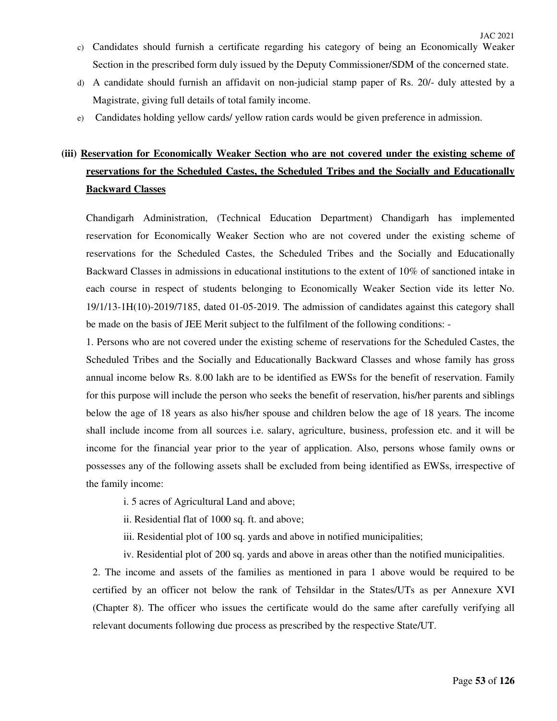- c) Candidates should furnish a certificate regarding his category of being an Economically Weaker Section in the prescribed form duly issued by the Deputy Commissioner/SDM of the concerned state.
- d) A candidate should furnish an affidavit on non-judicial stamp paper of Rs. 20/- duly attested by a Magistrate, giving full details of total family income.
- e) Candidates holding yellow cards/ yellow ration cards would be given preference in admission.

# **(iii) Reservation for Economically Weaker Section who are not covered under the existing scheme of reservations for the Scheduled Castes, the Scheduled Tribes and the Socially and Educationally Backward Classes**

Chandigarh Administration, (Technical Education Department) Chandigarh has implemented reservation for Economically Weaker Section who are not covered under the existing scheme of reservations for the Scheduled Castes, the Scheduled Tribes and the Socially and Educationally Backward Classes in admissions in educational institutions to the extent of 10% of sanctioned intake in each course in respect of students belonging to Economically Weaker Section vide its letter No. 19/1/13-1H(10)-2019/7185, dated 01-05-2019. The admission of candidates against this category shall be made on the basis of JEE Merit subject to the fulfilment of the following conditions: -

1. Persons who are not covered under the existing scheme of reservations for the Scheduled Castes, the Scheduled Tribes and the Socially and Educationally Backward Classes and whose family has gross annual income below Rs. 8.00 lakh are to be identified as EWSs for the benefit of reservation. Family for this purpose will include the person who seeks the benefit of reservation, his/her parents and siblings below the age of 18 years as also his/her spouse and children below the age of 18 years. The income shall include income from all sources i.e. salary, agriculture, business, profession etc. and it will be income for the financial year prior to the year of application. Also, persons whose family owns or possesses any of the following assets shall be excluded from being identified as EWSs, irrespective of the family income:

- i. 5 acres of Agricultural Land and above;
- ii. Residential flat of 1000 sq. ft. and above;
- iii. Residential plot of 100 sq. yards and above in notified municipalities;
- iv. Residential plot of 200 sq. yards and above in areas other than the notified municipalities.

2. The income and assets of the families as mentioned in para 1 above would be required to be certified by an officer not below the rank of Tehsildar in the States/UTs as per Annexure XVI (Chapter 8). The officer who issues the certificate would do the same after carefully verifying all relevant documents following due process as prescribed by the respective State/UT.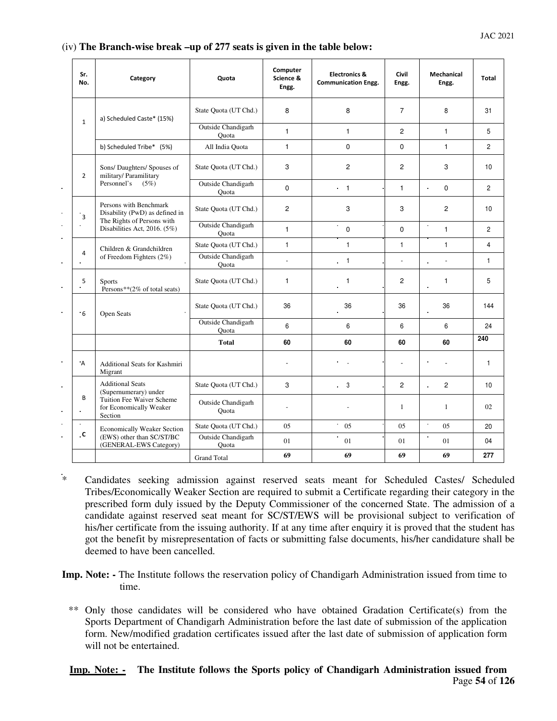#### (iv) **The Branch-wise break –up of 277 seats is given in the table below:**

| Sr.<br>No.          | Category                                                                               | Quota                              | Computer<br>Science &<br>Engg. | <b>Electronics &amp;</b><br><b>Communication Engg.</b> | Civil<br>Engg. | <b>Mechanical</b><br>Engg. | <b>Total</b>   |
|---------------------|----------------------------------------------------------------------------------------|------------------------------------|--------------------------------|--------------------------------------------------------|----------------|----------------------------|----------------|
| $\mathbf 1$         | a) Scheduled Caste* (15%)                                                              | State Quota (UT Chd.)              | 8                              | 8                                                      | $\overline{7}$ | 8                          | 31             |
|                     |                                                                                        | <b>Outside Chandigarh</b><br>Ouota | $\mathbf{1}$                   | $\mathbf{1}$                                           | $\overline{2}$ | $\mathbf{1}$               | 5              |
|                     | b) Scheduled Tribe* (5%)                                                               | All India Quota                    | $\mathbf{1}$                   | 0                                                      | $\mathbf 0$    | $\mathbf{1}$               | $\overline{2}$ |
| $\overline{2}$      | Sons/ Daughters/ Spouses of<br>military/ Paramilitary                                  | State Quota (UT Chd.)              | 3                              | $\overline{c}$                                         | $\overline{2}$ | 3                          | 10             |
|                     | Personnel's<br>(5%)                                                                    | Outside Chandigarh<br>Quota        | $\mathbf 0$                    | $\cdot$ 1                                              | $\mathbf{1}$   | $\mathbf 0$                | $\overline{2}$ |
| $\overline{3}$      | Persons with Benchmark<br>Disability (PwD) as defined in<br>The Rights of Persons with | State Quota (UT Chd.)              | $\overline{2}$                 | 3                                                      | 3              | $\overline{c}$             | 10             |
|                     | Disabilities Act, 2016. (5%)                                                           | <b>Outside Chandigarh</b><br>Quota | $\mathbf{1}$                   | $\bullet$<br>$\mathbf 0$                               | $\Omega$       | $\mathbf{1}$               | $\overline{c}$ |
|                     | Children & Grandchildren                                                               | State Quota (UT Chd.)              | $\mathbf{1}$                   | $\mathbf{1}$                                           | $\mathbf{1}$   | $\mathbf{1}$               | $\overline{4}$ |
| 4                   | of Freedom Fighters $(2\%)$                                                            | Outside Chandigarh<br>Ouota        | $\mathcal{L}$                  | $\overline{1}$                                         | $\overline{a}$ |                            | $\mathbf{1}$   |
| 5<br>$\blacksquare$ | <b>Sports</b><br>Persons**(2% of total seats)                                          | State Quota (UT Chd.)              | $\mathbf{1}$                   | $\mathbf{1}$                                           | $\overline{2}$ | $\mathbf{1}$               | 5              |
| .6                  | Open Seats                                                                             | State Quota (UT Chd.)              | 36                             | 36                                                     | 36             | 36                         | 144            |
|                     |                                                                                        | <b>Outside Chandigarh</b><br>Ouota | 6                              | 6                                                      | 6              | 6                          | 24             |
|                     |                                                                                        | <b>Total</b>                       | 60                             | 60                                                     | 60             | 60                         | 240            |
| $\overline{A}$      | <b>Additional Seats for Kashmiri</b><br>Migrant                                        |                                    |                                |                                                        |                |                            | 1              |
|                     | <b>Additional Seats</b><br>(Supernumerary) under                                       | State Quota (UT Chd.)              | 3                              | $\overline{\phantom{0}}$ 3                             | $\overline{2}$ | $\overline{2}$             | 10             |
| B                   | Tuition Fee Waiver Scheme<br>for Economically Weaker<br>Section                        | Outside Chandigarh<br>Ouota        |                                |                                                        | $\mathbf{1}$   | $\mathbf{1}$               | 02             |
| ×.                  | <b>Economically Weaker Section</b>                                                     | State Quota (UT Chd.)              | 05                             | $\bullet$<br>05                                        | 05             | $\hat{\textbf{r}}$<br>05   | 20             |
| $\mathbf{c}$        | (EWS) other than SC/ST/BC<br>(GENERAL-EWS Category)                                    | Outside Chandigarh<br>Ouota        | 01                             | 01                                                     | 01             | ä,<br>01                   | 04             |
|                     |                                                                                        | <b>Grand Total</b>                 | 69                             | 69                                                     | 69             | 69                         | 277            |

\* Candidates seeking admission against reserved seats meant for Scheduled Castes/ Scheduled Tribes/Economically Weaker Section are required to submit a Certificate regarding their category in the prescribed form duly issued by the Deputy Commissioner of the concerned State. The admission of a candidate against reserved seat meant for SC/ST/EWS will be provisional subject to verification of his/her certificate from the issuing authority. If at any time after enquiry it is proved that the student has got the benefit by misrepresentation of facts or submitting false documents, his/her candidature shall be deemed to have been cancelled.

- **Imp. Note: -** The Institute follows the reservation policy of Chandigarh Administration issued from time to time.
	- \*\* Only those candidates will be considered who have obtained Gradation Certificate(s) from the Sports Department of Chandigarh Administration before the last date of submission of the application form. New/modified gradation certificates issued after the last date of submission of application form will not be entertained.

#### Page **54** of **126 Imp. Note: - The Institute follows the Sports policy of Chandigarh Administration issued from**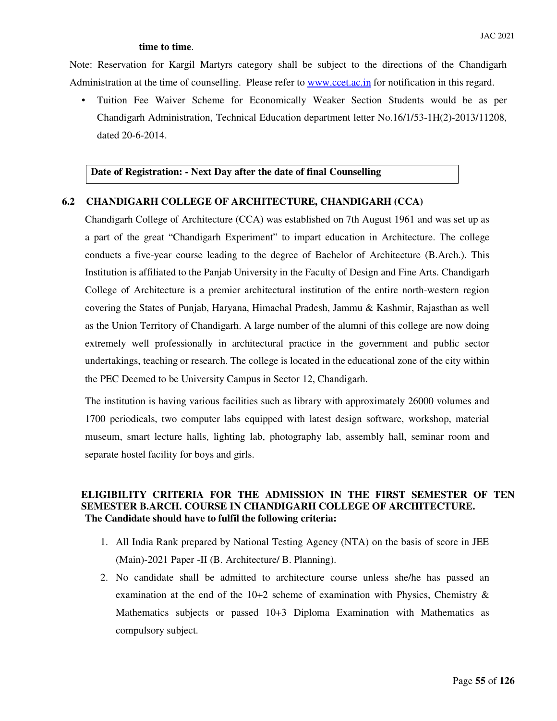#### **time to time**.

 Note: Reservation for Kargil Martyrs category shall be subject to the directions of the Chandigarh Administration at the time of counselling. Please refer to www.ccet.ac.in for notification in this regard.

• Tuition Fee Waiver Scheme for Economically Weaker Section Students would be as per Chandigarh Administration, Technical Education department letter No.16/1/53-1H(2)-2013/11208, dated 20-6-2014.

#### **Date of Registration: - Next Day after the date of final Counselling**

#### **6.2 CHANDIGARH COLLEGE OF ARCHITECTURE, CHANDIGARH (CCA)**

Chandigarh College of Architecture (CCA) was established on 7th August 1961 and was set up as a part of the great "Chandigarh Experiment" to impart education in Architecture. The college conducts a five-year course leading to the degree of Bachelor of Architecture (B.Arch.). This Institution is affiliated to the Panjab University in the Faculty of Design and Fine Arts. Chandigarh College of Architecture is a premier architectural institution of the entire north-western region covering the States of Punjab, Haryana, Himachal Pradesh, Jammu & Kashmir, Rajasthan as well as the Union Territory of Chandigarh. A large number of the alumni of this college are now doing extremely well professionally in architectural practice in the government and public sector undertakings, teaching or research. The college is located in the educational zone of the city within the PEC Deemed to be University Campus in Sector 12, Chandigarh.

The institution is having various facilities such as library with approximately 26000 volumes and 1700 periodicals, two computer labs equipped with latest design software, workshop, material museum, smart lecture halls, lighting lab, photography lab, assembly hall, seminar room and separate hostel facility for boys and girls.

#### **ELIGIBILITY CRITERIA FOR THE ADMISSION IN THE FIRST SEMESTER OF TEN SEMESTER B.ARCH. COURSE IN CHANDIGARH COLLEGE OF ARCHITECTURE. The Candidate should have to fulfil the following criteria:**

- 1. All India Rank prepared by National Testing Agency (NTA) on the basis of score in JEE (Main)-2021 Paper -II (B. Architecture/ B. Planning).
- 2. No candidate shall be admitted to architecture course unless she/he has passed an examination at the end of the 10+2 scheme of examination with Physics, Chemistry & Mathematics subjects or passed 10+3 Diploma Examination with Mathematics as compulsory subject.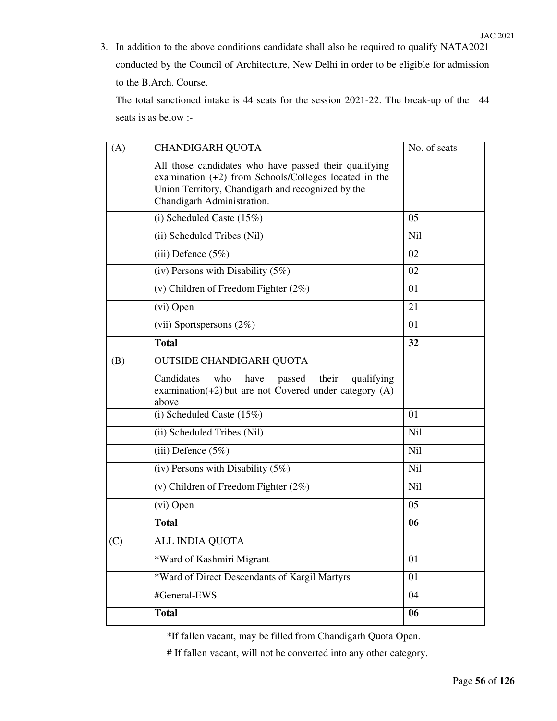The total sanctioned intake is 44 seats for the session 2021-22. The break-up of the 44 seats is as below :-

| (A) | <b>CHANDIGARH QUOTA</b>                                                                                                           | No. of seats |
|-----|-----------------------------------------------------------------------------------------------------------------------------------|--------------|
|     | All those candidates who have passed their qualifying<br>examination $(+2)$ from Schools/Colleges located in the                  |              |
|     | Union Territory, Chandigarh and recognized by the<br>Chandigarh Administration.                                                   |              |
|     | (i) Scheduled Caste $(15\%)$                                                                                                      | 05           |
|     | (ii) Scheduled Tribes (Nil)                                                                                                       | <b>Nil</b>   |
|     | (iii) Defence $(5\%)$                                                                                                             | 02           |
|     | (iv) Persons with Disability $(5\%)$                                                                                              | 02           |
|     | (v) Children of Freedom Fighter $(2\%)$                                                                                           | 01           |
|     | (vi) Open                                                                                                                         | 21           |
|     | (vii) Sportspersons $(2\%)$                                                                                                       | 01           |
|     | <b>Total</b>                                                                                                                      | 32           |
| (B) | <b>OUTSIDE CHANDIGARH QUOTA</b>                                                                                                   |              |
|     | Candidates<br>who<br>have<br>passed<br>their<br>qualifying<br>examination( $+2$ ) but are not Covered under category (A)<br>above |              |
|     | (i) Scheduled Caste $(15\%)$                                                                                                      | 01           |
|     | (ii) Scheduled Tribes (Nil)                                                                                                       | Nil          |
|     | (iii) Defence $(5\%)$                                                                                                             | <b>Nil</b>   |
|     | (iv) Persons with Disability $(5\%)$                                                                                              | <b>Nil</b>   |
|     | (v) Children of Freedom Fighter $(2\%)$                                                                                           | <b>Nil</b>   |
|     | (vi) Open                                                                                                                         | 05           |
|     | <b>Total</b>                                                                                                                      | 06           |
| (C) | ALL INDIA QUOTA                                                                                                                   |              |
|     | *Ward of Kashmiri Migrant                                                                                                         | 01           |
|     | *Ward of Direct Descendants of Kargil Martyrs                                                                                     | 01           |
|     | #General-EWS                                                                                                                      | 04           |
|     | <b>Total</b>                                                                                                                      | 06           |
|     |                                                                                                                                   |              |

\*If fallen vacant, may be filled from Chandigarh Quota Open.

# If fallen vacant, will not be converted into any other category.

JAC 2021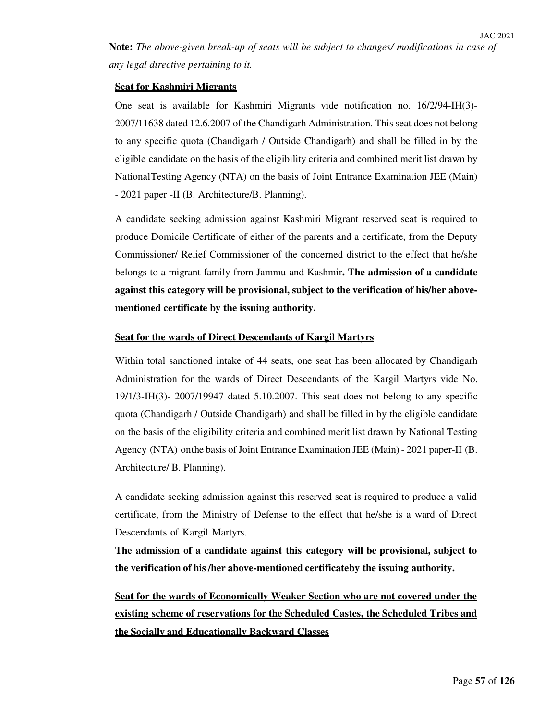**Note:** *The above-given break-up of seats will be subject to changes/ modifications in case of any legal directive pertaining to it.*

#### **Seat for Kashmiri Migrants**

One seat is available for Kashmiri Migrants vide notification no. 16/2/94-IH(3)- 2007/11638 dated 12.6.2007 of the Chandigarh Administration. This seat does not belong to any specific quota (Chandigarh / Outside Chandigarh) and shall be filled in by the eligible candidate on the basis of the eligibility criteria and combined merit list drawn by National Testing Agency (NTA) on the basis of Joint Entrance Examination JEE (Main) - 2021 paper -II (B. Architecture/B. Planning).

A candidate seeking admission against Kashmiri Migrant reserved seat is required to produce Domicile Certificate of either of the parents and a certificate, from the Deputy Commissioner/ Relief Commissioner of the concerned district to the effect that he/she belongs to a migrant family from Jammu and Kashmir**. The admission of a candidate against this category will be provisional, subject to the verification of his/her abovementioned certificate by the issuing authority.** 

#### **Seat for the wards of Direct Descendants of Kargil Martyrs**

Within total sanctioned intake of 44 seats, one seat has been allocated by Chandigarh Administration for the wards of Direct Descendants of the Kargil Martyrs vide No. 19/1/3-IH(3)- 2007/19947 dated 5.10.2007. This seat does not belong to any specific quota (Chandigarh / Outside Chandigarh) and shall be filled in by the eligible candidate on the basis of the eligibility criteria and combined merit list drawn by National Testing Agency (NTA) on the basis of Joint Entrance Examination JEE (Main) - 2021 paper-II (B. Architecture/ B. Planning).

A candidate seeking admission against this reserved seat is required to produce a valid certificate, from the Ministry of Defense to the effect that he/she is a ward of Direct Descendants of Kargil Martyrs.

**The admission of a candidate against this category will be provisional, subject to the verification of his /her above-mentioned certificate by the issuing authority.** 

**Seat for the wards of Economically Weaker Section who are not covered under the existing scheme of reservations for the Scheduled Castes, the Scheduled Tribes and the Socially and Educationally Backward Classes**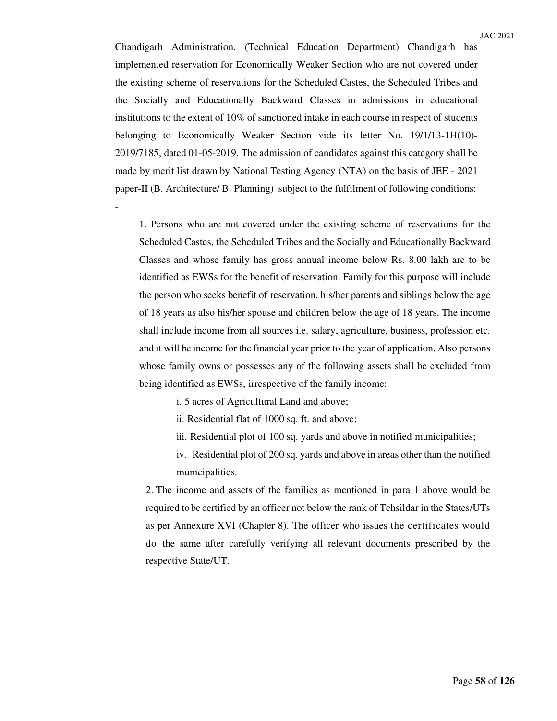Chandigarh Administration, (Technical Education Department) Chandigarh has implemented reservation for Economically Weaker Section who are not covered under the existing scheme of reservations for the Scheduled Castes, the Scheduled Tribes and the Socially and Educationally Backward Classes in admissions in educational institutions to the extent of 10% of sanctioned intake in each course in respect of students belonging to Economically Weaker Section vide its letter No. 19/1/13-1H(10)- 2019/7185, dated 01-05-2019. The admission of candidates against this category shall be made by merit list drawn by National Testing Agency (NTA) on the basis of JEE - 2021 paper-II (B. Architecture/ B. Planning) subject to the fulfilment of following conditions:

1. Persons who are not covered under the existing scheme of reservations for the Scheduled Castes, the Scheduled Tribes and the Socially and Educationally Backward Classes and whose family has gross annual income below Rs. 8.00 lakh are to be identified as EWSs for the benefit of reservation. Family for this purpose will include the person who seeks benefit of reservation, his/her parents and siblings below the age of 18 years as also his/her spouse and children below the age of 18 years. The income shall include income from all sources i.e. salary, agriculture, business, profession etc. and it will be income for the financial year prior to the year of application. Also persons whose family owns or possesses any of the following assets shall be excluded from being identified as EWSs, irrespective of the family income:

i. 5 acres of Agricultural Land and above;

-

ii. Residential flat of 1000 sq. ft. and above;

iii. Residential plot of 100 sq. yards and above in notified municipalities;

iv. Residential plot of 200 sq. yards and above in areas other than the notified municipalities.

2. The income and assets of the families as mentioned in para 1 above would be required to be certified by an officer not below the rank of Tehsildar in the States/UTs as per Annexure XVI (Chapter 8). The officer who issues the certificates would do the same after carefully verifying all relevant documents prescribed by the respective State/UT.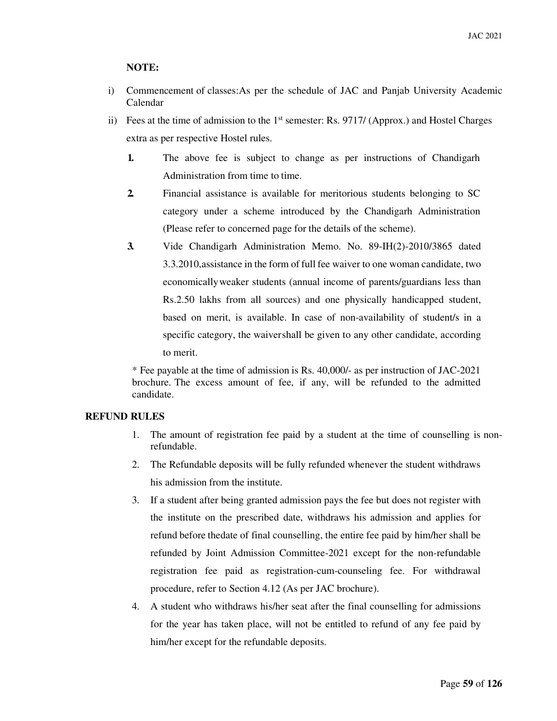#### **NOTE:**

- i) Commencement of classes: As per the schedule of JAC and Panjab University Academic Calendar
- ii) Fees at the time of admission to the  $1<sup>st</sup>$  semester: Rs. 9717/ (Approx.) and Hostel Charges extra as per respective Hostel rules.
	- **1.** The above fee is subject to change as per instructions of Chandigarh Administration from time to time.
	- **2.** Financial assistance is available for meritorious students belonging to SC category under a scheme introduced by the Chandigarh Administration (Please refer to concerned page for the details of the scheme).
	- **3.** Vide Chandigarh Administration Memo. No. 89-IH(2)-2010/3865 dated 3.3.2010, assistance in the form of full fee waiver to one woman candidate, two economically weaker students (annual income of parents/guardians less than Rs.2.50 lakhs from all sources) and one physically handicapped student, based on merit, is available. In case of non-availability of student/s in a specific category, the waiver shall be given to any other candidate, according to merit.

\* Fee payable at the time of admission is Rs. 40,000/- as per instruction of JAC-2021 brochure. The excess amount of fee, if any, will be refunded to the admitted candidate.

#### **REFUND RULES**

- 1. The amount of registration fee paid by a student at the time of counselling is nonrefundable.
- 2. The Refundable deposits will be fully refunded whenever the student withdraws his admission from the institute.
- 3. If a student after being granted admission pays the fee but does not register with the institute on the prescribed date, withdraws his admission and applies for refund before the date of final counselling, the entire fee paid by him/her shall be refunded by Joint Admission Committee-2021 except for the non-refundable registration fee paid as registration-cum-counseling fee. For withdrawal procedure, refer to Section 4.12 (As per JAC brochure).
- 4. A student who withdraws his/her seat after the final counselling for admissions for the year has taken place, will not be entitled to refund of any fee paid by him/her except for the refundable deposits.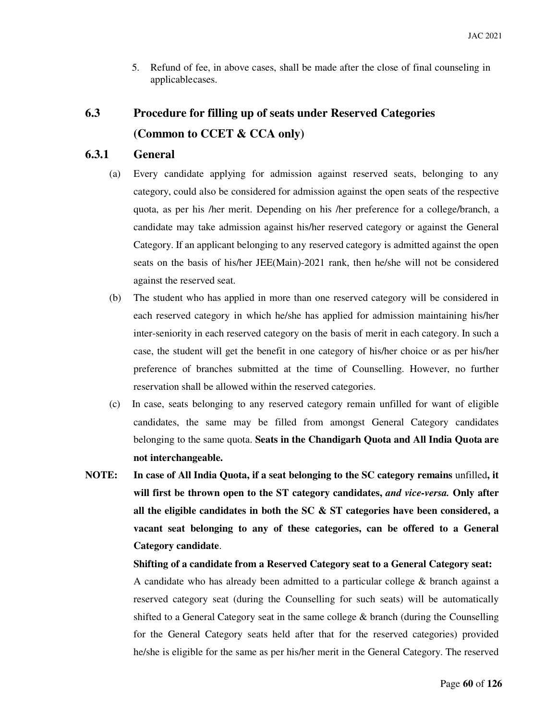5. Refund of fee, in above cases, shall be made after the close of final counseling in applicable cases.

# **6.3 Procedure for filling up of seats under Reserved Categories (Common to CCET & CCA only)**

### **6.3.1 General**

- (a) Every candidate applying for admission against reserved seats, belonging to any category, could also be considered for admission against the open seats of the respective quota, as per his /her merit. Depending on his /her preference for a college/branch, a candidate may take admission against his/her reserved category or against the General Category. If an applicant belonging to any reserved category is admitted against the open seats on the basis of his/her JEE(Main)-2021 rank, then he/she will not be considered against the reserved seat.
- (b) The student who has applied in more than one reserved category will be considered in each reserved category in which he/she has applied for admission maintaining his/her inter-seniority in each reserved category on the basis of merit in each category. In such a case, the student will get the benefit in one category of his/her choice or as per his/her preference of branches submitted at the time of Counselling. However, no further reservation shall be allowed within the reserved categories.
- (c) In case, seats belonging to any reserved category remain unfilled for want of eligible candidates, the same may be filled from amongst General Category candidates belonging to the same quota. **Seats in the Chandigarh Quota and All India Quota are not interchangeable.**
- **NOTE: In case of All India Quota, if a seat belonging to the SC category remains** unfilled**, it will first be thrown open to the ST category candidates,** *and vice-versa.* **Only after all the eligible candidates in both the SC & ST categories have been considered, a vacant seat belonging to any of these categories, can be offered to a General Category candidate**.

#### **Shifting of a candidate from a Reserved Category seat to a General Category seat:**

A candidate who has already been admitted to a particular college & branch against a reserved category seat (during the Counselling for such seats) will be automatically shifted to a General Category seat in the same college  $\&$  branch (during the Counselling for the General Category seats held after that for the reserved categories) provided he/she is eligible for the same as per his/her merit in the General Category. The reserved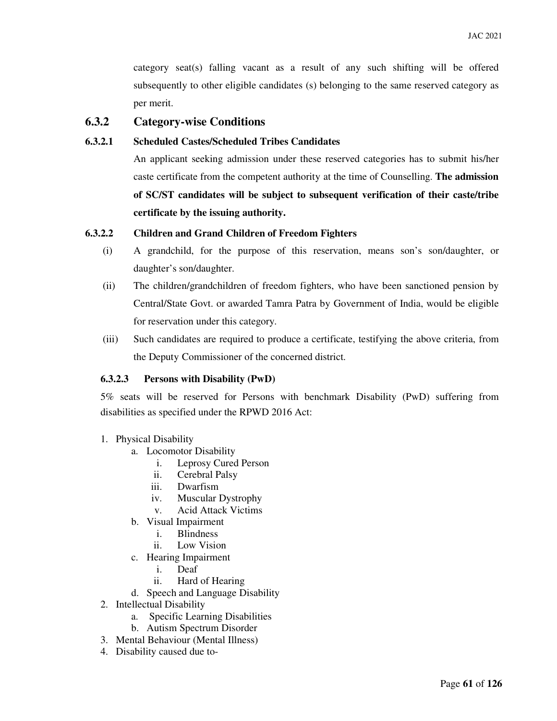category seat(s) falling vacant as a result of any such shifting will be offered subsequently to other eligible candidates (s) belonging to the same reserved category as per merit.

## **6.3.2 Category-wise Conditions**

#### **6.3.2.1 Scheduled Castes/Scheduled Tribes Candidates**

An applicant seeking admission under these reserved categories has to submit his/her caste certificate from the competent authority at the time of Counselling. **The admission of SC/ST candidates will be subject to subsequent verification of their caste/tribe certificate by the issuing authority.**

#### **6.3.2.2 Children and Grand Children of Freedom Fighters**

- (i) A grandchild, for the purpose of this reservation, means son's son/daughter, or daughter's son/daughter.
- (ii) The children/grandchildren of freedom fighters, who have been sanctioned pension by Central/State Govt. or awarded Tamra Patra by Government of India, would be eligible for reservation under this category.
- (iii) Such candidates are required to produce a certificate, testifying the above criteria, from the Deputy Commissioner of the concerned district.

#### **6.3.2.3 Persons with Disability (PwD)**

5% seats will be reserved for Persons with benchmark Disability (PwD) suffering from disabilities as specified under the RPWD 2016 Act:

- 1. Physical Disability
	- a. Locomotor Disability
		- i. Leprosy Cured Person
		- ii. Cerebral Palsy
		- iii. Dwarfism
		- iv. Muscular Dystrophy
		- v. Acid Attack Victims
	- b. Visual Impairment
		- i. Blindness
		- ii. Low Vision
	- c. Hearing Impairment
		- i. Deaf
		- ii. Hard of Hearing
	- d. Speech and Language Disability
- 2. Intellectual Disability
	- a. Specific Learning Disabilities
	- b. Autism Spectrum Disorder
- 3. Mental Behaviour (Mental Illness)
- 4. Disability caused due to-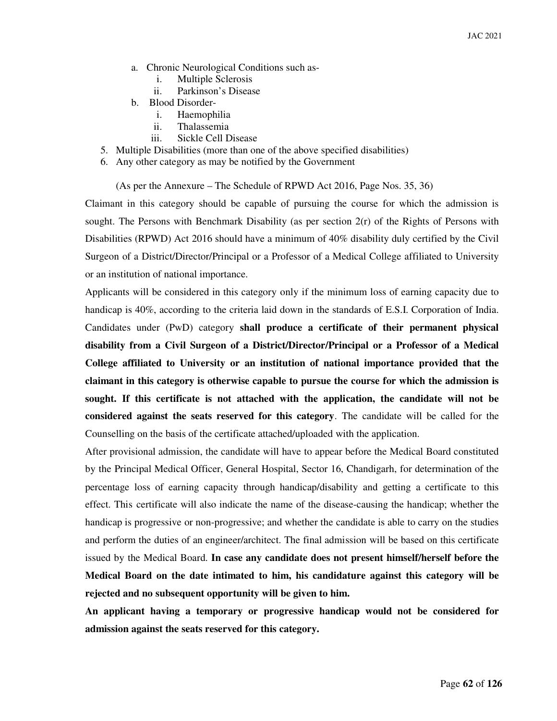- a. Chronic Neurological Conditions such as
	- i. Multiple Sclerosis
	- ii. Parkinson's Disease
- b. Blood Disorder
	- i. Haemophilia
	- ii. Thalassemia
	- iii. Sickle Cell Disease
- 5. Multiple Disabilities (more than one of the above specified disabilities)
- 6. Any other category as may be notified by the Government

(As per the Annexure – The Schedule of RPWD Act 2016, Page Nos. 35, 36)

Claimant in this category should be capable of pursuing the course for which the admission is sought. The Persons with Benchmark Disability (as per section 2(r) of the Rights of Persons with Disabilities (RPWD) Act 2016 should have a minimum of 40% disability duly certified by the Civil Surgeon of a District/Director/Principal or a Professor of a Medical College affiliated to University or an institution of national importance.

Applicants will be considered in this category only if the minimum loss of earning capacity due to handicap is 40%, according to the criteria laid down in the standards of E.S.I. Corporation of India. Candidates under (PwD) category **shall produce a certificate of their permanent physical disability from a Civil Surgeon of a District/Director/Principal or a Professor of a Medical College affiliated to University or an institution of national importance provided that the claimant in this category is otherwise capable to pursue the course for which the admission is sought. If this certificate is not attached with the application, the candidate will not be considered against the seats reserved for this category**. The candidate will be called for the Counselling on the basis of the certificate attached/uploaded with the application.

After provisional admission, the candidate will have to appear before the Medical Board constituted by the Principal Medical Officer, General Hospital, Sector 16, Chandigarh, for determination of the percentage loss of earning capacity through handicap/disability and getting a certificate to this effect. This certificate will also indicate the name of the disease-causing the handicap; whether the handicap is progressive or non-progressive; and whether the candidate is able to carry on the studies and perform the duties of an engineer/architect. The final admission will be based on this certificate issued by the Medical Board. **In case any candidate does not present himself/herself before the Medical Board on the date intimated to him, his candidature against this category will be rejected and no subsequent opportunity will be given to him.**

**An applicant having a temporary or progressive handicap would not be considered for admission against the seats reserved for this category.**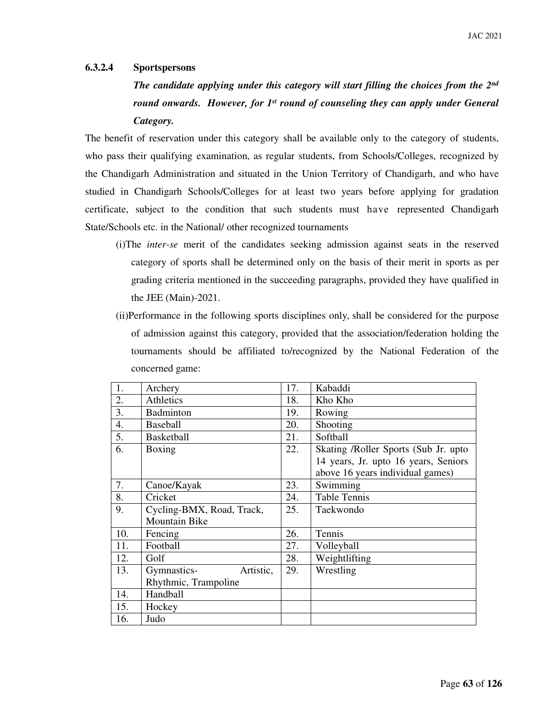#### **6.3.2.4 Sportspersons**

*The candidate applying under this category will start filling the choices from the 2nd round onwards. However, for 1st round of counseling they can apply under General Category.*

The benefit of reservation under this category shall be available only to the category of students, who pass their qualifying examination, as regular students, from Schools/Colleges, recognized by the Chandigarh Administration and situated in the Union Territory of Chandigarh, and who have studied in Chandigarh Schools/Colleges for at least two years before applying for gradation certificate, subject to the condition that such students must have represented Chandigarh State/Schools etc. in the National/ other recognized tournaments

- (i)The *inter-se* merit of the candidates seeking admission against seats in the reserved category of sports shall be determined only on the basis of their merit in sports as per grading criteria mentioned in the succeeding paragraphs, provided they have qualified in the JEE (Main)-2021.
- (ii)Performance in the following sports disciplines only, shall be considered for the purpose of admission against this category, provided that the association/federation holding the tournaments should be affiliated to/recognized by the National Federation of the concerned game:

| 1.               | Archery                   | 17. | Kabaddi                              |
|------------------|---------------------------|-----|--------------------------------------|
| 2.               | Athletics                 | 18. | Kho Kho                              |
| 3.               | <b>Badminton</b>          | 19. | Rowing                               |
| $\overline{4}$ . | <b>Baseball</b>           | 20. | Shooting                             |
| 5.               | <b>Basketball</b>         | 21. | Softball                             |
| 6.               | Boxing                    | 22. | Skating /Roller Sports (Sub Jr. upto |
|                  |                           |     | 14 years, Jr. upto 16 years, Seniors |
|                  |                           |     | above 16 years individual games)     |
| 7.               | Canoe/Kayak               | 23. | Swimming                             |
| 8.               | Cricket                   | 24. | <b>Table Tennis</b>                  |
| 9.               | Cycling-BMX, Road, Track, | 25. | Taekwondo                            |
|                  | Mountain Bike             |     |                                      |
| 10.              | Fencing                   | 26. | Tennis                               |
| 11.              | Football                  | 27. | Volleyball                           |
| 12.              | Golf                      | 28. | Weightlifting                        |
| 13.              | Gymnastics-<br>Artistic,  | 29. | Wrestling                            |
|                  | Rhythmic, Trampoline      |     |                                      |
| 14.              | Handball                  |     |                                      |
| 15.              | Hockey                    |     |                                      |
| 16.              | Judo                      |     |                                      |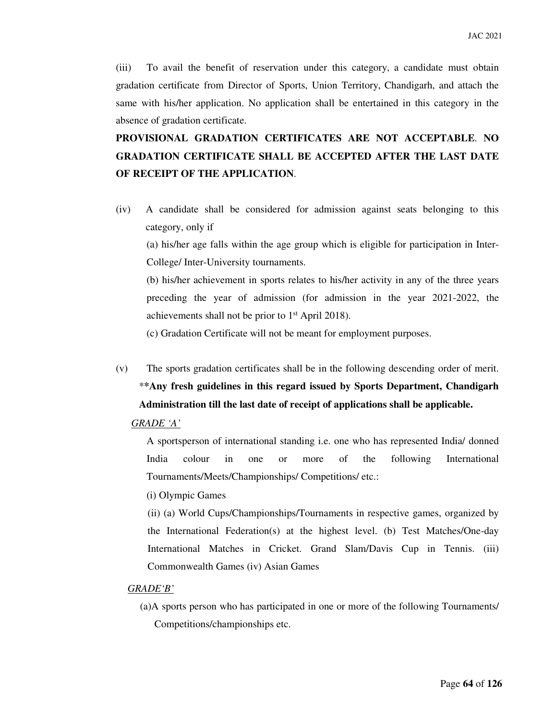(iii) To avail the benefit of reservation under this category, a candidate must obtain gradation certificate from Director of Sports, Union Territory, Chandigarh, and attach the same with his/her application. No application shall be entertained in this category in the absence of gradation certificate.

# **PROVISIONAL GRADATION CERTIFICATES ARE NOT ACCEPTABLE**. **NO GRADATION CERTIFICATE SHALL BE ACCEPTED AFTER THE LAST DATE OF RECEIPT OF THE APPLICATION**.

(iv) A candidate shall be considered for admission against seats belonging to this category, only if

(a) his/her age falls within the age group which is eligible for participation in Inter-College/ Inter-University tournaments.

(b) his/her achievement in sports relates to his/her activity in any of the three years preceding the year of admission (for admission in the year 2021-2022, the achievements shall not be prior to  $1<sup>st</sup>$  April 2018).

(c) Gradation Certificate will not be meant for employment purposes.

(v) The sports gradation certificates shall be in the following descending order of merit. \***\*Any fresh guidelines in this regard issued by Sports Department, Chandigarh Administration till the last date of receipt of applications shall be applicable.** 

#### *GRADE 'A'*

A sportsperson of international standing i.e. one who has represented India/ donned India colour in one or more of the following International Tournaments/Meets/Championships/ Competitions/ etc.:

(i) Olympic Games

(ii) (a) World Cups/Championships/Tournaments in respective games, organized by the International Federation(s) at the highest level. (b) Test Matches/One-day International Matches in Cricket. Grand Slam/Davis Cup in Tennis. (iii) Commonwealth Games (iv) Asian Games

#### *GRADE'B'*

(a)A sports person who has participated in one or more of the following Tournaments/ Competitions/championships etc.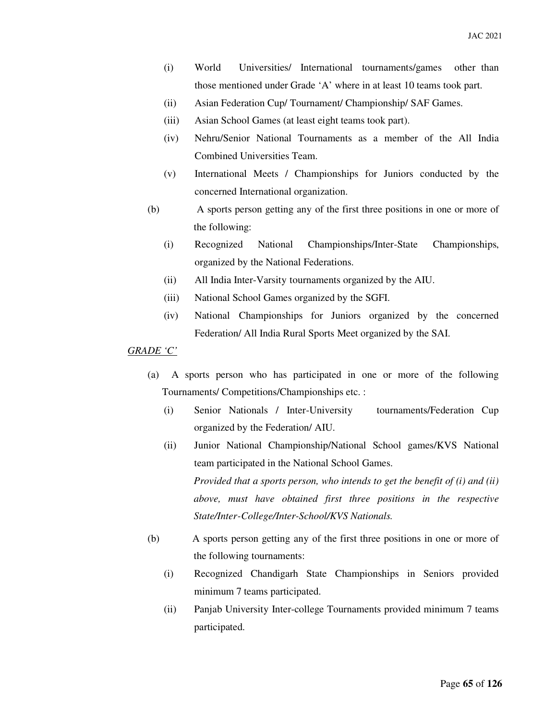- (i) World Universities/ International tournaments/games other than those mentioned under Grade 'A' where in at least 10 teams took part.
- (ii) Asian Federation Cup/ Tournament/ Championship/ SAF Games.
- (iii) Asian School Games (at least eight teams took part).
- (iv) Nehru/Senior National Tournaments as a member of the All India Combined Universities Team.
- (v) International Meets / Championships for Juniors conducted by the concerned International organization.
- (b) A sports person getting any of the first three positions in one or more of the following:
	- (i) Recognized National Championships/Inter-State Championships, organized by the National Federations.
	- (ii) All India Inter-Varsity tournaments organized by the AIU.
	- (iii) National School Games organized by the SGFI.
	- (iv) National Championships for Juniors organized by the concerned Federation/ All India Rural Sports Meet organized by the SAI.

#### *GRADE 'C'*

- (a) A sports person who has participated in one or more of the following Tournaments/ Competitions/Championships etc. :
	- (i) Senior Nationals / Inter-University tournaments/Federation Cup organized by the Federation/ AIU.
	- (ii) Junior National Championship/National School games/KVS National team participated in the National School Games. *Provided that a sports person, who intends to get the benefit of (i) and (ii) above, must have obtained first three positions in the respective State/Inter-College/Inter-School/KVS Nationals.*
- (b) A sports person getting any of the first three positions in one or more of the following tournaments:
	- (i) Recognized Chandigarh State Championships in Seniors provided minimum 7 teams participated.
	- (ii) Panjab University Inter-college Tournaments provided minimum 7 teams participated.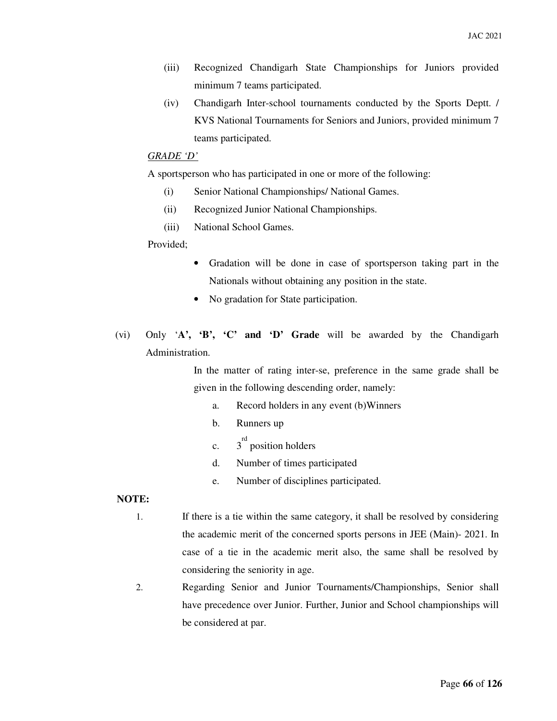- (iii) Recognized Chandigarh State Championships for Juniors provided minimum 7 teams participated.
- (iv) Chandigarh Inter-school tournaments conducted by the Sports Deptt. / KVS National Tournaments for Seniors and Juniors, provided minimum 7 teams participated.

#### *GRADE 'D'*

A sportsperson who has participated in one or more of the following:

- (i) Senior National Championships/ National Games.
- (ii) Recognized Junior National Championships.
- (iii) National School Games.

#### Provided;

- Gradation will be done in case of sportsperson taking part in the Nationals without obtaining any position in the state.
- No gradation for State participation.
- (vi) Only '**A', 'B', 'C' and 'D' Grade** will be awarded by the Chandigarh Administration.

In the matter of rating inter-se, preference in the same grade shall be given in the following descending order, namely:

- a. Record holders in any event (b)Winners
- b. Runners up
- $\mathbf{c}$ . rd position holders
- d. Number of times participated
- e. Number of disciplines participated.

#### **NOTE:**

- 1. If there is a tie within the same category, it shall be resolved by considering the academic merit of the concerned sports persons in JEE (Main)- 2021. In case of a tie in the academic merit also, the same shall be resolved by considering the seniority in age.
- 2. Regarding Senior and Junior Tournaments/Championships, Senior shall have precedence over Junior. Further, Junior and School championships will be considered at par.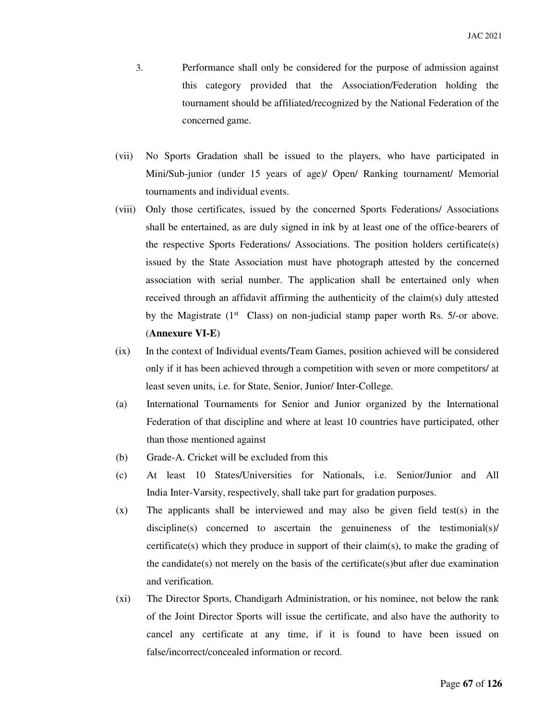- 3. Performance shall only be considered for the purpose of admission against this category provided that the Association/Federation holding the tournament should be affiliated/recognized by the National Federation of the concerned game.
- (vii) No Sports Gradation shall be issued to the players, who have participated in Mini/Sub-junior (under 15 years of age)/ Open/ Ranking tournament/ Memorial tournaments and individual events.
- (viii) Only those certificates, issued by the concerned Sports Federations/ Associations shall be entertained, as are duly signed in ink by at least one of the office-bearers of the respective Sports Federations/ Associations. The position holders certificate(s) issued by the State Association must have photograph attested by the concerned association with serial number. The application shall be entertained only when received through an affidavit affirming the authenticity of the claim(s) duly attested by the Magistrate  $(1^{st}$  Class) on non-judicial stamp paper worth Rs. 5/-or above. (**Annexure VI-E**)
- (ix) In the context of Individual events/Team Games, position achieved will be considered only if it has been achieved through a competition with seven or more competitors/ at least seven units, i.e. for State, Senior, Junior/ Inter-College.
- (a) International Tournaments for Senior and Junior organized by the International Federation of that discipline and where at least 10 countries have participated, other than those mentioned against
- (b) Grade-A. Cricket will be excluded from this
- (c) At least 10 States/Universities for Nationals, i.e. Senior/Junior and All India Inter-Varsity, respectively, shall take part for gradation purposes.
- (x) The applicants shall be interviewed and may also be given field test(s) in the  $discipline(s)$  concerned to ascertain the genuineness of the testimonial(s)/ certificate(s) which they produce in support of their claim(s), to make the grading of the candidate(s) not merely on the basis of the certificate(s) but after due examination and verification.
- (xi) The Director Sports, Chandigarh Administration, or his nominee, not below the rank of the Joint Director Sports will issue the certificate, and also have the authority to cancel any certificate at any time, if it is found to have been issued on false/incorrect/concealed information or record.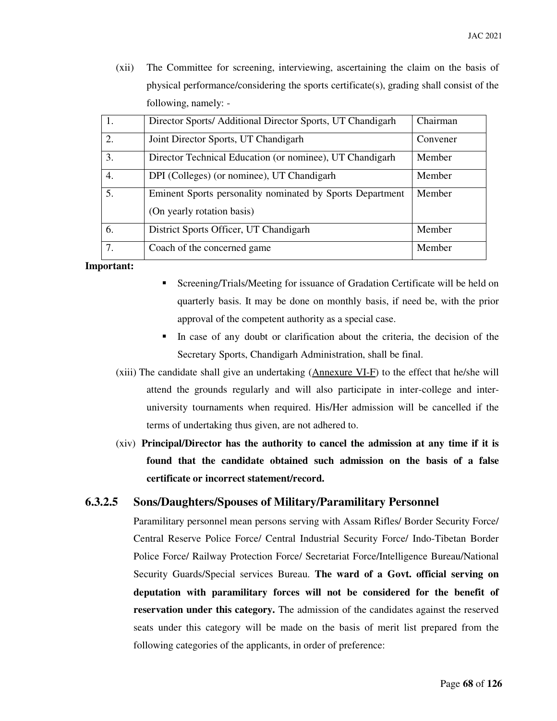(xii) The Committee for screening, interviewing, ascertaining the claim on the basis of physical performance/considering the sports certificate(s), grading shall consist of the following, namely: -

| 1. | Director Sports/ Additional Director Sports, UT Chandigarh                              | Chairman |
|----|-----------------------------------------------------------------------------------------|----------|
| 2. | Joint Director Sports, UT Chandigarh                                                    | Convener |
| 3. | Director Technical Education (or nominee), UT Chandigarh                                | Member   |
| 4. | DPI (Colleges) (or nominee), UT Chandigarh                                              | Member   |
| 5. | Eminent Sports personality nominated by Sports Department<br>(On yearly rotation basis) | Member   |
| 6. | District Sports Officer, UT Chandigarh                                                  | Member   |
| 7. | Coach of the concerned game                                                             | Member   |

#### **Important:**

- Screening/Trials/Meeting for issuance of Gradation Certificate will be held on quarterly basis. It may be done on monthly basis, if need be, with the prior approval of the competent authority as a special case.
- In case of any doubt or clarification about the criteria, the decision of the Secretary Sports, Chandigarh Administration, shall be final.
- (xiii) The candidate shall give an undertaking (Annexure VI-F) to the effect that he/she will attend the grounds regularly and will also participate in inter-college and interuniversity tournaments when required. His/Her admission will be cancelled if the terms of undertaking thus given, are not adhered to.
- (xiv) **Principal/Director has the authority to cancel the admission at any time if it is found that the candidate obtained such admission on the basis of a false certificate or incorrect statement/record.**

#### **6.3.2.5 Sons/Daughters/Spouses of Military/Paramilitary Personnel**

Paramilitary personnel mean persons serving with Assam Rifles/ Border Security Force/ Central Reserve Police Force/ Central Industrial Security Force/ Indo-Tibetan Border Police Force/ Railway Protection Force/ Secretariat Force/Intelligence Bureau/National Security Guards/Special services Bureau. **The ward of a Govt. official serving on deputation with paramilitary forces will not be considered for the benefit of reservation under this category.** The admission of the candidates against the reserved seats under this category will be made on the basis of merit list prepared from the following categories of the applicants, in order of preference: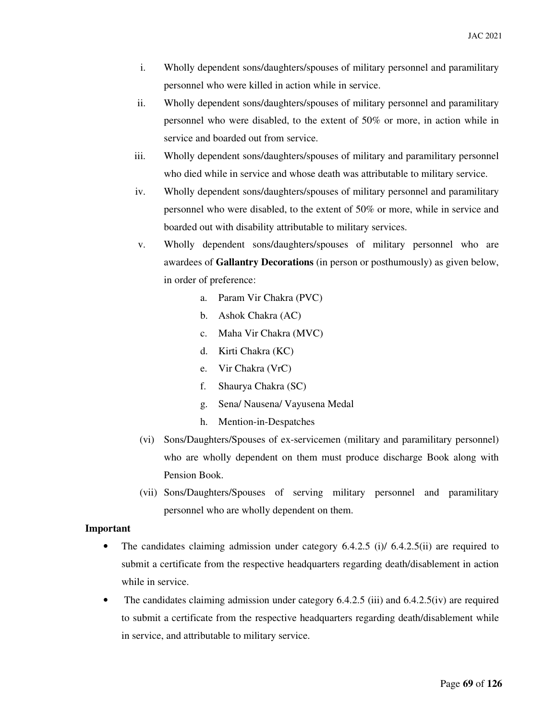- i. Wholly dependent sons/daughters/spouses of military personnel and paramilitary personnel who were killed in action while in service.
- ii. Wholly dependent sons/daughters/spouses of military personnel and paramilitary personnel who were disabled, to the extent of 50% or more, in action while in service and boarded out from service.
- iii. Wholly dependent sons/daughters/spouses of military and paramilitary personnel who died while in service and whose death was attributable to military service.
- iv. Wholly dependent sons/daughters/spouses of military personnel and paramilitary personnel who were disabled, to the extent of 50% or more, while in service and boarded out with disability attributable to military services.
- v. Wholly dependent sons/daughters/spouses of military personnel who are awardees of **Gallantry Decorations** (in person or posthumously) as given below, in order of preference:
	- a. Param Vir Chakra (PVC)
	- b. Ashok Chakra (AC)
	- c. Maha Vir Chakra (MVC)
	- d. Kirti Chakra (KC)
	- e. Vir Chakra (VrC)
	- f. Shaurya Chakra (SC)
	- g. Sena/ Nausena/ Vayusena Medal
	- h. Mention-in-Despatches
- (vi) Sons/Daughters/Spouses of ex-servicemen (military and paramilitary personnel) who are wholly dependent on them must produce discharge Book along with Pension Book.
- (vii) Sons/Daughters/Spouses of serving military personnel and paramilitary personnel who are wholly dependent on them.

#### **Important**

- The candidates claiming admission under category  $6.4.2.5$  (i)/ $6.4.2.5$ (ii) are required to submit a certificate from the respective headquarters regarding death/disablement in action while in service.
- The candidates claiming admission under category 6.4.2.5 (iii) and 6.4.2.5 (iv) are required to submit a certificate from the respective headquarters regarding death/disablement while in service, and attributable to military service.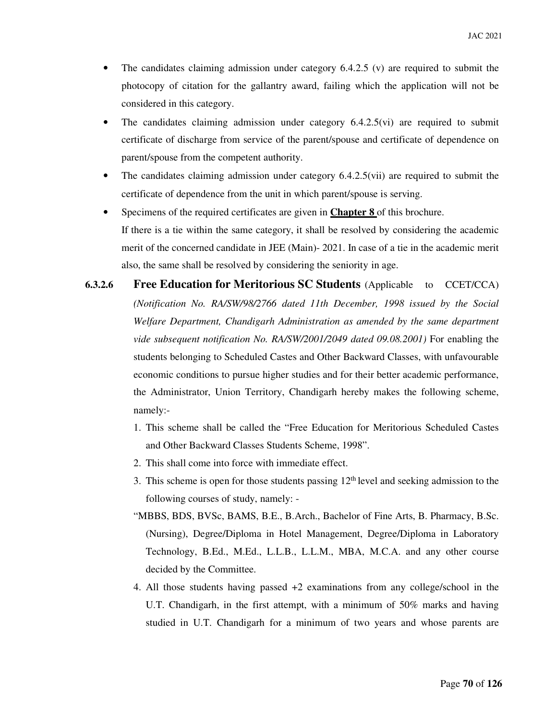- The candidates claiming admission under category  $6.4.2.5$  (v) are required to submit the photocopy of citation for the gallantry award, failing which the application will not be considered in this category.
- The candidates claiming admission under category  $6.4.2.5$  (vi) are required to submit certificate of discharge from service of the parent/spouse and certificate of dependence on parent/spouse from the competent authority.
- The candidates claiming admission under category 6.4.2.5(vii) are required to submit the certificate of dependence from the unit in which parent/spouse is serving.
- Specimens of the required certificates are given in **Chapter 8** of this brochure. If there is a tie within the same category, it shall be resolved by considering the academic merit of the concerned candidate in JEE (Main)- 2021. In case of a tie in the academic merit also, the same shall be resolved by considering the seniority in age.
- **6.3.2.6** Free Education for Meritorious SC Students (Applicable to CCET/CCA) *(Notification No. RA/SW/98/2766 dated 11th December, 1998 issued by the Social Welfare Department, Chandigarh Administration as amended by the same department vide subsequent notification No. RA/SW/2001/2049 dated 09.08.2001)* For enabling the students belonging to Scheduled Castes and Other Backward Classes, with unfavourable economic conditions to pursue higher studies and for their better academic performance, the Administrator, Union Territory, Chandigarh hereby makes the following scheme, namely:-
	- 1. This scheme shall be called the "Free Education for Meritorious Scheduled Castes and Other Backward Classes Students Scheme, 1998".
	- 2. This shall come into force with immediate effect.
	- 3. This scheme is open for those students passing  $12<sup>th</sup>$  level and seeking admission to the following courses of study, namely: -
	- "MBBS, BDS, BVSc, BAMS, B.E., B.Arch., Bachelor of Fine Arts, B. Pharmacy, B.Sc. (Nursing), Degree/Diploma in Hotel Management, Degree/Diploma in Laboratory Technology, B.Ed., M.Ed., L.L.B., L.L.M., MBA, M.C.A. and any other course decided by the Committee.
	- 4. All those students having passed +2 examinations from any college/school in the U.T. Chandigarh, in the first attempt, with a minimum of 50% marks and having studied in U.T. Chandigarh for a minimum of two years and whose parents are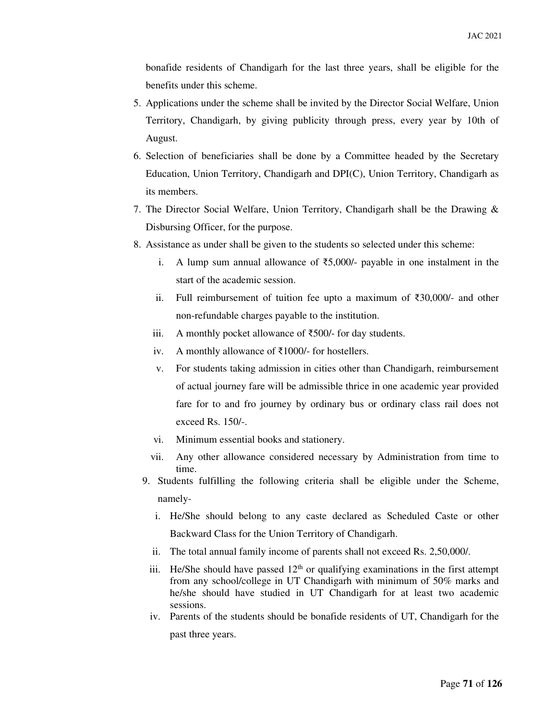bonafide residents of Chandigarh for the last three years, shall be eligible for the benefits under this scheme.

- 5. Applications under the scheme shall be invited by the Director Social Welfare, Union Territory, Chandigarh, by giving publicity through press, every year by 10th of August.
- 6. Selection of beneficiaries shall be done by a Committee headed by the Secretary Education, Union Territory, Chandigarh and DPI(C), Union Territory, Chandigarh as its members.
- 7. The Director Social Welfare, Union Territory, Chandigarh shall be the Drawing & Disbursing Officer, for the purpose.
- 8. Assistance as under shall be given to the students so selected under this scheme:
	- i. A lump sum annual allowance of ₹5,000/- payable in one instalment in the start of the academic session.
	- ii. Full reimbursement of tuition fee upto a maximum of ₹30,000/- and other non-refundable charges payable to the institution.
	- iii. A monthly pocket allowance of ₹500/- for day students.
	- iv. A monthly allowance of ₹1000/- for hostellers.
	- v. For students taking admission in cities other than Chandigarh, reimbursement of actual journey fare will be admissible thrice in one academic year provided fare for to and fro journey by ordinary bus or ordinary class rail does not exceed Rs. 150/-.
	- vi. Minimum essential books and stationery.
	- vii. Any other allowance considered necessary by Administration from time to time.
	- 9. Students fulfilling the following criteria shall be eligible under the Scheme, namely
		- i. He/She should belong to any caste declared as Scheduled Caste or other Backward Class for the Union Territory of Chandigarh.
		- ii. The total annual family income of parents shall not exceed Rs. 2,50,000/.
		- iii. He/She should have passed  $12<sup>th</sup>$  or qualifying examinations in the first attempt from any school/college in UT Chandigarh with minimum of 50% marks and he/she should have studied in UT Chandigarh for at least two academic sessions.
		- iv. Parents of the students should be bonafide residents of UT, Chandigarh for the past three years.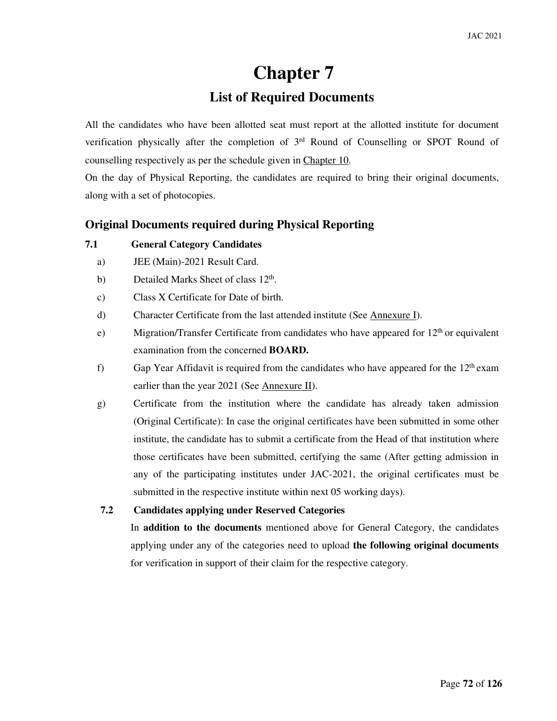# **Chapter 7**

# **List of Required Documents**

All the candidates who have been allotted seat must report at the allotted institute for document verification physically after the completion of  $3<sup>rd</sup>$  Round of Counselling or SPOT Round of counselling respectively as per the schedule given in Chapter 10.

On the day of Physical Reporting, the candidates are required to bring their original documents, along with a set of photocopies.

## **Original Documents required during Physical Reporting**

#### **7.1 General Category Candidates**

- a) JEE (Main)-2021 Result Card.
- b) Detailed Marks Sheet of class 12<sup>th</sup>.
- c) Class X Certificate for Date of birth.
- d) Character Certificate from the last attended institute (See Annexure I).
- e) Migration/Transfer Certificate from candidates who have appeared for  $12<sup>th</sup>$  or equivalent examination from the concerned **BOARD.**
- f) Gap Year Affidavit is required from the candidates who have appeared for the  $12<sup>th</sup>$  exam earlier than the year 2021 (See Annexure II).
- g) Certificate from the institution where the candidate has already taken admission (Original Certificate): In case the original certificates have been submitted in some other institute, the candidate has to submit a certificate from the Head of that institution where those certificates have been submitted, certifying the same (After getting admission in any of the participating institutes under JAC-2021, the original certificates must be submitted in the respective institute within next 05 working days).
- **7.2 Candidates applying under Reserved Categories**

In **addition to the documents** mentioned above for General Category, the candidates applying under any of the categories need to upload **the following original documents** for verification in support of their claim for the respective category.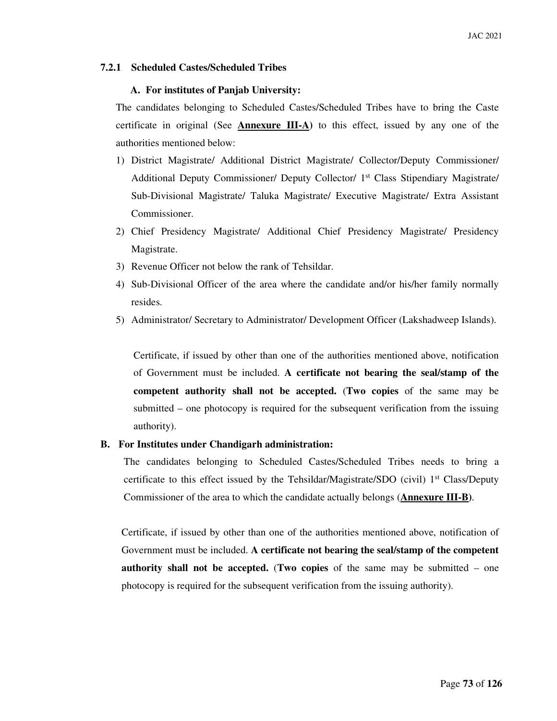## **7.2.1 Scheduled Castes/Scheduled Tribes**

#### **A. For institutes of Panjab University:**

The candidates belonging to Scheduled Castes/Scheduled Tribes have to bring the Caste certificate in original (See **Annexure III-A)** to this effect, issued by any one of the authorities mentioned below:

- 1) District Magistrate/ Additional District Magistrate/ Collector/Deputy Commissioner/ Additional Deputy Commissioner/ Deputy Collector/ 1st Class Stipendiary Magistrate/ Sub-Divisional Magistrate/ Taluka Magistrate/ Executive Magistrate/ Extra Assistant Commissioner.
- 2) Chief Presidency Magistrate/ Additional Chief Presidency Magistrate/ Presidency Magistrate.
- 3) Revenue Officer not below the rank of Tehsildar.
- 4) Sub-Divisional Officer of the area where the candidate and/or his/her family normally resides.
- 5) Administrator/ Secretary to Administrator/ Development Officer (Lakshadweep Islands).

Certificate, if issued by other than one of the authorities mentioned above, notification of Government must be included. **A certificate not bearing the seal/stamp of the competent authority shall not be accepted.** (**Two copies** of the same may be submitted – one photocopy is required for the subsequent verification from the issuing authority).

## **B. For Institutes under Chandigarh administration:**

The candidates belonging to Scheduled Castes/Scheduled Tribes needs to bring a certificate to this effect issued by the Tehsildar/Magistrate/SDO (civil)  $1<sup>st</sup> Class/Deputy$ Commissioner of the area to which the candidate actually belongs (**Annexure III-B)**.

Certificate, if issued by other than one of the authorities mentioned above, notification of Government must be included. **A certificate not bearing the seal/stamp of the competent authority shall not be accepted.** (**Two copies** of the same may be submitted – one photocopy is required for the subsequent verification from the issuing authority).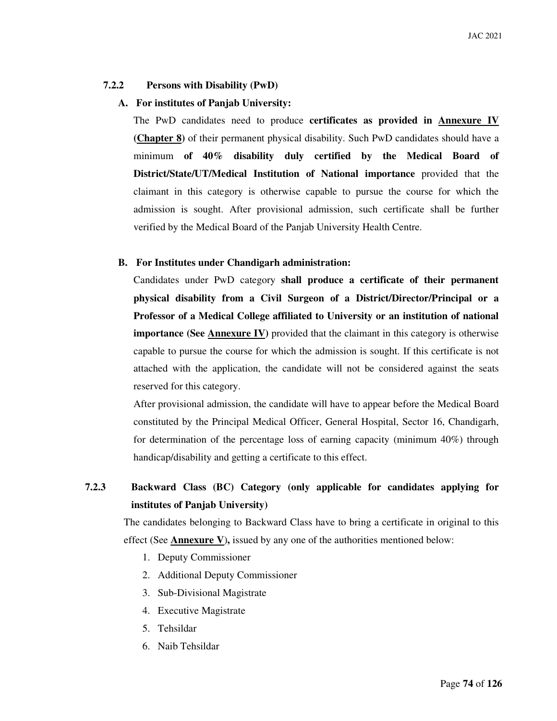# **7.2.2 Persons with Disability (PwD)**

# **A. For institutes of Panjab University:**

The PwD candidates need to produce **certificates as provided in Annexure IV (Chapter 8)** of their permanent physical disability. Such PwD candidates should have a minimum **of 40% disability duly certified by the Medical Board of District/State/UT/Medical Institution of National importance** provided that the claimant in this category is otherwise capable to pursue the course for which the admission is sought. After provisional admission, such certificate shall be further verified by the Medical Board of the Panjab University Health Centre.

## **B. For Institutes under Chandigarh administration:**

Candidates under PwD category **shall produce a certificate of their permanent physical disability from a Civil Surgeon of a District/Director/Principal or a Professor of a Medical College affiliated to University or an institution of national importance (See Annexure IV)** provided that the claimant in this category is otherwise capable to pursue the course for which the admission is sought. If this certificate is not attached with the application, the candidate will not be considered against the seats reserved for this category.

After provisional admission, the candidate will have to appear before the Medical Board constituted by the Principal Medical Officer, General Hospital, Sector 16, Chandigarh, for determination of the percentage loss of earning capacity (minimum 40%) through handicap/disability and getting a certificate to this effect.

# **7.2.3 Backward Class (BC) Category (only applicable for candidates applying for institutes of Panjab University)**

The candidates belonging to Backward Class have to bring a certificate in original to this effect (See **Annexure V**)**,** issued by any one of the authorities mentioned below:

- 1. Deputy Commissioner
- 2. Additional Deputy Commissioner
- 3. Sub-Divisional Magistrate
- 4. Executive Magistrate
- 5. Tehsildar
- 6. Naib Tehsildar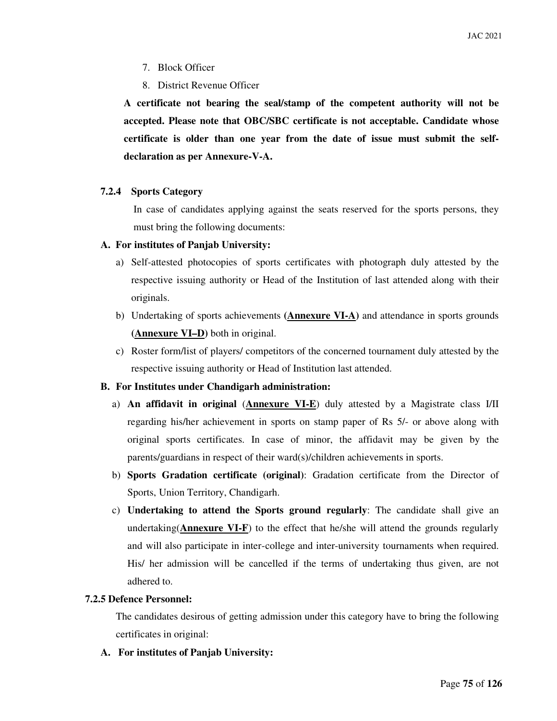- 7. Block Officer
- 8. District Revenue Officer

**A certificate not bearing the seal/stamp of the competent authority will not be accepted. Please note that OBC/SBC certificate is not acceptable. Candidate whose certificate is older than one year from the date of issue must submit the selfdeclaration as per Annexure-V-A.** 

#### **7.2.4 Sports Category**

In case of candidates applying against the seats reserved for the sports persons, they must bring the following documents:

#### **A. For institutes of Panjab University:**

- a) Self-attested photocopies of sports certificates with photograph duly attested by the respective issuing authority or Head of the Institution of last attended along with their originals.
- b) Undertaking of sports achievements **(Annexure VI-A)** and attendance in sports grounds **(Annexure VI–D)** both in original.
- c) Roster form/list of players/ competitors of the concerned tournament duly attested by the respective issuing authority or Head of Institution last attended.

## **B. For Institutes under Chandigarh administration:**

- a) **An affidavit in original** (**Annexure VI-E**) duly attested by a Magistrate class I/II regarding his/her achievement in sports on stamp paper of Rs 5/- or above along with original sports certificates. In case of minor, the affidavit may be given by the parents/guardians in respect of their ward(s)/children achievements in sports.
- b) **Sports Gradation certificate (original)**: Gradation certificate from the Director of Sports, Union Territory, Chandigarh.
- c) **Undertaking to attend the Sports ground regularly**: The candidate shall give an undertaking(**Annexure VI-F**) to the effect that he/she will attend the grounds regularly and will also participate in inter-college and inter-university tournaments when required. His/ her admission will be cancelled if the terms of undertaking thus given, are not adhered to.

## **7.2.5 Defence Personnel:**

The candidates desirous of getting admission under this category have to bring the following certificates in original:

 **A. For institutes of Panjab University:**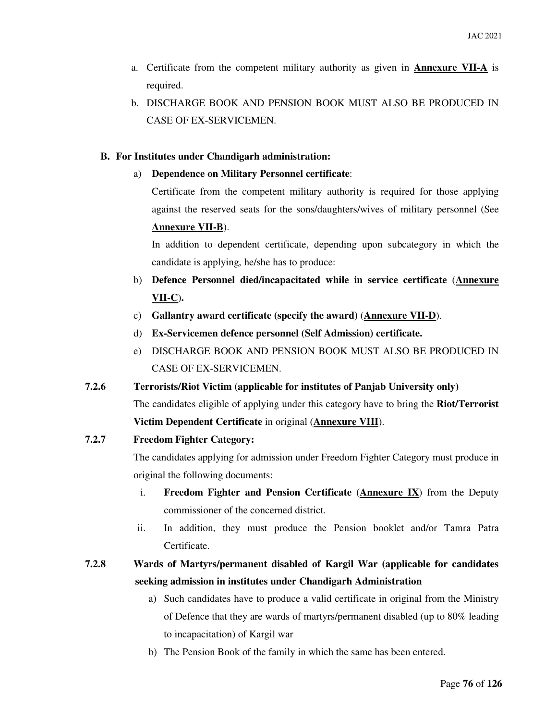- a. Certificate from the competent military authority as given in **Annexure VII-A** is required.
- b. DISCHARGE BOOK AND PENSION BOOK MUST ALSO BE PRODUCED IN CASE OF EX-SERVICEMEN.

# **B. For Institutes under Chandigarh administration:**

a) **Dependence on Military Personnel certificate**:

 Certificate from the competent military authority is required for those applying against the reserved seats for the sons/daughters/wives of military personnel (See **Annexure VII-B**).

 In addition to dependent certificate, depending upon subcategory in which the candidate is applying, he/she has to produce:

- b) **Defence Personnel died/incapacitated while in service certificate** (**Annexure VII-C**)**.**
- c) **Gallantry award certificate (specify the award)** (**Annexure VII-D**).
- d) **Ex-Servicemen defence personnel (Self Admission) certificate.**
- e) DISCHARGE BOOK AND PENSION BOOK MUST ALSO BE PRODUCED IN CASE OF EX-SERVICEMEN.
- **7.2.6 Terrorists/Riot Victim (applicable for institutes of Panjab University only)**  The candidates eligible of applying under this category have to bring the **Riot/Terrorist Victim Dependent Certificate** in original (**Annexure VIII**).

## **7.2.7 Freedom Fighter Category:**

The candidates applying for admission under Freedom Fighter Category must produce in original the following documents:

- i. **Freedom Fighter and Pension Certificate** (**Annexure IX**) from the Deputy commissioner of the concerned district.
- ii. In addition, they must produce the Pension booklet and/or Tamra Patra Certificate.

# **7.2.8 Wards of Martyrs/permanent disabled of Kargil War (applicable for candidates seeking admission in institutes under Chandigarh Administration**

- a) Such candidates have to produce a valid certificate in original from the Ministry of Defence that they are wards of martyrs/permanent disabled (up to 80% leading to incapacitation) of Kargil war
- b) The Pension Book of the family in which the same has been entered.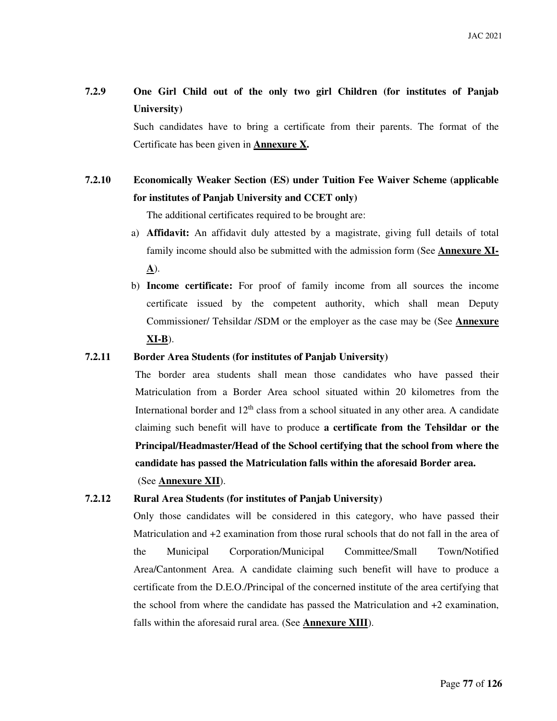# **7.2.9 One Girl Child out of the only two girl Children (for institutes of Panjab University)**

Such candidates have to bring a certificate from their parents. The format of the Certificate has been given in **Annexure X.** 

# **7.2.10 Economically Weaker Section (ES) under Tuition Fee Waiver Scheme (applicable for institutes of Panjab University and CCET only)**

The additional certificates required to be brought are:

- a) **Affidavit:** An affidavit duly attested by a magistrate, giving full details of total family income should also be submitted with the admission form (See **Annexure XI-A**).
- b) **Income certificate:** For proof of family income from all sources the income certificate issued by the competent authority, which shall mean Deputy Commissioner/ Tehsildar /SDM or the employer as the case may be (See **Annexure XI-B**).

#### **7.2.11 Border Area Students (for institutes of Panjab University)**

The border area students shall mean those candidates who have passed their Matriculation from a Border Area school situated within 20 kilometres from the International border and  $12<sup>th</sup>$  class from a school situated in any other area. A candidate claiming such benefit will have to produce **a certificate from the Tehsildar or the Principal/Headmaster/Head of the School certifying that the school from where the candidate has passed the Matriculation falls within the aforesaid Border area.**  (See **Annexure XII**).

## **7.2.12 Rural Area Students (for institutes of Panjab University)**

Only those candidates will be considered in this category, who have passed their Matriculation and +2 examination from those rural schools that do not fall in the area of the Municipal Corporation/Municipal Committee/Small Town/Notified Area/Cantonment Area. A candidate claiming such benefit will have to produce a certificate from the D.E.O./Principal of the concerned institute of the area certifying that the school from where the candidate has passed the Matriculation and +2 examination, falls within the aforesaid rural area. (See **Annexure XIII**).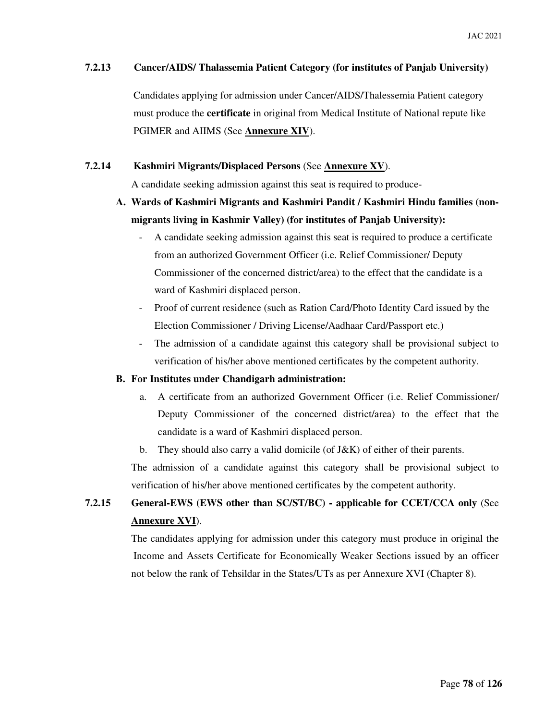#### **7.2.13 Cancer/AIDS/ Thalassemia Patient Category (for institutes of Panjab University)**

 Candidates applying for admission under Cancer/AIDS/Thalessemia Patient category must produce the **certificate** in original from Medical Institute of National repute like PGIMER and AIIMS (See **Annexure XIV**).

## **7.2.14 Kashmiri Migrants/Displaced Persons** (See **Annexure XV**).

A candidate seeking admission against this seat is required to produce-

# **A. Wards of Kashmiri Migrants and Kashmiri Pandit / Kashmiri Hindu families (nonmigrants living in Kashmir Valley) (for institutes of Panjab University):**

- A candidate seeking admission against this seat is required to produce a certificate from an authorized Government Officer (i.e. Relief Commissioner/ Deputy Commissioner of the concerned district/area) to the effect that the candidate is a ward of Kashmiri displaced person.
- Proof of current residence (such as Ration Card/Photo Identity Card issued by the Election Commissioner / Driving License/Aadhaar Card/Passport etc.)
- The admission of a candidate against this category shall be provisional subject to verification of his/her above mentioned certificates by the competent authority.

#### **B. For Institutes under Chandigarh administration:**

- a. A certificate from an authorized Government Officer (i.e. Relief Commissioner/ Deputy Commissioner of the concerned district/area) to the effect that the candidate is a ward of Kashmiri displaced person.
- b. They should also carry a valid domicile (of J&K) of either of their parents.

The admission of a candidate against this category shall be provisional subject to verification of his/her above mentioned certificates by the competent authority.

# **7.2.15 General-EWS (EWS other than SC/ST/BC) - applicable for CCET/CCA only** (See **Annexure XVI**).

 The candidates applying for admission under this category must produce in original the Income and Assets Certificate for Economically Weaker Sections issued by an officer not below the rank of Tehsildar in the States/UTs as per Annexure XVI (Chapter 8).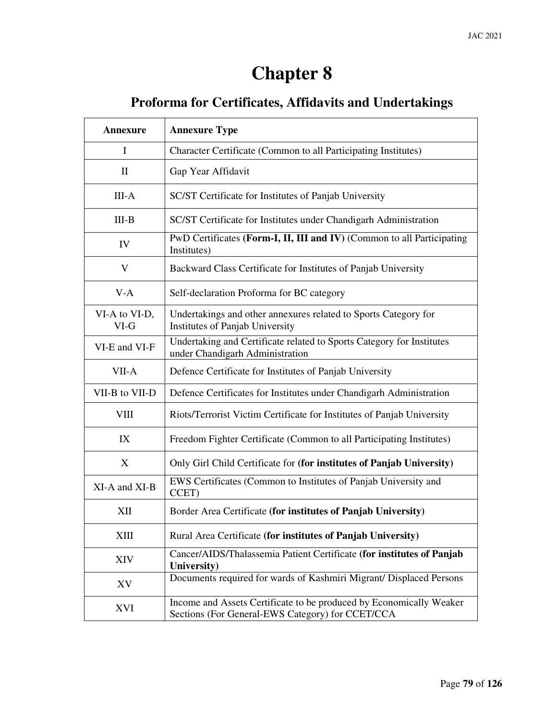# **Chapter 8**

# **Proforma for Certificates, Affidavits and Undertakings**

| Annexure                | <b>Annexure Type</b>                                                                                                    |
|-------------------------|-------------------------------------------------------------------------------------------------------------------------|
| $\mathbf I$             | Character Certificate (Common to all Participating Institutes)                                                          |
| $\mathbf{H}$            | Gap Year Affidavit                                                                                                      |
| $III-A$                 | SC/ST Certificate for Institutes of Panjab University                                                                   |
| $III-B$                 | SC/ST Certificate for Institutes under Chandigarh Administration                                                        |
| IV                      | PwD Certificates (Form-I, II, III and IV) (Common to all Participating<br>Institutes)                                   |
| V                       | Backward Class Certificate for Institutes of Panjab University                                                          |
| $V-A$                   | Self-declaration Proforma for BC category                                                                               |
| VI-A to VI-D,<br>$VI-G$ | Undertakings and other annexures related to Sports Category for<br>Institutes of Panjab University                      |
| VI-E and VI-F           | Undertaking and Certificate related to Sports Category for Institutes<br>under Chandigarh Administration                |
| VII-A                   | Defence Certificate for Institutes of Panjab University                                                                 |
| VII-B to VII-D          | Defence Certificates for Institutes under Chandigarh Administration                                                     |
| VIII                    | Riots/Terrorist Victim Certificate for Institutes of Panjab University                                                  |
| IX                      | Freedom Fighter Certificate (Common to all Participating Institutes)                                                    |
| X                       | Only Girl Child Certificate for (for institutes of Panjab University)                                                   |
| XI-A and XI-B           | EWS Certificates (Common to Institutes of Panjab University and<br>CCET)                                                |
| XII                     | Border Area Certificate (for institutes of Panjab University)                                                           |
| XIII                    | Rural Area Certificate (for institutes of Panjab University)                                                            |
| XIV                     | Cancer/AIDS/Thalassemia Patient Certificate (for institutes of Panjab<br>University)                                    |
| XV                      | Documents required for wards of Kashmiri Migrant/ Displaced Persons                                                     |
| XVI                     | Income and Assets Certificate to be produced by Economically Weaker<br>Sections (For General-EWS Category) for CCET/CCA |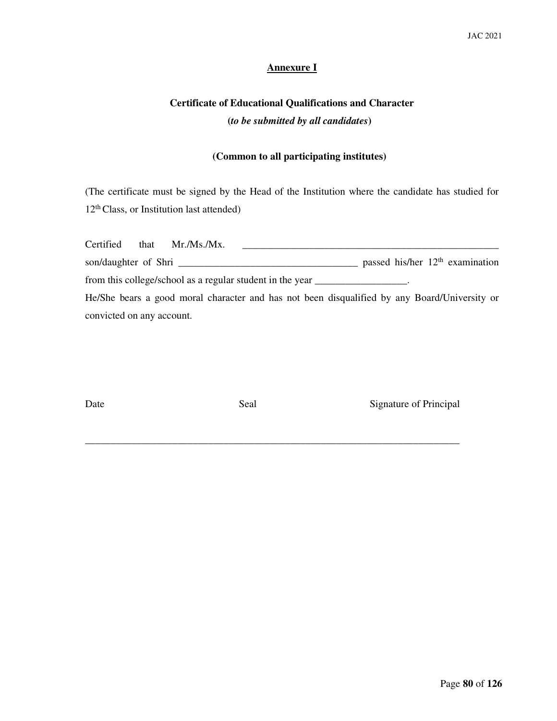# **Annexure I**

# **Certificate of Educational Qualifications and Character (***to be submitted by all candidates***)**

# **(Common to all participating institutes)**

(The certificate must be signed by the Head of the Institution where the candidate has studied for 12th Class, or Institution last attended)

|                           | Certified that Mr./Ms./Mx.                                                                   |  |                                   |
|---------------------------|----------------------------------------------------------------------------------------------|--|-----------------------------------|
|                           |                                                                                              |  | passed his/her $12th$ examination |
|                           | from this college/school as a regular student in the year _________________.                 |  |                                   |
|                           | He/She bears a good moral character and has not been disqualified by any Board/University or |  |                                   |
| convicted on any account. |                                                                                              |  |                                   |

**\_\_\_\_\_\_\_\_\_\_\_\_\_\_\_\_\_\_\_\_\_\_\_\_\_\_\_\_\_\_\_\_\_\_\_\_\_\_\_\_\_\_\_\_\_\_\_\_\_\_\_\_\_\_\_\_\_\_\_\_\_\_\_\_\_\_\_\_\_\_\_\_\_** 

Date Seal Seal Signature of Principal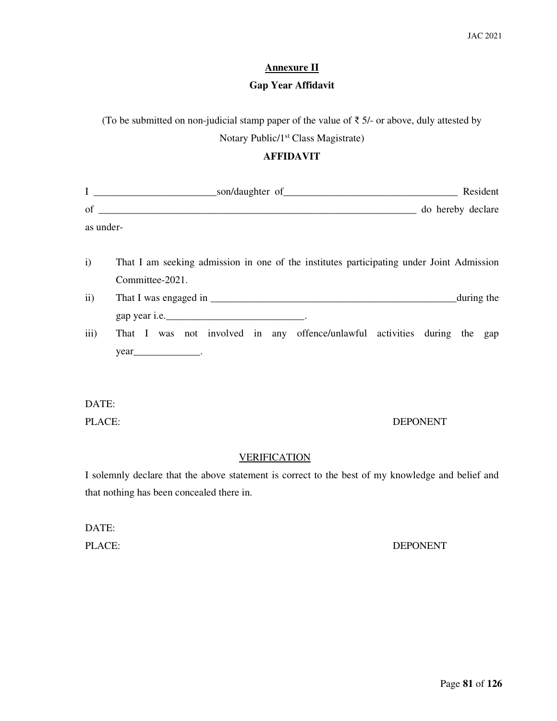# **Annexure II**

# **Gap Year Affidavit**

(To be submitted on non-judicial stamp paper of the value of  $\bar{\tau}$  5/- or above, duly attested by

Notary Public/1st Class Magistrate)

# **AFFIDAVIT**

|               |                                                                                                             | Resident          |
|---------------|-------------------------------------------------------------------------------------------------------------|-------------------|
|               | of $\overline{\phantom{a}}$                                                                                 | do hereby declare |
| as under-     |                                                                                                             |                   |
| $\mathbf{i}$  | That I am seeking admission in one of the institutes participating under Joint Admission<br>Committee-2021. |                   |
| $\mathbf{ii}$ |                                                                                                             | during the        |
|               |                                                                                                             |                   |
| iii)          | That I was not involved in any offence/unlawful activities during the gap                                   |                   |
|               | $year$ ____________________.                                                                                |                   |
|               |                                                                                                             |                   |
| DATE:         |                                                                                                             |                   |
| PLACE:        |                                                                                                             | <b>DEPONENT</b>   |

#### **VERIFICATION**

I solemnly declare that the above statement is correct to the best of my knowledge and belief and that nothing has been concealed there in.

# DATE:

#### PLACE: DEPONENT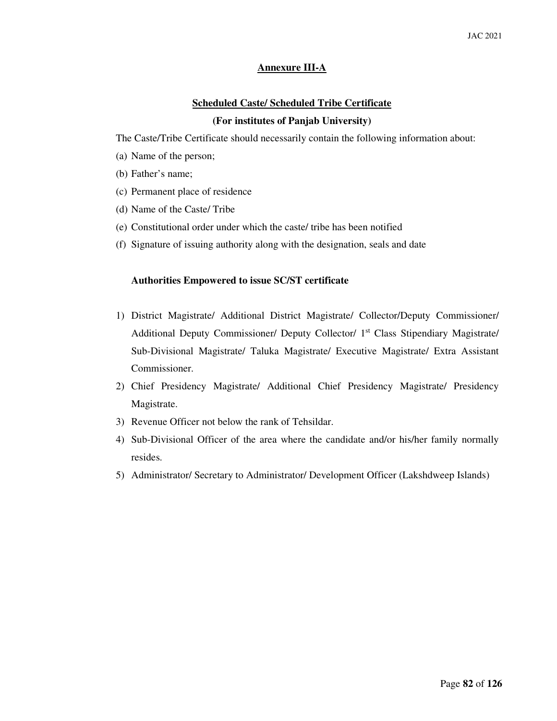# **Annexure III-A**

# **Scheduled Caste/ Scheduled Tribe Certificate (For institutes of Panjab University)**

The Caste/Tribe Certificate should necessarily contain the following information about:

- (a) Name of the person;
- (b) Father's name;
- (c) Permanent place of residence
- (d) Name of the Caste/ Tribe
- (e) Constitutional order under which the caste/ tribe has been notified
- (f) Signature of issuing authority along with the designation, seals and date

#### **Authorities Empowered to issue SC/ST certificate**

- 1) District Magistrate/ Additional District Magistrate/ Collector/Deputy Commissioner/ Additional Deputy Commissioner/ Deputy Collector/ 1st Class Stipendiary Magistrate/ Sub-Divisional Magistrate/ Taluka Magistrate/ Executive Magistrate/ Extra Assistant Commissioner.
- 2) Chief Presidency Magistrate/ Additional Chief Presidency Magistrate/ Presidency Magistrate.
- 3) Revenue Officer not below the rank of Tehsildar.
- 4) Sub-Divisional Officer of the area where the candidate and/or his/her family normally resides.
- 5) Administrator/ Secretary to Administrator/ Development Officer (Lakshdweep Islands)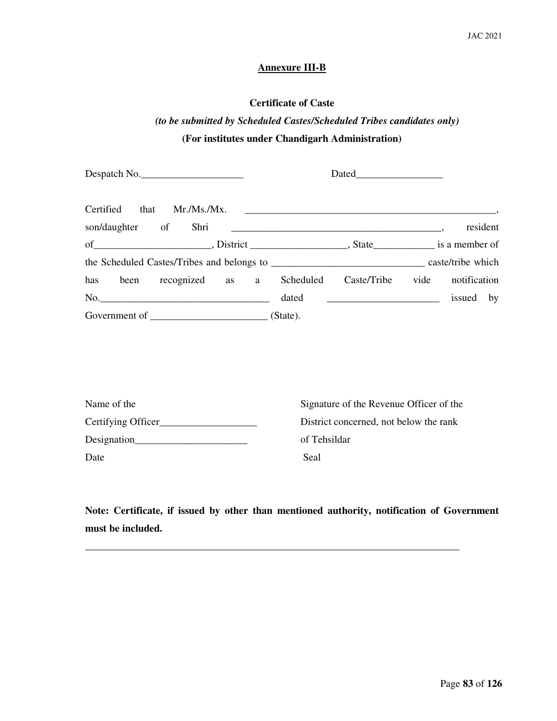# **Annexure III-B**

# **Certificate of Caste**

# *(to be submitted by Scheduled Castes/Scheduled Tribes candidates only)* **(For institutes under Chandigarh Administration)**

| Despatch No. |  |       |                                                                  |           |          |
|--------------|--|-------|------------------------------------------------------------------|-----------|----------|
|              |  |       |                                                                  |           |          |
|              |  |       |                                                                  |           | resident |
|              |  |       |                                                                  |           |          |
|              |  |       |                                                                  |           |          |
|              |  |       | has been recognized as a Scheduled Caste/Tribe vide notification |           |          |
| No.          |  | dated | <u> 1980 - Andrea Andrew Maria (h. 1980).</u>                    | issued by |          |
|              |  |       |                                                                  |           |          |

| Name of the        | Signature of the Revenue Officer of the |
|--------------------|-----------------------------------------|
| Certifying Officer | District concerned, not below the rank  |
| Designation        | of Tehsildar                            |
| Date               | Seal                                    |

**Note: Certificate, if issued by other than mentioned authority, notification of Government must be included.** 

\_\_\_\_\_\_\_\_\_\_\_\_\_\_\_\_\_\_\_\_\_\_\_\_\_\_\_\_\_\_\_\_\_\_\_\_\_\_\_\_\_\_\_\_\_\_\_\_\_\_\_\_\_\_\_\_\_\_\_\_\_\_\_\_\_\_\_\_\_\_\_\_\_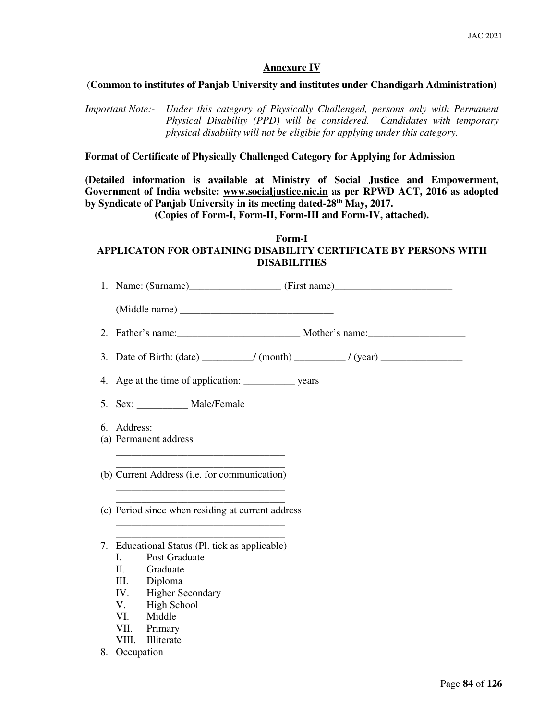## **Annexure IV**

#### (**Common to institutes of Panjab University and institutes under Chandigarh Administration)**

*Important Note:- Under this category of Physically Challenged, persons only with Permanent Physical Disability (PPD) will be considered. Candidates with temporary physical disability will not be eligible for applying under this category.* 

**Format of Certificate of Physically Challenged Category for Applying for Admission** 

**(Detailed information is available at Ministry of Social Justice and Empowerment, Government of India website: www.socialjustice.nic.in as per RPWD ACT, 2016 as adopted by Syndicate of Panjab University in its meeting dated-28th May, 2017.** 

**(Copies of Form-I, Form-II, Form-III and Form-IV, attached).** 

# **Form-I APPLICATON FOR OBTAINING DISABILITY CERTIFICATE BY PERSONS WITH DISABILITIES**

| 2.          |                                                   |  |
|-------------|---------------------------------------------------|--|
|             |                                                   |  |
| 4.          |                                                   |  |
|             | 5. Sex: ____________ Male/Female                  |  |
| 6. Address: | (a) Permanent address                             |  |
|             | (b) Current Address (i.e. for communication)      |  |
|             | (c) Period since when residing at current address |  |
|             | 7. Educational Status (Pl. tick as applicable)    |  |
| L.          | Post Graduate                                     |  |
| П.          | Graduate                                          |  |
|             | III. Diploma                                      |  |
|             | IV. Higher Secondary                              |  |
|             | V. High School                                    |  |
|             | VI. Middle                                        |  |
| VII.        | Primary                                           |  |
| VIII.       | Illiterate                                        |  |
| 8.          | Occupation                                        |  |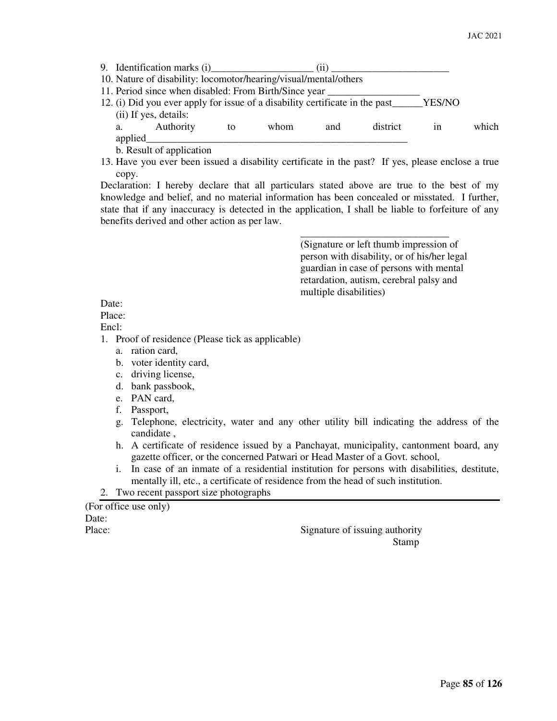| 9. Identification marks (i)                                                                                                                                                                                                                 |    |      | (11) |          |    |       |
|---------------------------------------------------------------------------------------------------------------------------------------------------------------------------------------------------------------------------------------------|----|------|------|----------|----|-------|
| 10. Nature of disability: locomotor/hearing/visual/mental/others                                                                                                                                                                            |    |      |      |          |    |       |
| 11. Period since when disabled: From Birth/Since year                                                                                                                                                                                       |    |      |      |          |    |       |
| 12. (i) Did you ever apply for issue of a disability certificate in the past______YES/NO                                                                                                                                                    |    |      |      |          |    |       |
| (ii) If yes, details:                                                                                                                                                                                                                       |    |      |      |          |    |       |
| Authority<br>a. the contract of the contract of the contract of the contract of the contract of the contract of the contract of the contract of the contract of the contract of the contract of the contract of the contract of the contrac | to | whom | and  | district | 1n | which |
| applied                                                                                                                                                                                                                                     |    |      |      |          |    |       |
| <b>b</b> Decult of enplication                                                                                                                                                                                                              |    |      |      |          |    |       |

b. Result of application

13. Have you ever been issued a disability certificate in the past? If yes, please enclose a true copy.

Declaration: I hereby declare that all particulars stated above are true to the best of my knowledge and belief, and no material information has been concealed or misstated. I further, state that if any inaccuracy is detected in the application, I shall be liable to forfeiture of any benefits derived and other action as per law.

 $\overline{\phantom{a}}$  , and the contract of the contract of the contract of the contract of the contract of the contract of the contract of the contract of the contract of the contract of the contract of the contract of the contrac

 (Signature or left thumb impression of person with disability, or of his/her legal guardian in case of persons with mental retardation, autism, cerebral palsy and multiple disabilities)

Date:

Place:

Encl:

- 1. Proof of residence (Please tick as applicable)
	- a. ration card,
	- b. voter identity card,
	- c. driving license,
	- d. bank passbook,
	- e. PAN card,
	- f. Passport,
	- g. Telephone, electricity, water and any other utility bill indicating the address of the candidate ,
	- h. A certificate of residence issued by a Panchayat, municipality, cantonment board, any gazette officer, or the concerned Patwari or Head Master of a Govt. school,
	- i. In case of an inmate of a residential institution for persons with disabilities, destitute, mentally ill, etc., a certificate of residence from the head of such institution.

## 2. Two recent passport size photographs

(For office use only) Date:

Place: Signature of issuing authority **Stamp**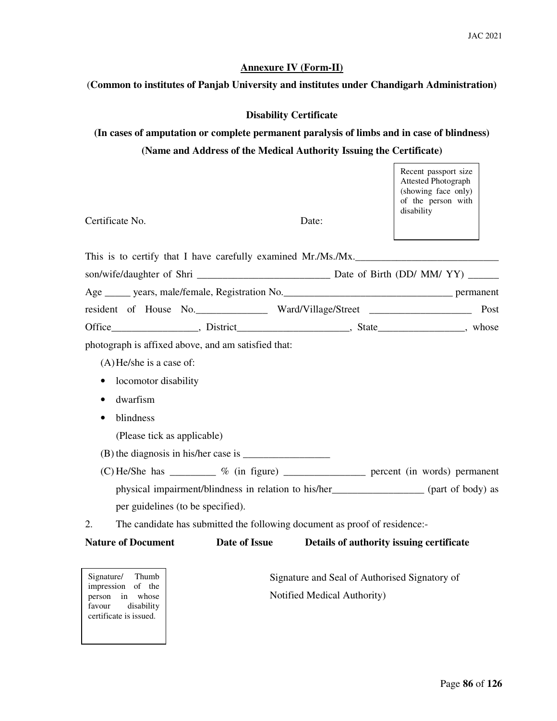#### **Annexure IV (Form-II)**

#### (**Common to institutes of Panjab University and institutes under Chandigarh Administration)**

## **Disability Certificate**

# **(In cases of amputation or complete permanent paralysis of limbs and in case of blindness) (Name and Address of the Medical Authority Issuing the Certificate)**

 $\mathbf{r}$ 

|                                                                                           |               |       | Recent passport size<br><b>Attested Photograph</b><br>(showing face only)<br>of the person with<br>disability |
|-------------------------------------------------------------------------------------------|---------------|-------|---------------------------------------------------------------------------------------------------------------|
| Certificate No.                                                                           |               | Date: |                                                                                                               |
| This is to certify that I have carefully examined Mr./Ms./Mx.                             |               |       |                                                                                                               |
|                                                                                           |               |       |                                                                                                               |
|                                                                                           |               |       |                                                                                                               |
|                                                                                           |               |       |                                                                                                               |
| Office____________________, District________________________, State_______________, whose |               |       |                                                                                                               |
| photograph is affixed above, and am satisfied that:                                       |               |       |                                                                                                               |
| $(A)$ He/she is a case of:                                                                |               |       |                                                                                                               |
| locomotor disability<br>$\bullet$                                                         |               |       |                                                                                                               |
| dwarfism<br>٠                                                                             |               |       |                                                                                                               |
| blindness<br>$\bullet$                                                                    |               |       |                                                                                                               |
| (Please tick as applicable)                                                               |               |       |                                                                                                               |
|                                                                                           |               |       |                                                                                                               |
|                                                                                           |               |       | (C) He/She has ___________ % (in figure) ______________ percent (in words) permanent                          |
|                                                                                           |               |       | physical impairment/blindness in relation to his/her________________ (part of body) as                        |
| per guidelines (to be specified).                                                         |               |       |                                                                                                               |
| The candidate has submitted the following document as proof of residence:-<br>2.          |               |       |                                                                                                               |
| <b>Nature of Document</b>                                                                 | Date of Issue |       | Details of authority issuing certificate                                                                      |
|                                                                                           |               |       |                                                                                                               |

person in whose Notified Medical Authority)<br>favour disability  certificate is issued. Signature/ Thumb impression of the person in whose disability

Signature and Seal of Authorised Signatory of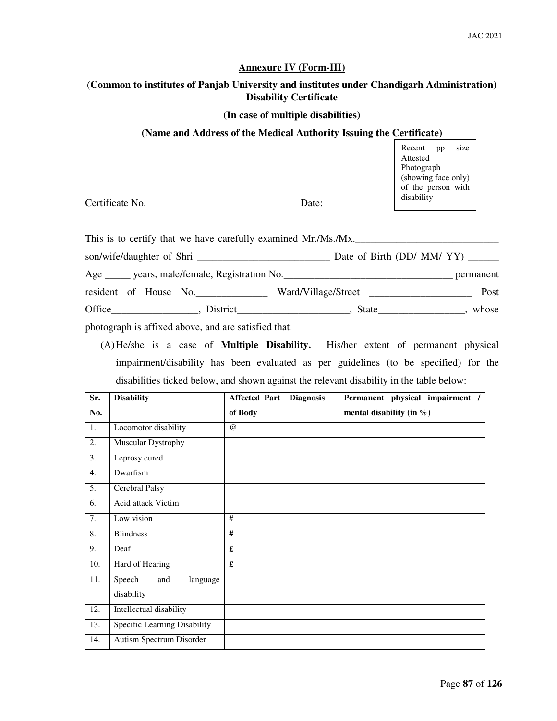#### **Annexure IV (Form-III)**

# (**Common to institutes of Panjab University and institutes under Chandigarh Administration) Disability Certificate**

#### **(In case of multiple disabilities)**

#### **(Name and Address of the Medical Authority Issuing the Certificate)**

Recent pp size Attested Photograph (showing face only) of the person with disability

Certificate No. Date:

This is to certify that we have carefully examined Mr./Ms./Mx. son/wife/daughter of Shri \_\_\_\_\_\_\_\_\_\_\_\_\_\_\_\_\_\_\_\_\_\_\_\_\_\_ Date of Birth (DD/ MM/ YY) \_\_\_\_\_\_ Age \_\_\_\_\_ years, male/female, Registration No.\_\_\_\_\_\_\_\_\_\_\_\_\_\_\_\_\_\_\_\_\_\_\_\_\_\_\_\_\_\_\_\_\_ permanent resident of House No.\_\_\_\_\_\_\_\_\_\_\_\_\_\_ Ward/Village/Street \_\_\_\_\_\_\_\_\_\_\_\_\_\_\_\_\_\_\_\_ Post Office\_\_\_\_\_\_\_\_\_\_\_\_\_\_\_, District\_\_\_\_\_\_\_\_\_\_\_\_\_\_\_\_\_\_\_\_\_, State\_\_\_\_\_\_\_\_\_\_\_\_\_\_, whose photograph is affixed above, and are satisfied that:

(A)He/she is a case of **Multiple Disability.** His/her extent of permanent physical impairment/disability has been evaluated as per guidelines (to be specified) for the disabilities ticked below, and shown against the relevant disability in the table below:

| Sr.              | <b>Disability</b>            | <b>Affected Part</b> | <b>Diagnosis</b> | Permanent physical impairment / |
|------------------|------------------------------|----------------------|------------------|---------------------------------|
| No.              |                              | of Body              |                  | mental disability (in $\%$ )    |
| 1.               | Locomotor disability         | $\omega$             |                  |                                 |
| 2.               | Muscular Dystrophy           |                      |                  |                                 |
| 3.               | Leprosy cured                |                      |                  |                                 |
| $\overline{4}$ . | Dwarfism                     |                      |                  |                                 |
| $\overline{5}$ . | Cerebral Palsy               |                      |                  |                                 |
| 6.               | <b>Acid attack Victim</b>    |                      |                  |                                 |
| $\overline{7}$ . | Low vision                   | #                    |                  |                                 |
| 8.               | <b>Blindness</b>             | #                    |                  |                                 |
| 9.               | Deaf                         | £                    |                  |                                 |
| 10.              | Hard of Hearing              | £                    |                  |                                 |
| 11.              | Speech<br>and<br>language    |                      |                  |                                 |
|                  | disability                   |                      |                  |                                 |
| 12.              | Intellectual disability      |                      |                  |                                 |
| 13.              | Specific Learning Disability |                      |                  |                                 |
| 14.              | Autism Spectrum Disorder     |                      |                  |                                 |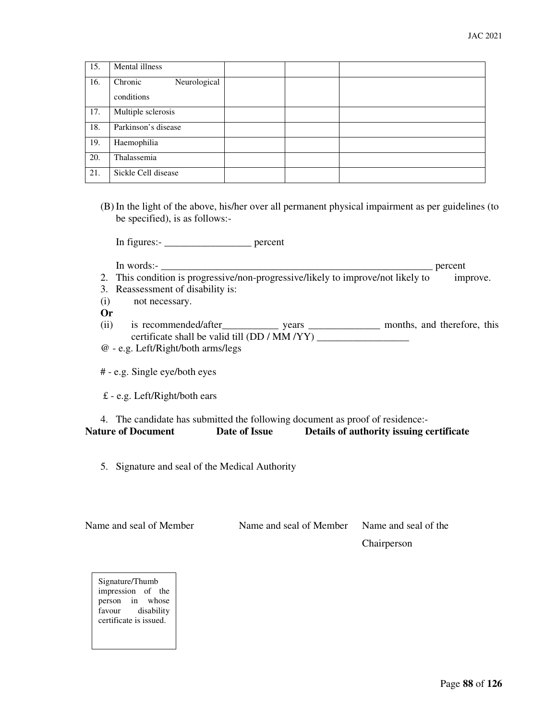| 15. | Mental illness          |  |
|-----|-------------------------|--|
| 16. | Chronic<br>Neurological |  |
|     | conditions              |  |
| 17. | Multiple sclerosis      |  |
| 18. | Parkinson's disease     |  |
| 19. | Haemophilia             |  |
| 20. | Thalassemia             |  |
| 21. | Sickle Cell disease     |  |

(B) In the light of the above, his/her over all permanent physical impairment as per guidelines (to be specified), is as follows:-

In figures:- \_\_\_\_\_\_\_\_\_\_\_\_\_\_\_\_\_ percent

In words:- \_\_\_\_\_\_\_\_\_\_\_\_\_\_\_\_\_\_\_\_\_\_\_\_\_\_\_\_\_\_\_\_\_\_\_\_\_\_\_\_\_\_\_\_\_\_\_\_\_\_\_\_\_ percent

- 2. This condition is progressive/non-progressive/likely to improve/not likely to improve.
- 3. Reassessment of disability is:
- (i) not necessary.

**Or** 

- (ii) is recommended/after\_\_\_\_\_\_\_\_\_\_\_\_\_\_\_\_ years \_\_\_\_\_\_\_\_\_\_\_\_\_\_\_\_\_\_\_ months, and therefore, this certificate shall be valid till (DD / MM /YY) \_\_\_\_\_\_\_\_\_\_\_\_\_\_\_\_\_\_
- @ e.g. Left/Right/both arms/legs
- # e.g. Single eye/both eyes
- £ e.g. Left/Right/both ears

#### 4. The candidate has submitted the following document as proof of residence:- **Nature of Document Date of Issue Details of authority issuing certificate**

5. Signature and seal of the Medical Authority

| Name and seal of Member | Name and seal of Member | Name and seal of the |
|-------------------------|-------------------------|----------------------|
|                         |                         | Chairperson          |

Signature/Thumb impression of the person in whose favour disability certificate is issued.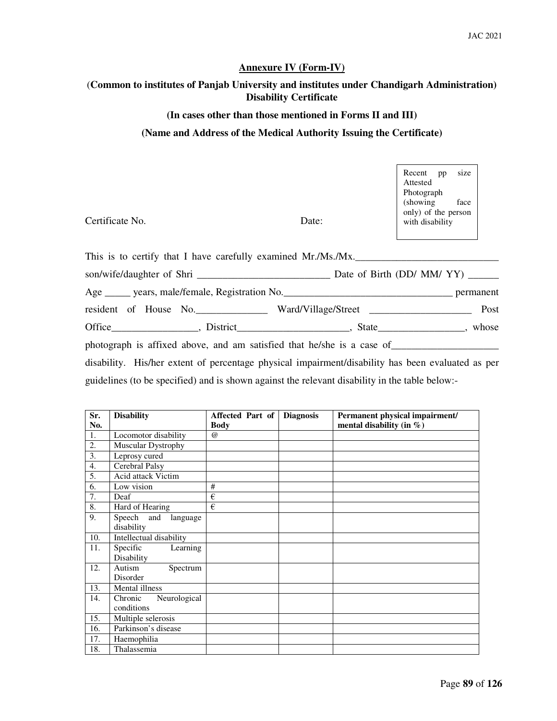### **Annexure IV (Form-IV)**

# (**Common to institutes of Panjab University and institutes under Chandigarh Administration) Disability Certificate**

#### **(In cases other than those mentioned in Forms II and III)**

#### **(Name and Address of the Medical Authority Issuing the Certificate)**

| Certificate No.                                                                                   | Date: | Recent pp<br>size<br>Attested<br>Photograph<br>(showing face)<br>only) of the person<br>with disability |
|---------------------------------------------------------------------------------------------------|-------|---------------------------------------------------------------------------------------------------------|
| This is to certify that I have carefully examined Mr./Ms./Mx.                                     |       |                                                                                                         |
|                                                                                                   |       |                                                                                                         |
|                                                                                                   |       |                                                                                                         |
| resident of House No. ______________ Ward/Village/Street _______________________                  |       | Post                                                                                                    |
|                                                                                                   |       |                                                                                                         |
|                                                                                                   |       |                                                                                                         |
| disability. His/her extent of percentage physical impairment/disability has been evaluated as per |       |                                                                                                         |
| guidelines (to be specified) and is shown against the relevant disability in the table below:-    |       |                                                                                                         |

| Sr. | <b>Disability</b>                     | Affected Part of | <b>Diagnosis</b> | Permanent physical impairment/ |
|-----|---------------------------------------|------------------|------------------|--------------------------------|
| No. |                                       | <b>Body</b>      |                  | mental disability (in $\%$ )   |
| 1.  | Locomotor disability                  | $\omega$         |                  |                                |
| 2.  | Muscular Dystrophy                    |                  |                  |                                |
| 3.  | Leprosy cured                         |                  |                  |                                |
| 4.  | Cerebral Palsy                        |                  |                  |                                |
| 5.  | Acid attack Victim                    |                  |                  |                                |
| 6.  | Low vision                            | #                |                  |                                |
| 7.  | Deaf                                  | €                |                  |                                |
| 8.  | Hard of Hearing                       | €                |                  |                                |
| 9.  | Speech and<br>language<br>disability  |                  |                  |                                |
| 10. | Intellectual disability               |                  |                  |                                |
| 11. | Specific<br>Learning<br>Disability    |                  |                  |                                |
| 12. | Autism<br>Spectrum                    |                  |                  |                                |
|     | Disorder<br>Mental illness            |                  |                  |                                |
| 13. |                                       |                  |                  |                                |
| 14. | Chronic<br>Neurological<br>conditions |                  |                  |                                |
| 15. | Multiple selerosis                    |                  |                  |                                |
| 16. | Parkinson's disease                   |                  |                  |                                |
| 17. | Haemophilia                           |                  |                  |                                |
| 18. | Thalassemia                           |                  |                  |                                |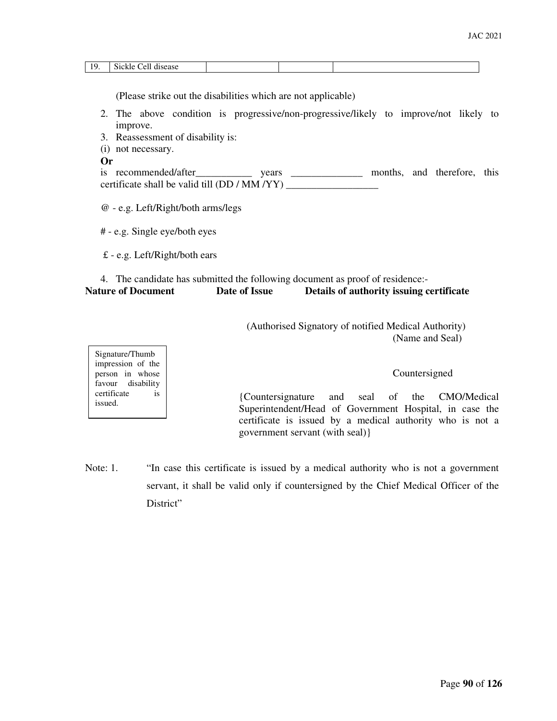| 1 <sup>0</sup> | Sickle<br>Cell<br>disease<br>_ _ _ _ _ _ _ _ _ _ _ _ _ _ _ _ _ _ |  |  |
|----------------|------------------------------------------------------------------|--|--|

(Please strike out the disabilities which are not applicable)

- 2. The above condition is progressive/non-progressive/likely to improve/not likely to improve.
- 3. Reassessment of disability is:
- (i) not necessary.

Signature/Thumb impression of the person in whose favour disability certificate is

issued.

**Or** 

| is recommended/after                          | vears |  | months, and therefore, this |  |
|-----------------------------------------------|-------|--|-----------------------------|--|
| certificate shall be valid till (DD / MM /YY) |       |  |                             |  |

@ - e.g. Left/Right/both arms/legs

# - e.g. Single eye/both eyes

£ - e.g. Left/Right/both ears

# 4. The candidate has submitted the following document as proof of residence:- **Nature of Document Date of Issue Details of authority issuing certificate**

 (Authorised Signatory of notified Medical Authority) (Name and Seal)

Countersigned

{Countersignature and seal of the CMO/Medical Superintendent/Head of Government Hospital, in case the certificate is issued by a medical authority who is not a government servant (with seal)}

Note: 1. "In case this certificate is issued by a medical authority who is not a government servant, it shall be valid only if countersigned by the Chief Medical Officer of the District"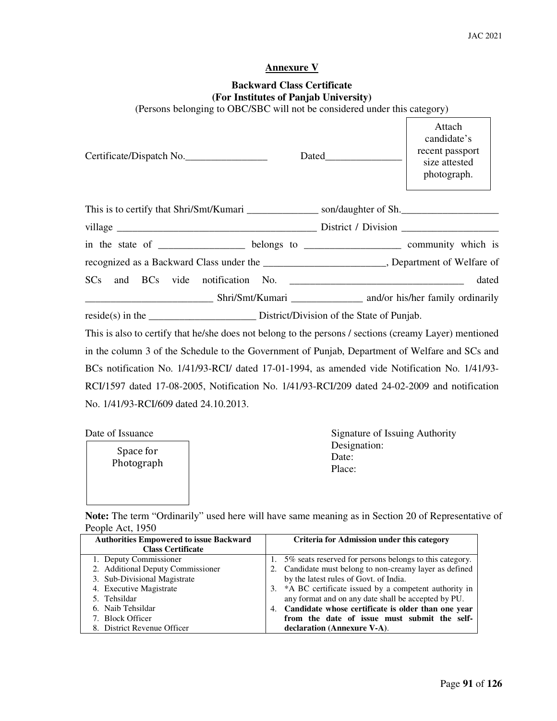٦

## **Annexure V**

# **Backward Class Certificate (For Institutes of Panjab University)**

(Persons belonging to OBC/SBC will not be considered under this category)

| Certificate/Dispatch No.                                                                               |  | Attach<br>candidate's<br>recent passport<br>size attested<br>photograph. |
|--------------------------------------------------------------------------------------------------------|--|--------------------------------------------------------------------------|
| This is to certify that Shri/Smt/Kumari ___________________ son/daughter of Sh.                        |  |                                                                          |
|                                                                                                        |  |                                                                          |
| in the state of ______________________ belongs to ________________________ community which is          |  |                                                                          |
| recognized as a Backward Class under the ________________________, Department of Welfare of            |  |                                                                          |
|                                                                                                        |  | dated                                                                    |
|                                                                                                        |  |                                                                          |
|                                                                                                        |  |                                                                          |
| This is also to certify that he/she does not belong to the persons / sections (creamy Layer) mentioned |  |                                                                          |
| in the column 3 of the Schedule to the Government of Punjab, Department of Welfare and SCs and         |  |                                                                          |
| BCs notification No. 1/41/93-RCI/ dated 17-01-1994, as amended vide Notification No. 1/41/93-          |  |                                                                          |
| RCI/1597 dated 17-08-2005, Notification No. 1/41/93-RCI/209 dated 24-02-2009 and notification          |  |                                                                          |

No. 1/41/93-RCI/609 dated 24.10.2013.

Photograph and Date:<br>
Photograph and Date:<br>
Place:  $\lvert$   $\lvert$   $\lvert$   $\lvert$   $\lvert$   $\lvert$   $\lvert$   $\lvert$   $\lvert$   $\lvert$   $\lvert$   $\lvert$   $\lvert$   $\lvert$   $\lvert$   $\lvert$   $\lvert$   $\lvert$   $\lvert$   $\lvert$   $\lvert$   $\lvert$   $\lvert$   $\lvert$   $\lvert$   $\lvert$   $\lvert$   $\lvert$   $\lvert$   $\lvert$   $\lvert$   $\lvert$   $\lvert$   $\lvert$   $\lvert$   $\lvert$   $\lvert$ Space for

Date of Issuance Signature of Issuing Authority Designation:

 $\Gamma$ 

**Note:** The term "Ordinarily" used here will have same meaning as in Section 20 of Representative of People Act, 1950

| <b>Authorities Empowered to issue Backward</b> | <b>Criteria for Admission under this category</b>       |
|------------------------------------------------|---------------------------------------------------------|
| <b>Class Certificate</b>                       |                                                         |
| 1. Deputy Commissioner                         | 5% seats reserved for persons belongs to this category. |
| 2. Additional Deputy Commissioner              | 2. Candidate must belong to non-creamy layer as defined |
| 3. Sub-Divisional Magistrate                   | by the latest rules of Govt. of India.                  |
| 4. Executive Magistrate                        | 3. *A BC certificate issued by a competent authority in |
| 5. Tehsildar                                   | any format and on any date shall be accepted by PU.     |
| 6. Naib Tehsildar                              | 4. Candidate whose certificate is older than one year   |
| 7. Block Officer                               | from the date of issue must submit the self-            |
| 8. District Revenue Officer                    | declaration (Annexure V-A).                             |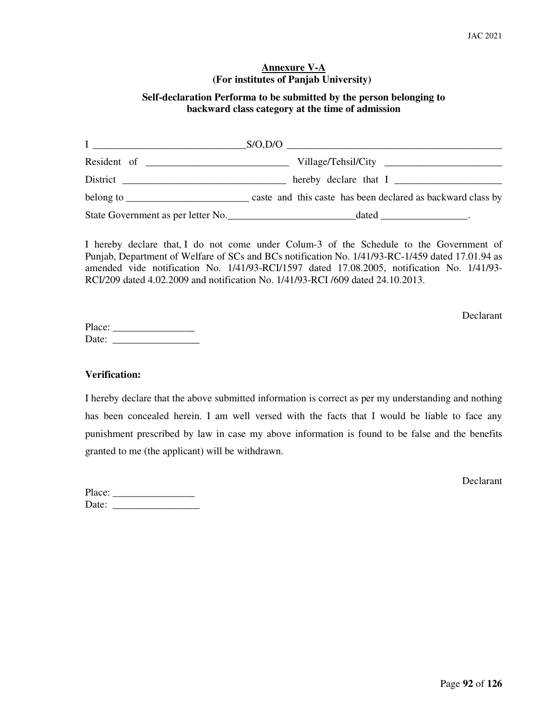## **Annexure V-A (For institutes of Panjab University)**

# **Self-declaration Performa to be submitted by the person belonging to backward class category at the time of admission**

| <u> I ________________________________</u> |                                                                                                    |
|--------------------------------------------|----------------------------------------------------------------------------------------------------|
|                                            |                                                                                                    |
|                                            | hereby declare that I                                                                              |
|                                            | belong to <u>_____________________</u> caste and this caste has been declared as backward class by |
| State Government as per letter No.         | $\text{-\textcircled }$                                                                            |

I hereby declare that, I do not come under Colum-3 of the Schedule to the Government of Punjab, Department of Welfare of SCs and BCs notification No. 1/41/93-RC-1/459 dated 17.01.94 as amended vide notification No. 1/41/93-RCI/1597 dated 17.08.2005, notification No. 1/41/93- RCI/209 dated 4.02.2009 and notification No. 1/41/93-RCI /609 dated 24.10.2013.

Declarant

Place: \_\_\_\_\_\_\_\_\_\_\_\_\_\_\_\_ Date: \_\_\_\_\_\_\_\_\_\_\_\_\_\_\_\_\_

## **Verification:**

I hereby declare that the above submitted information is correct as per my understanding and nothing has been concealed herein. I am well versed with the facts that I would be liable to face any punishment prescribed by law in case my above information is found to be false and the benefits granted to me (the applicant) will be withdrawn.

Declarant

| Place: |  |
|--------|--|
| Date:  |  |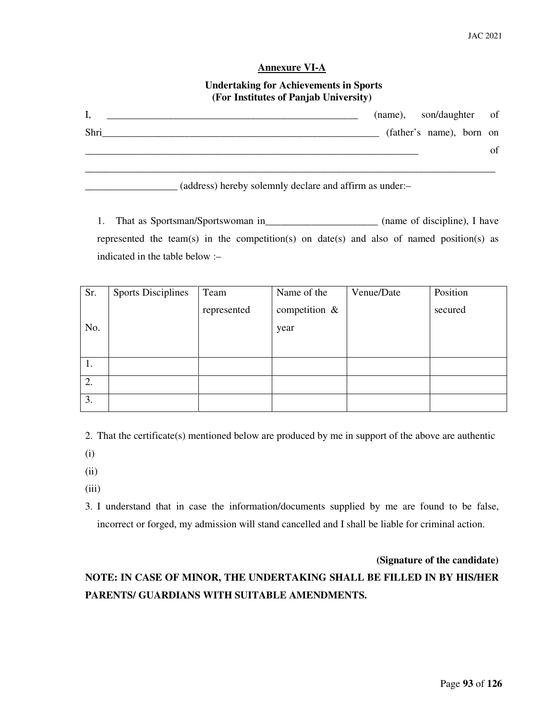#### **Annexure VI-A**

## **Undertaking for Achievements in Sports (For Institutes of Panjab University)**

| I,   | (name), son/daughter of |                          |    |
|------|-------------------------|--------------------------|----|
| Shri |                         | (father's name), born on |    |
|      |                         |                          | of |
|      |                         |                          |    |

\_\_\_\_\_\_\_\_\_\_\_\_\_\_\_\_\_\_ (address) hereby solemnly declare and affirm as under:–

1. That as Sportsman/Sportswoman in\_\_\_\_\_\_\_\_\_\_\_\_\_\_\_\_\_\_\_\_\_\_\_\_ (name of discipline), I have represented the team(s) in the competition(s) on date(s) and also of named position(s) as indicated in the table below :–

| Sr. | <b>Sports Disciplines</b> | Team        | Name of the      | Venue/Date | Position |
|-----|---------------------------|-------------|------------------|------------|----------|
|     |                           | represented | competition $\&$ |            | secured  |
| No. |                           |             | year             |            |          |
|     |                           |             |                  |            |          |
| 1.  |                           |             |                  |            |          |
| 2.  |                           |             |                  |            |          |
| 3.  |                           |             |                  |            |          |

2. That the certificate(s) mentioned below are produced by me in support of the above are authentic

(i)

(ii)

(iii)

3. I understand that in case the information/documents supplied by me are found to be false, incorrect or forged, my admission will stand cancelled and I shall be liable for criminal action.

**(Signature of the candidate)** 

# **NOTE: IN CASE OF MINOR, THE UNDERTAKING SHALL BE FILLED IN BY HIS/HER PARENTS/ GUARDIANS WITH SUITABLE AMENDMENTS.**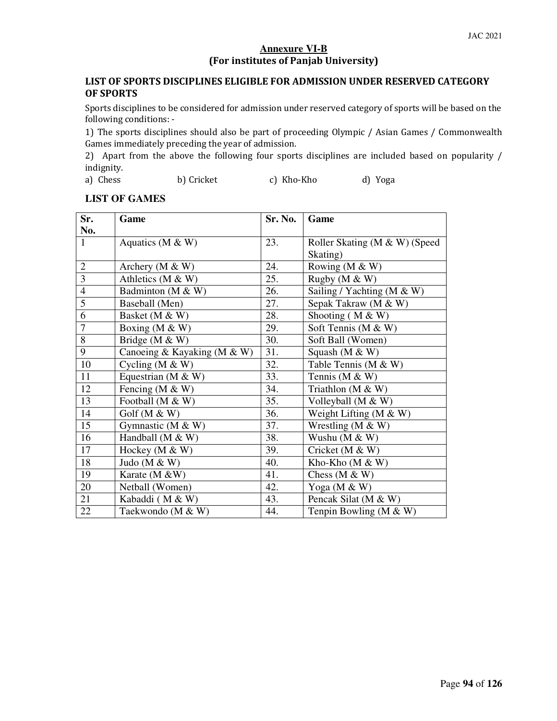# **Annexure VI-B**  (For institutes of Panjab University)

# LIST OF SPORTS DISCIPLINES ELIGIBLE FOR ADMISSION UNDER RESERVED CATEGORY OF SPORTS

Sports disciplines to be considered for admission under reserved category of sports will be based on the following conditions: -

1) The sports disciplines should also be part of proceeding Olympic / Asian Games / Commonwealth Games immediately preceding the year of admission.

2) Apart from the above the following four sports disciplines are included based on popularity / indignity.

a) Chess b) Cricket c) Kho-Kho d) Yoga

# **LIST OF GAMES**

| Sr.            | Game                        | Sr. No. | Game                          |
|----------------|-----------------------------|---------|-------------------------------|
| No.            |                             |         |                               |
| $\mathbf{1}$   | Aquatics ( $M \& W$ )       | 23.     | Roller Skating (M & W) (Speed |
|                |                             |         | Skating)                      |
| $\overline{2}$ | Archery ( $M \& W$ )        | 24.     | Rowing (M & W)                |
| $\overline{3}$ | Athletics ( $M \& W$ )      | 25.     | Rugby ( $M \& W$ )            |
| $\overline{4}$ | Badminton (M & W)           | 26.     | Sailing / Yachting (M $&$ W)  |
| $\overline{5}$ | Baseball (Men)              | 27.     | Sepak Takraw (M & W)          |
| $\overline{6}$ | Basket (M & W)              | 28.     | Shooting ( $M & W$ )          |
| $\overline{7}$ | Boxing ( $M \& W$ )         | 29.     | Soft Tennis (M & W)           |
| $\overline{8}$ | Bridge (M & W)              | 30.     | Soft Ball (Women)             |
| 9              | Canoeing & Kayaking (M & W) | 31.     | Squash ( $M & W$ )            |
| 10             | Cycling ( $M \& W$ )        | 32.     | Table Tennis (M & W)          |
| 11             | Equestrian ( $M \& W$ )     | 33.     | Tennis (M $&$ W)              |
| 12             | Fencing (M $&$ W)           | 34.     | Triathlon $(M & W)$           |
| 13             | Football (M & W)            | 35.     | Volleyball $(M & W)$          |
| 14             | Golf ( $M & W$ )            | 36.     | Weight Lifting $(M & W)$      |
| 15             | Gymnastic (M $&$ W)         | 37.     | Wrestling ( $M \& W$ )        |
| 16             | Handball ( $M & W$ )        | 38.     | Wushu (M & W)                 |
| 17             | Hockey ( $M \& W$ )         | 39.     | Cricket ( $M & W$ )           |
| 18             | Judo ( $M & W$ )            | 40.     | Kho-Kho $(M & W)$             |
| 19             | Karate ( $M \& W$ )         | 41.     | Chess $(M & W)$               |
| 20             | Netball (Women)             | 42.     | Yoga ( $M \& W$ )             |
| 21             | Kabaddi (M & W)             | 43.     | Pencak Silat (M & W)          |
| 22             | Taekwondo (M & W)           | 44.     | Tenpin Bowling ( $M \& W$ )   |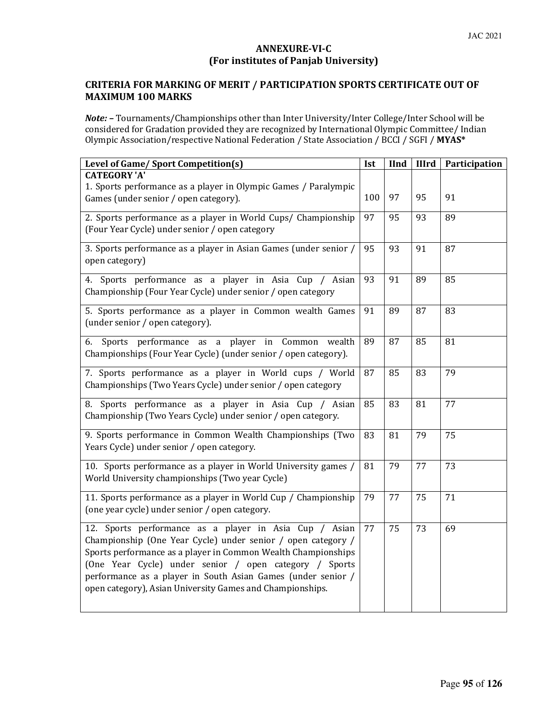# ANNEXURE-VI-C (For institutes of Panjab University)

# CRITERIA FOR MARKING OF MERIT / PARTICIPATION SPORTS CERTIFICATE OUT OF MAXIMUM 100 MARKS

Note: - Tournaments/Championships other than Inter University/Inter College/Inter School will be considered for Gradation provided they are recognized by International Olympic Committee/ Indian Olympic Association/respective National Federation / State Association / BCCI / SGFI / MYAS\*

| Level of Game/ Sport Competition(s)                                                                                                                                                                                                                                                                                                                                            | Ist | IInd | <b>IIIrd</b> | Participation |
|--------------------------------------------------------------------------------------------------------------------------------------------------------------------------------------------------------------------------------------------------------------------------------------------------------------------------------------------------------------------------------|-----|------|--------------|---------------|
| <b>CATEGORY 'A'</b><br>1. Sports performance as a player in Olympic Games / Paralympic<br>Games (under senior / open category).                                                                                                                                                                                                                                                | 100 | 97   | 95           | 91            |
| 2. Sports performance as a player in World Cups/ Championship<br>(Four Year Cycle) under senior / open category                                                                                                                                                                                                                                                                | 97  | 95   | 93           | 89            |
| 3. Sports performance as a player in Asian Games (under senior /<br>open category)                                                                                                                                                                                                                                                                                             | 95  | 93   | 91           | 87            |
| 4. Sports performance as a player in Asia Cup / Asian<br>Championship (Four Year Cycle) under senior / open category                                                                                                                                                                                                                                                           | 93  | 91   | 89           | 85            |
| 5. Sports performance as a player in Common wealth Games<br>(under senior / open category).                                                                                                                                                                                                                                                                                    | 91  | 89   | 87           | 83            |
| Sports performance as a player<br>6.<br>in Common<br>wealth<br>Championships (Four Year Cycle) (under senior / open category).                                                                                                                                                                                                                                                 | 89  | 87   | 85           | 81            |
| 7. Sports performance as a player in World cups / World<br>Championships (Two Years Cycle) under senior / open category                                                                                                                                                                                                                                                        | 87  | 85   | 83           | 79            |
| 8. Sports performance as a player in Asia Cup / Asian<br>Championship (Two Years Cycle) under senior / open category.                                                                                                                                                                                                                                                          | 85  | 83   | 81           | 77            |
| 9. Sports performance in Common Wealth Championships (Two<br>Years Cycle) under senior / open category.                                                                                                                                                                                                                                                                        | 83  | 81   | 79           | 75            |
| 10. Sports performance as a player in World University games /<br>World University championships (Two year Cycle)                                                                                                                                                                                                                                                              | 81  | 79   | 77           | 73            |
| 11. Sports performance as a player in World Cup / Championship<br>(one year cycle) under senior / open category.                                                                                                                                                                                                                                                               | 79  | 77   | 75           | 71            |
| 12. Sports performance as a player in Asia Cup / Asian<br>Championship (One Year Cycle) under senior / open category /<br>Sports performance as a player in Common Wealth Championships<br>(One Year Cycle) under senior / open category / Sports<br>performance as a player in South Asian Games (under senior /<br>open category), Asian University Games and Championships. | 77  | 75   | 73           | 69            |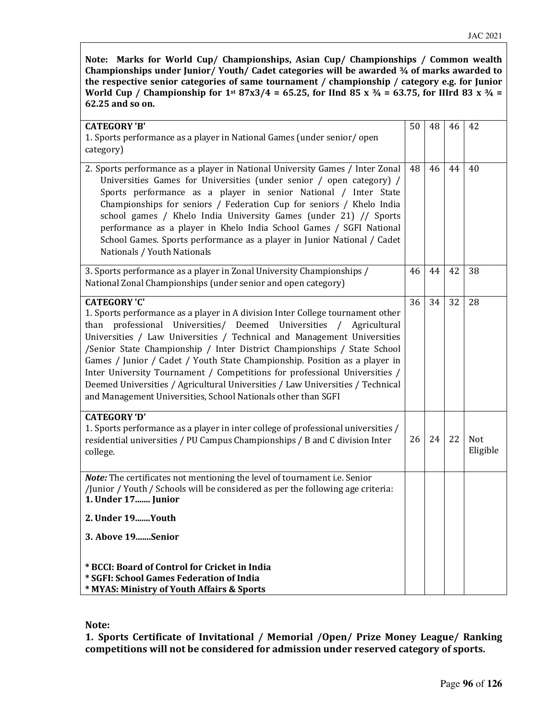Note: Marks for World Cup/ Championships, Asian Cup/ Championships / Common wealth Championships under Junior/ Youth/ Cadet categories will be awarded ¾ of marks awarded to the respective senior categories of same tournament / championship / category e.g. for Junior World Cup / Championship for 1st 87x3/4 = 65.25, for IInd 85 x  $\frac{3}{4}$  = 63.75, for IIIrd 83 x  $\frac{3}{4}$  = 62.25 and so on.

| <b>CATEGORY'B'</b><br>1. Sports performance as a player in National Games (under senior/open<br>category)                                                                                                                                                                                                                                                                                                                                                                                                                                                                                                                                                               | 50 | 48 | 46 | 42                     |
|-------------------------------------------------------------------------------------------------------------------------------------------------------------------------------------------------------------------------------------------------------------------------------------------------------------------------------------------------------------------------------------------------------------------------------------------------------------------------------------------------------------------------------------------------------------------------------------------------------------------------------------------------------------------------|----|----|----|------------------------|
| 2. Sports performance as a player in National University Games / Inter Zonal<br>Universities Games for Universities (under senior / open category) /<br>Sports performance as a player in senior National / Inter State<br>Championships for seniors / Federation Cup for seniors / Khelo India<br>school games / Khelo India University Games (under 21) // Sports<br>performance as a player in Khelo India School Games / SGFI National<br>School Games. Sports performance as a player in Junior National / Cadet<br>Nationals / Youth Nationals                                                                                                                    | 48 | 46 | 44 | 40                     |
| 3. Sports performance as a player in Zonal University Championships /<br>National Zonal Championships (under senior and open category)                                                                                                                                                                                                                                                                                                                                                                                                                                                                                                                                  | 46 | 44 | 42 | 38                     |
| <b>CATEGORY 'C'</b><br>1. Sports performance as a player in A division Inter College tournament other<br>professional<br>Universities/ Deemed<br>Universities<br>than<br>Agricultural<br>$\prime$<br>Universities / Law Universities / Technical and Management Universities<br>/Senior State Championship / Inter District Championships / State School<br>Games / Junior / Cadet / Youth State Championship. Position as a player in<br>Inter University Tournament / Competitions for professional Universities /<br>Deemed Universities / Agricultural Universities / Law Universities / Technical<br>and Management Universities, School Nationals other than SGFI | 36 | 34 | 32 | 28                     |
| <b>CATEGORY 'D'</b><br>1. Sports performance as a player in inter college of professional universities /<br>residential universities / PU Campus Championships / B and C division Inter<br>college.                                                                                                                                                                                                                                                                                                                                                                                                                                                                     | 26 | 24 | 22 | <b>Not</b><br>Eligible |
| Note: The certificates not mentioning the level of tournament i.e. Senior<br>/Junior / Youth / Schools will be considered as per the following age criteria:<br>1. Under 17 Junior                                                                                                                                                                                                                                                                                                                                                                                                                                                                                      |    |    |    |                        |
| 2. Under 19Youth                                                                                                                                                                                                                                                                                                                                                                                                                                                                                                                                                                                                                                                        |    |    |    |                        |
| 3. Above 19Senior                                                                                                                                                                                                                                                                                                                                                                                                                                                                                                                                                                                                                                                       |    |    |    |                        |
| * BCCI: Board of Control for Cricket in India<br>* SGFI: School Games Federation of India<br>* MYAS: Ministry of Youth Affairs & Sports                                                                                                                                                                                                                                                                                                                                                                                                                                                                                                                                 |    |    |    |                        |

Note:

1. Sports Certificate of Invitational / Memorial /Open/ Prize Money League/ Ranking competitions will not be considered for admission under reserved category of sports.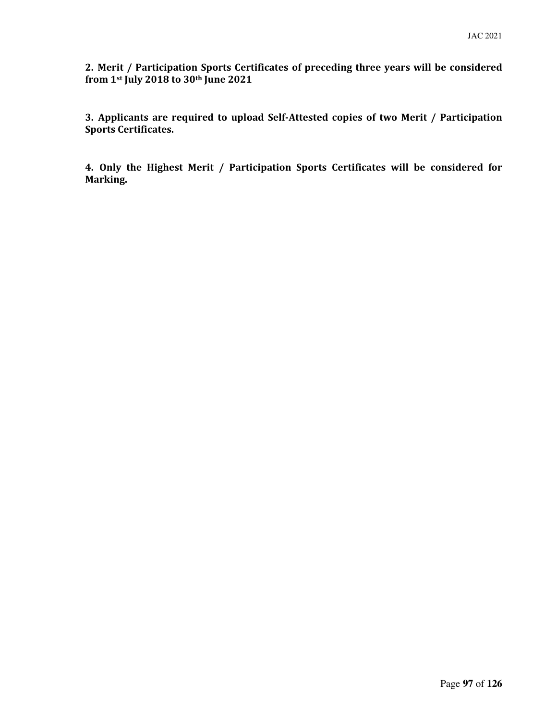2. Merit / Participation Sports Certificates of preceding three years will be considered from 1st July 2018 to 30th June 2021

3. Applicants are required to upload Self-Attested copies of two Merit / Participation Sports Certificates.

4. Only the Highest Merit / Participation Sports Certificates will be considered for Marking.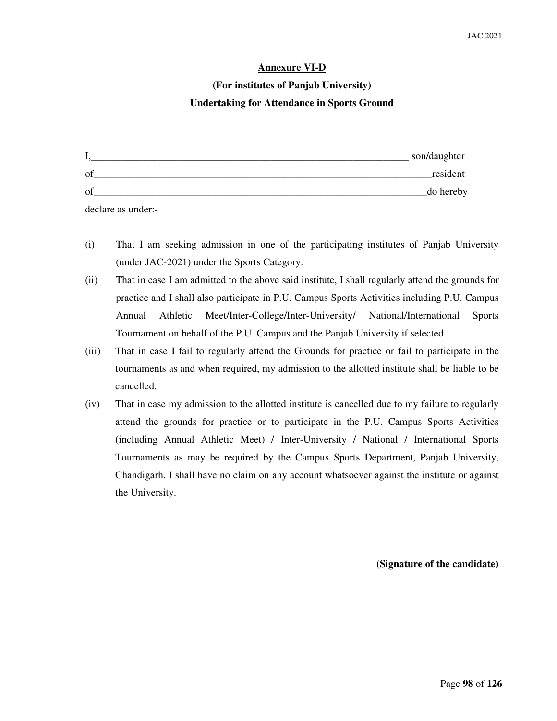#### **Annexure VI-D**

# **(For institutes of Panjab University) Undertaking for Attendance in Sports Ground**

|    | son/daughter |
|----|--------------|
| οf | resident     |
| Οf | do hereby    |

declare as under:-

- (i) That I am seeking admission in one of the participating institutes of Panjab University (under JAC-2021) under the Sports Category.
- (ii) That in case I am admitted to the above said institute, I shall regularly attend the grounds for practice and I shall also participate in P.U. Campus Sports Activities including P.U. Campus Annual Athletic Meet/Inter-College/Inter-University/ National/International Sports Tournament on behalf of the P.U. Campus and the Panjab University if selected.
- (iii) That in case I fail to regularly attend the Grounds for practice or fail to participate in the tournaments as and when required, my admission to the allotted institute shall be liable to be cancelled.
- (iv) That in case my admission to the allotted institute is cancelled due to my failure to regularly attend the grounds for practice or to participate in the P.U. Campus Sports Activities (including Annual Athletic Meet) / Inter-University / National / International Sports Tournaments as may be required by the Campus Sports Department, Panjab University, Chandigarh. I shall have no claim on any account whatsoever against the institute or against the University.

**(Signature of the candidate)**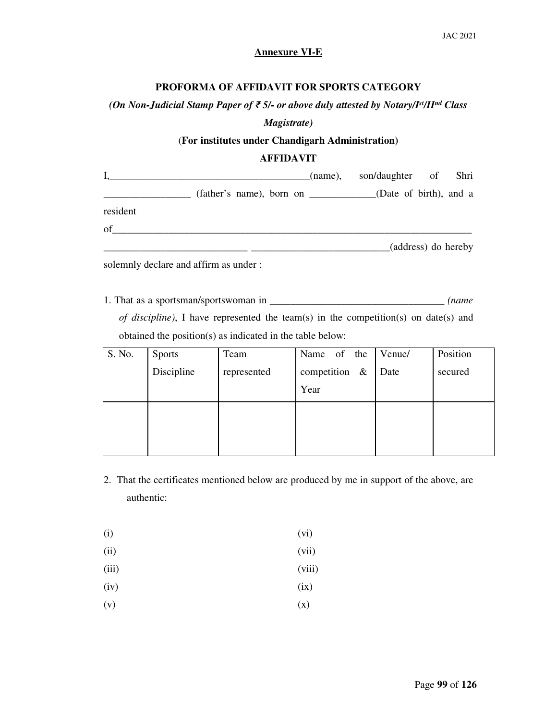## **Annexure VI-E**

#### **PROFORMA OF AFFIDAVIT FOR SPORTS CATEGORY**

# *(On Non-Judicial Stamp Paper of* ₹ *5/- or above duly attested by Notary/Ist/IInd Class*

#### *Magistrate)*

# (**For institutes under Chandigarh Administration)**

# **AFFIDAVIT**

|          |                                                            | (name), son/daughter of Shri |                     |
|----------|------------------------------------------------------------|------------------------------|---------------------|
|          | (father's name), born on ___________(Date of birth), and a |                              |                     |
| resident |                                                            |                              |                     |
| of       |                                                            |                              |                     |
|          |                                                            |                              | (address) do hereby |
|          |                                                            |                              |                     |

solemnly declare and affirm as under :

1. That as a sportsman/sportswoman in \_\_\_\_\_\_\_\_\_\_\_\_\_\_\_\_\_\_\_\_\_\_\_\_\_\_\_\_\_\_\_\_\_\_ *(name* 

*of discipline)*, I have represented the team(s) in the competition(s) on date(s) and obtained the position(s) as indicated in the table below:

| S. No. | <b>Sports</b> | Team        | Name of the      | Venue/ | Position |
|--------|---------------|-------------|------------------|--------|----------|
|        | Discipline    | represented | competition $\&$ | Date   | secured  |
|        |               |             | Year             |        |          |
|        |               |             |                  |        |          |
|        |               |             |                  |        |          |
|        |               |             |                  |        |          |

- 2. That the certificates mentioned below are produced by me in support of the above, are authentic:
- $(i)$  (vi)
- (ii) (vii)
- (iii) (viii)
- $(iv)$  (ix)
- $(v)$   $(x)$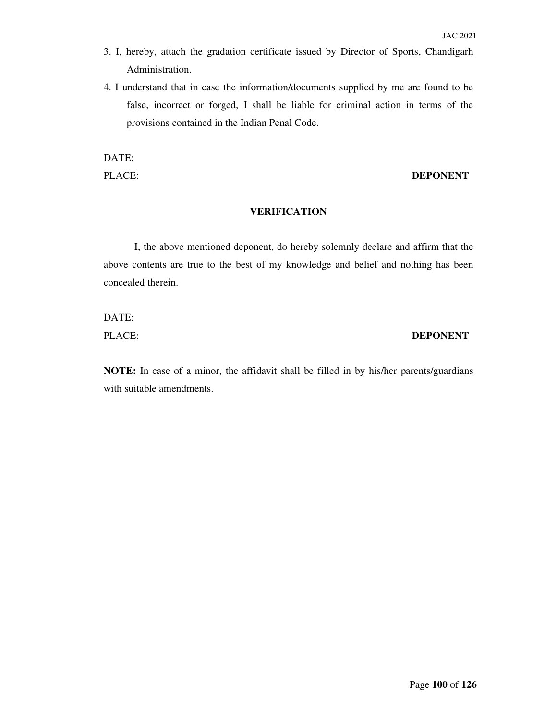- 3. I, hereby, attach the gradation certificate issued by Director of Sports, Chandigarh Administration.
- 4. I understand that in case the information/documents supplied by me are found to be false, incorrect or forged, I shall be liable for criminal action in terms of the provisions contained in the Indian Penal Code.

DATE:

#### PLACE: **DEPONENT**

#### **VERIFICATION**

I, the above mentioned deponent, do hereby solemnly declare and affirm that the above contents are true to the best of my knowledge and belief and nothing has been concealed therein.

DATE:

# PLACE: **DEPONENT**

**NOTE:** In case of a minor, the affidavit shall be filled in by his/her parents/guardians with suitable amendments.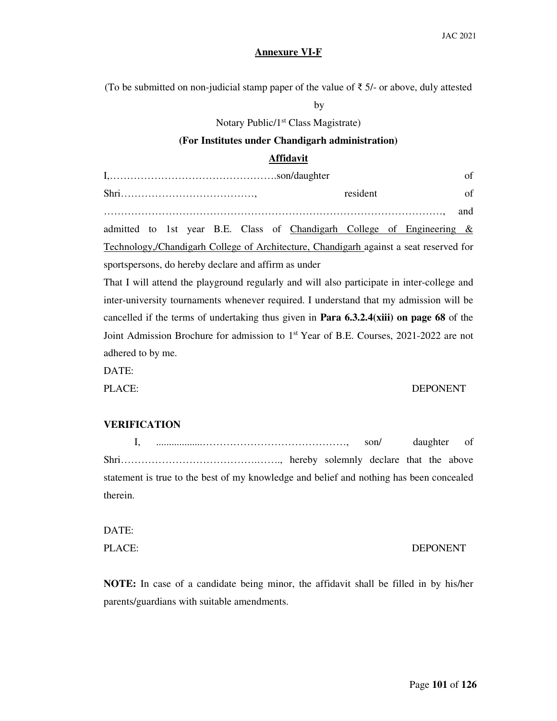#### **Annexure VI-F**

(To be submitted on non-judicial stamp paper of the value of  $\bar{\tau}$  5/- or above, duly attested

by

Notary Public/1<sup>st</sup> Class Magistrate)

## **(For Institutes under Chandigarh administration)**

#### **Affidavit**

|                                                                                        |  |  |  |          |  |  |                                                                           | of |  |  |  |
|----------------------------------------------------------------------------------------|--|--|--|----------|--|--|---------------------------------------------------------------------------|----|--|--|--|
|                                                                                        |  |  |  | resident |  |  |                                                                           | of |  |  |  |
|                                                                                        |  |  |  |          |  |  |                                                                           |    |  |  |  |
|                                                                                        |  |  |  |          |  |  | admitted to 1st year B.E. Class of Chandigarh College of Engineering $\&$ |    |  |  |  |
| Technology, Chandigarh College of Architecture, Chandigarh against a seat reserved for |  |  |  |          |  |  |                                                                           |    |  |  |  |
| sportspersons, do hereby declare and affirm as under                                   |  |  |  |          |  |  |                                                                           |    |  |  |  |

That I will attend the playground regularly and will also participate in inter-college and inter-university tournaments whenever required. I understand that my admission will be cancelled if the terms of undertaking thus given in **Para 6.3.2.4(xiii) on page 68** of the Joint Admission Brochure for admission to 1st Year of B.E. Courses, 2021-2022 are not adhered to by me.

DATE:

#### PLACE: DEPONENT

#### **VERIFICATION**

 I, ..................……………………………………, son/ daughter of Shri………………………………….……., hereby solemnly declare that the above statement is true to the best of my knowledge and belief and nothing has been concealed therein.

DATE:

#### PLACE: DEPONENT

**NOTE:** In case of a candidate being minor, the affidavit shall be filled in by his/her parents/guardians with suitable amendments.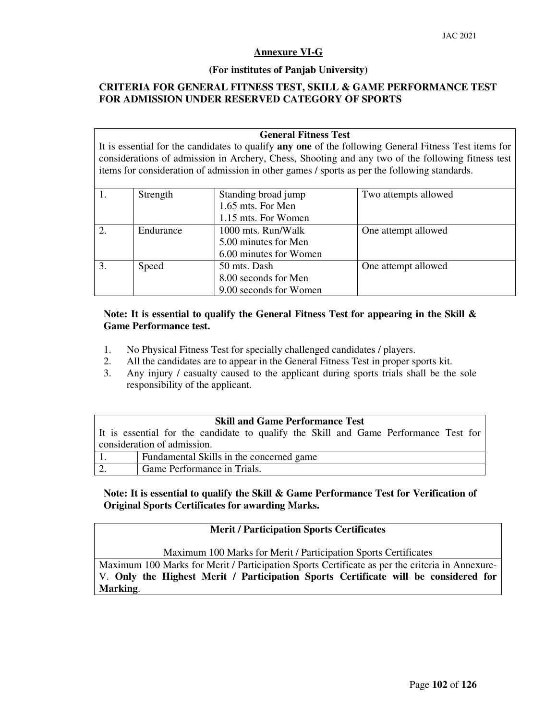#### **Annexure VI-G**

#### **(For institutes of Panjab University)**

## **CRITERIA FOR GENERAL FITNESS TEST, SKILL & GAME PERFORMANCE TEST FOR ADMISSION UNDER RESERVED CATEGORY OF SPORTS**

#### **General Fitness Test**

It is essential for the candidates to qualify **any one** of the following General Fitness Test items for considerations of admission in Archery, Chess, Shooting and any two of the following fitness test items for consideration of admission in other games / sports as per the following standards.

|                | Strength  | Standing broad jump    | Two attempts allowed |
|----------------|-----------|------------------------|----------------------|
|                |           | 1.65 mts. For Men      |                      |
|                |           | 1.15 mts. For Women    |                      |
| $\overline{2}$ | Endurance | 1000 mts. Run/Walk     | One attempt allowed  |
|                |           | 5.00 minutes for Men   |                      |
|                |           | 6.00 minutes for Women |                      |
| 3.             | Speed     | 50 mts. Dash           | One attempt allowed  |
|                |           | 8.00 seconds for Men   |                      |
|                |           | 9.00 seconds for Women |                      |

#### **Note: It is essential to qualify the General Fitness Test for appearing in the Skill & Game Performance test.**

- 1. No Physical Fitness Test for specially challenged candidates / players.
- 2. All the candidates are to appear in the General Fitness Test in proper sports kit.
- 3. Any injury / casualty caused to the applicant during sports trials shall be the sole responsibility of the applicant.

#### **Skill and Game Performance Test**

It is essential for the candidate to qualify the Skill and Game Performance Test for consideration of admission.

| Fundamental Skills in the concerned game. |
|-------------------------------------------|
| Game Performance in Trials.               |

## **Note: It is essential to qualify the Skill & Game Performance Test for Verification of Original Sports Certificates for awarding Marks.**

## **Merit / Participation Sports Certificates**

Maximum 100 Marks for Merit / Participation Sports Certificates

Maximum 100 Marks for Merit / Participation Sports Certificate as per the criteria in Annexure-V. **Only the Highest Merit / Participation Sports Certificate will be considered for Marking**.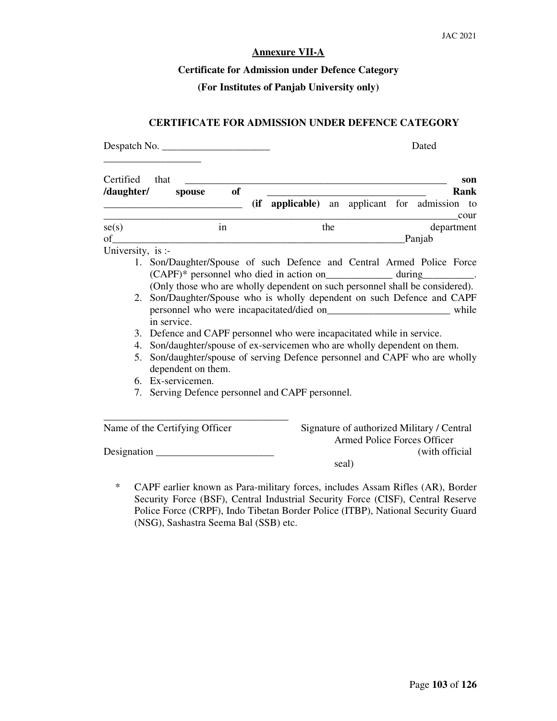#### **Annexure VII-A**

# **Certificate for Admission under Defence Category**

## **(For Institutes of Panjab University only)**

# **CERTIFICATE FOR ADMISSION UNDER DEFENCE CATEGORY**

Despatch No. \_\_\_\_\_\_\_\_\_\_\_\_\_\_\_\_\_\_\_\_\_ Dated

| Certified<br>/daughter/ | that<br>spouse                                                                                    | <b>of</b> |  |       |  | son<br>Rank                                                                                                                                          |
|-------------------------|---------------------------------------------------------------------------------------------------|-----------|--|-------|--|------------------------------------------------------------------------------------------------------------------------------------------------------|
|                         |                                                                                                   |           |  |       |  | (if applicable) an applicant for admission to<br>cour                                                                                                |
| se(s)<br>of             |                                                                                                   | in        |  | the   |  | department<br>Panjab                                                                                                                                 |
| University, is :-       |                                                                                                   |           |  |       |  |                                                                                                                                                      |
|                         | 1. Son/Daughter/Spouse of such Defence and Central Armed Police Force                             |           |  |       |  | (CAPF)* personnel who died in action on____________ during_________.<br>(Only those who are wholly dependent on such personnel shall be considered). |
|                         | 2. Son/Daughter/Spouse who is wholly dependent on such Defence and CAPF<br>in service.            |           |  |       |  | while                                                                                                                                                |
|                         | 3. Defence and CAPF personnel who were incapacitated while in service.                            |           |  |       |  |                                                                                                                                                      |
|                         | 4. Son/daughter/spouse of ex-servicemen who are wholly dependent on them.                         |           |  |       |  |                                                                                                                                                      |
|                         | 5. Son/daughter/spouse of serving Defence personnel and CAPF who are wholly<br>dependent on them. |           |  |       |  |                                                                                                                                                      |
|                         | 6. Ex-servicemen.                                                                                 |           |  |       |  |                                                                                                                                                      |
|                         | 7. Serving Defence personnel and CAPF personnel.                                                  |           |  |       |  |                                                                                                                                                      |
|                         | Name of the Certifying Officer                                                                    |           |  |       |  | Signature of authorized Military / Central<br>Armed Police Forces Officer                                                                            |
|                         |                                                                                                   |           |  | seal) |  | (with official)                                                                                                                                      |

\* CAPF earlier known as Para-military forces, includes Assam Rifles (AR), Border Security Force (BSF), Central Industrial Security Force (CISF), Central Reserve Police Force (CRPF), Indo Tibetan Border Police (ITBP), National Security Guard (NSG), Sashastra Seema Bal (SSB) etc.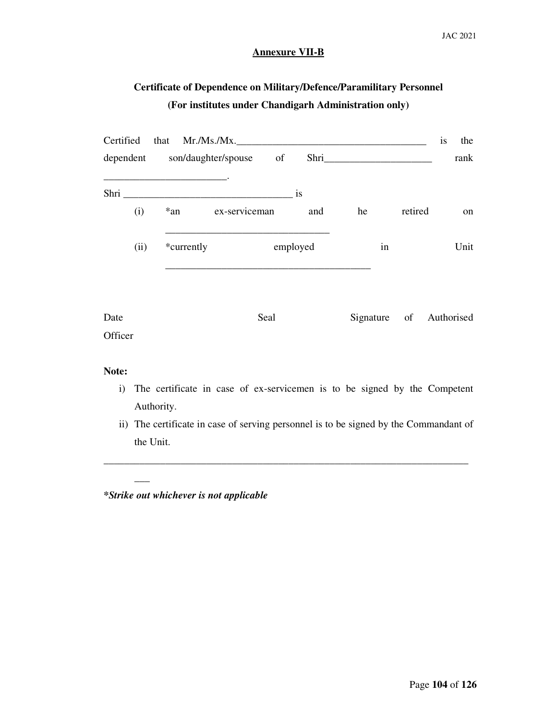#### **Annexure VII-B**

# **Certificate of Dependence on Military/Defence/Paramilitary Personnel (For institutes under Chandigarh Administration only)**

|                 | Certified that Mr./Ms./Mx.       |               |          |           |      |    |                         | is | the  |
|-----------------|----------------------------------|---------------|----------|-----------|------|----|-------------------------|----|------|
|                 | dependent son/daughter/spouse of |               |          |           | Shri |    |                         |    | rank |
|                 | Shri                             |               |          | <i>is</i> |      |    |                         |    |      |
| (i)             | $*an$                            | ex-serviceman |          | and       | he   |    | retired                 |    | on   |
| (ii)            | *currently                       |               | employed |           |      | in |                         |    | Unit |
| Date<br>Officer |                                  |               | Seal     |           |      |    | Signature of Authorised |    |      |

# **Note:**

- i) The certificate in case of ex-servicemen is to be signed by the Competent Authority.
- ii) The certificate in case of serving personnel is to be signed by the Commandant of the Unit.

\_\_\_\_\_\_\_\_\_\_\_\_\_\_\_\_\_\_\_\_\_\_\_\_\_\_\_\_\_\_\_\_\_\_\_\_\_\_\_\_\_\_\_\_\_\_\_\_\_\_\_\_\_\_\_\_\_\_\_\_\_\_\_\_\_\_\_\_\_\_\_

*\*Strike out whichever is not applicable* 

 $\overline{\phantom{a}}$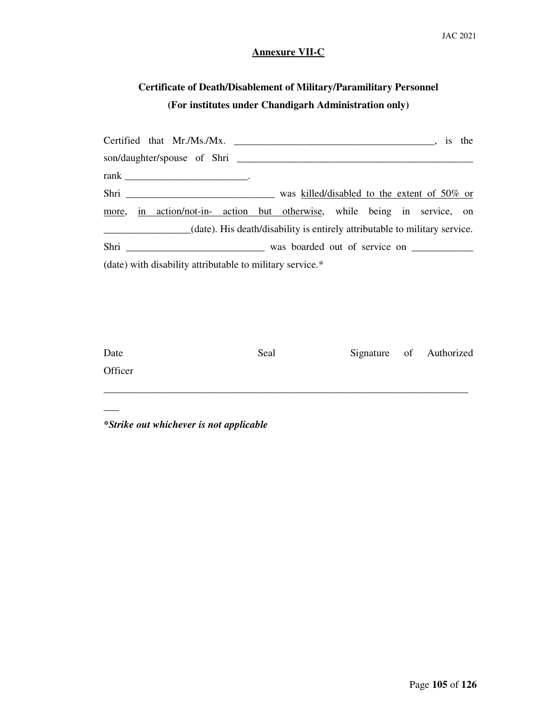# **Annexure VII-C**

# **Certificate of Death/Disablement of Military/Paramilitary Personnel (For institutes under Chandigarh Administration only)**

|                                                                            | is the |
|----------------------------------------------------------------------------|--------|
|                                                                            |        |
|                                                                            |        |
|                                                                            |        |
| more, in action/not-in- action but otherwise, while being in service, on   |        |
| (date). His death/disability is entirely attributable to military service. |        |
|                                                                            |        |
| (date) with disability attributable to military service.*                  |        |
|                                                                            |        |

| Date    | Seal |  | Signature of Authorized |
|---------|------|--|-------------------------|
| Officer |      |  |                         |
|         |      |  |                         |

# *\*Strike out whichever is not applicable*

 $\overline{\phantom{a}}$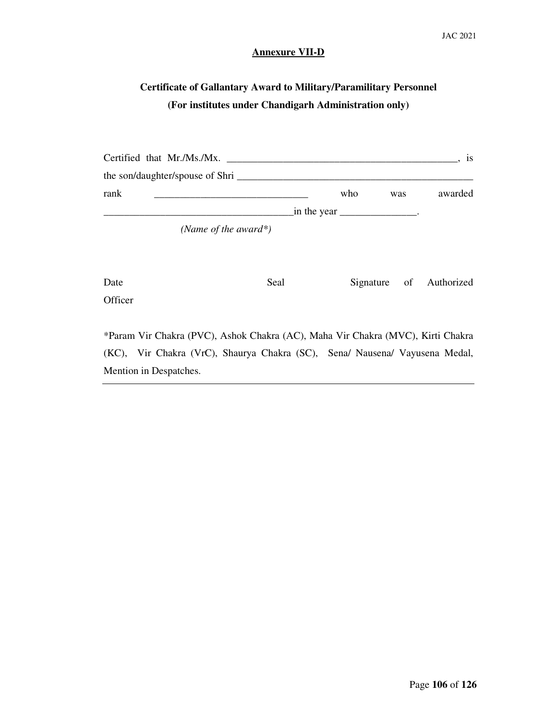#### **Annexure VII-D**

# **Certificate of Gallantary Award to Military/Paramilitary Personnel (For institutes under Chandigarh Administration only)**

|      | Certified that Mr./Ms./Mx.      |                                               |     | <b>1S</b> |
|------|---------------------------------|-----------------------------------------------|-----|-----------|
|      | the son/daughter/spouse of Shri |                                               |     |           |
| rank |                                 | who                                           | was | awarded   |
|      |                                 | $\text{in the year}$ _______________________. |     |           |
|      | (Name of the award*)            |                                               |     |           |

| Date    | Seal |  | Signature of Authorized |
|---------|------|--|-------------------------|
| Officer |      |  |                         |

\*Param Vir Chakra (PVC), Ashok Chakra (AC), Maha Vir Chakra (MVC), Kirti Chakra (KC), Vir Chakra (VrC), Shaurya Chakra (SC), Sena/ Nausena/ Vayusena Medal, Mention in Despatches.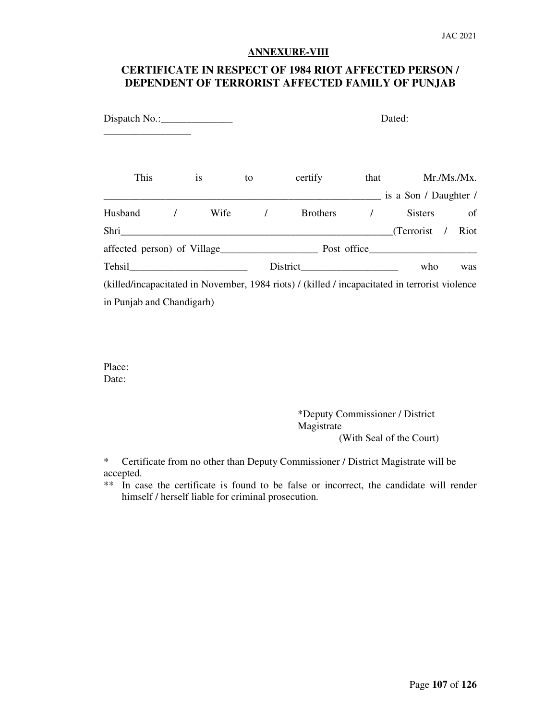#### **ANNEXURE-VIII**

# **CERTIFICATE IN RESPECT OF 1984 RIOT AFFECTED PERSON / DEPENDENT OF TERRORIST AFFECTED FAMILY OF PUNJAB**

| $Dispatch No.:\_$ |  |      |                                         |            | Dated:                                                                                         |                                |               |  |
|-------------------|--|------|-----------------------------------------|------------|------------------------------------------------------------------------------------------------|--------------------------------|---------------|--|
| This              |  | 1S   | to                                      | certify    |                                                                                                | that                           | Mr./Ms./Mx.   |  |
|                   |  |      |                                         |            |                                                                                                | $\equiv$ is a Son / Daughter / |               |  |
| Husband           |  | Wife |                                         | $\sqrt{2}$ | <b>Brothers</b>                                                                                | <b>Sisters</b>                 | <sub>of</sub> |  |
| Shri              |  |      |                                         |            |                                                                                                | (Terrorist /                   | Riot          |  |
|                   |  |      | affected person) of Village Post office |            |                                                                                                |                                |               |  |
|                   |  |      |                                         |            |                                                                                                | who                            | was           |  |
|                   |  |      |                                         |            | (killed/incapacitated in November, 1984 riots) / (killed / incapacitated in terrorist violence |                                |               |  |

in Punjab and Chandigarh)

Place: Date:

> \*Deputy Commissioner / District Magistrate (With Seal of the Court)

\* Certificate from no other than Deputy Commissioner / District Magistrate will be accepted.

\*\* In case the certificate is found to be false or incorrect, the candidate will render himself / herself liable for criminal prosecution.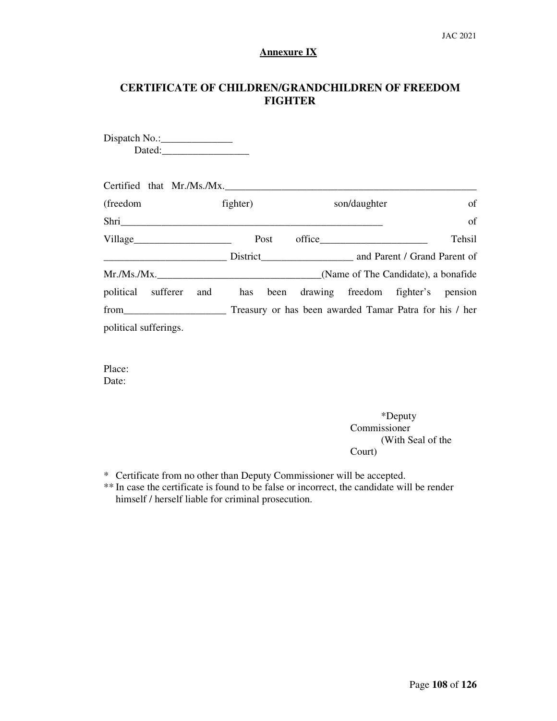# **Annexure IX**

# **CERTIFICATE OF CHILDREN/GRANDCHILDREN OF FREEDOM FIGHTER**

| $Dispatch No.:\_$                                                                                                                                                                                                              |          |                                                        |                                     |
|--------------------------------------------------------------------------------------------------------------------------------------------------------------------------------------------------------------------------------|----------|--------------------------------------------------------|-------------------------------------|
|                                                                                                                                                                                                                                |          |                                                        |                                     |
|                                                                                                                                                                                                                                |          |                                                        |                                     |
| Certified that Mr./Ms./Mx.                                                                                                                                                                                                     |          |                                                        |                                     |
| (freedom)                                                                                                                                                                                                                      | fighter) | son/daughter                                           | of                                  |
| Shri                                                                                                                                                                                                                           |          |                                                        | of                                  |
|                                                                                                                                                                                                                                | Post     | $\text{office}\_\_\_\_\_\_\_\_$                        | Tehsil                              |
|                                                                                                                                                                                                                                |          | District and Parent / Grand Parent of                  |                                     |
| Mr.Ms.Mx.                                                                                                                                                                                                                      |          |                                                        | (Name of The Candidate), a bonafide |
| political sufferer<br>and                                                                                                                                                                                                      | has      | been drawing freedom fighter's pension                 |                                     |
| from the contract of the contract of the contract of the contract of the contract of the contract of the contract of the contract of the contract of the contract of the contract of the contract of the contract of the contr |          | Treasury or has been awarded Tamar Patra for his / her |                                     |
| political sufferings.                                                                                                                                                                                                          |          |                                                        |                                     |
|                                                                                                                                                                                                                                |          |                                                        |                                     |

Place: Date:

> \*Deputy Commissioner (With Seal of the Court)

\* Certificate from no other than Deputy Commissioner will be accepted.

\*\* In case the certificate is found to be false or incorrect, the candidate will be render himself / herself liable for criminal prosecution.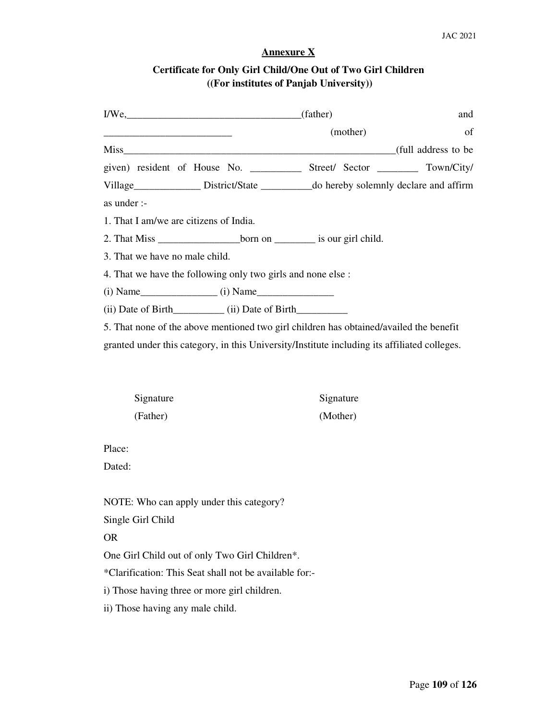# **Annexure X**

# **Certificate for Only Girl Child/One Out of Two Girl Children ((For institutes of Panjab University))**

| $I/We$ , (father)                                                                                                                                                                                                                                 |           | and |
|---------------------------------------------------------------------------------------------------------------------------------------------------------------------------------------------------------------------------------------------------|-----------|-----|
|                                                                                                                                                                                                                                                   | (mother)  | of  |
|                                                                                                                                                                                                                                                   |           |     |
| given) resident of House No. _____________ Street/ Sector __________ Town/City/                                                                                                                                                                   |           |     |
| Village_______________ District/State __________ do hereby solemnly declare and affirm                                                                                                                                                            |           |     |
| as under :-                                                                                                                                                                                                                                       |           |     |
| 1. That I am/we are citizens of India.                                                                                                                                                                                                            |           |     |
| 2. That Miss _______________________born on ___________ is our girl child.                                                                                                                                                                        |           |     |
| 3. That we have no male child.                                                                                                                                                                                                                    |           |     |
| 4. That we have the following only two girls and none else :                                                                                                                                                                                      |           |     |
| $(i)$ Name $(i)$ Name $(i)$ Name $(i)$ Name $(i)$ Name $(i)$ Name $(i)$ Name $(i)$ Name $(i)$ Name $(i)$ Name $(i)$ Name $(i)$ Name $(i)$ Name $(i)$ Name $(i)$ Name $(i)$ Name $(i)$ Name $(i)$ Name $(i)$ Name $(i)$ Name $(i)$ Name $(i)$ Name |           |     |
|                                                                                                                                                                                                                                                   |           |     |
| 5. That none of the above mentioned two girl children has obtained/availed the benefit                                                                                                                                                            |           |     |
| granted under this category, in this University/Institute including its affiliated colleges.                                                                                                                                                      |           |     |
|                                                                                                                                                                                                                                                   |           |     |
|                                                                                                                                                                                                                                                   |           |     |
| Signature                                                                                                                                                                                                                                         | Signature |     |
| (Father)                                                                                                                                                                                                                                          | (Mother)  |     |
|                                                                                                                                                                                                                                                   |           |     |
| Place:                                                                                                                                                                                                                                            |           |     |
| Dated:                                                                                                                                                                                                                                            |           |     |
|                                                                                                                                                                                                                                                   |           |     |
| NOTE: Who can apply under this category?                                                                                                                                                                                                          |           |     |
| Single Girl Child                                                                                                                                                                                                                                 |           |     |
| <b>OR</b>                                                                                                                                                                                                                                         |           |     |
| One Girl Child out of only Two Girl Children*.                                                                                                                                                                                                    |           |     |
| *Clarification: This Seat shall not be available for:-                                                                                                                                                                                            |           |     |
| i) Those having three or more girl children.                                                                                                                                                                                                      |           |     |

ii) Those having any male child.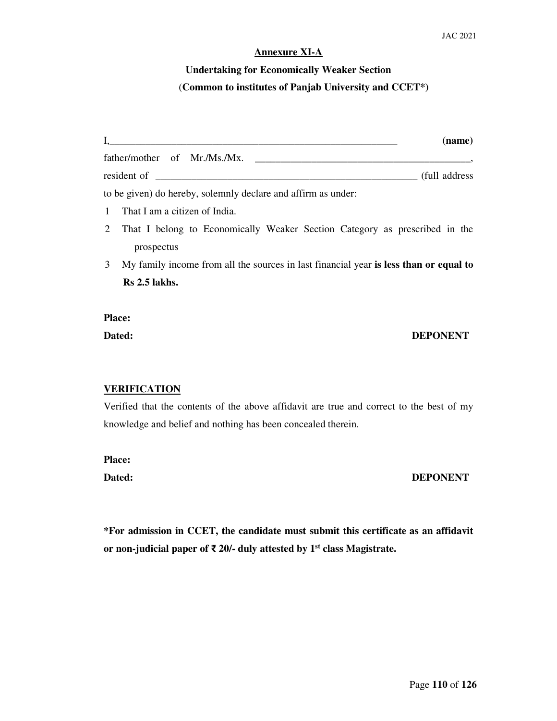#### **Annexure XI-A**

# **Undertaking for Economically Weaker Section**  (**Common to institutes of Panjab University and CCET\*)**

| $\mathbf{I}$ , | (name)                                                                                |
|----------------|---------------------------------------------------------------------------------------|
|                | father/mother of Mr./Ms./Mx.                                                          |
|                | (full address)                                                                        |
|                | to be given) do hereby, solemnly declare and affirm as under:                         |
|                | 1 That I am a citizen of India.                                                       |
|                | 2 That I belong to Economically Weaker Section Category as prescribed in the          |
|                | prospectus                                                                            |
| $\mathfrak{Z}$ | My family income from all the sources in last financial year is less than or equal to |

**Rs 2.5 lakhs.** 

**Place:** 

## **Dated: DEPONENT**

#### **VERIFICATION**

Verified that the contents of the above affidavit are true and correct to the best of my knowledge and belief and nothing has been concealed therein.

**Place:** 

Dated: DEPONENT

**\*For admission in CCET, the candidate must submit this certificate as an affidavit or non-judicial paper of** ₹ **20/- duly attested by 1st class Magistrate.**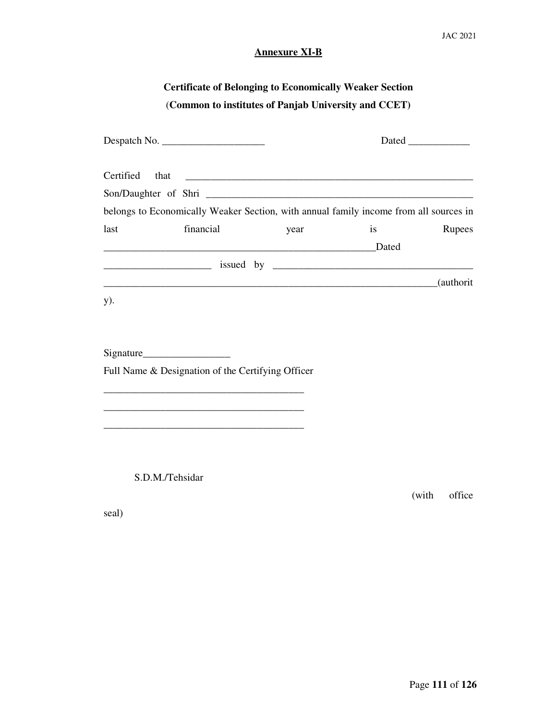# **Annexure XI-B**

# **Certificate of Belonging to Economically Weaker Section**  (**Common to institutes of Panjab University and CCET)**

| Certified | that                                                                                                                |      |    |            |
|-----------|---------------------------------------------------------------------------------------------------------------------|------|----|------------|
|           |                                                                                                                     |      |    |            |
|           | belongs to Economically Weaker Section, with annual family income from all sources in                               |      |    |            |
| last      | financial                                                                                                           | year | is | Rupees     |
|           | <u>Dated</u> Dated                                                                                                  |      |    |            |
|           |                                                                                                                     |      |    |            |
|           |                                                                                                                     |      |    | (authorit) |
| y).       |                                                                                                                     |      |    |            |
|           |                                                                                                                     |      |    |            |
|           |                                                                                                                     |      |    |            |
|           |                                                                                                                     |      |    |            |
|           | Full Name & Designation of the Certifying Officer                                                                   |      |    |            |
|           | <u> 1989 - Johann John Stoff, deutscher Stoffen und der Stoffen und der Stoffen und der Stoffen und der Stoffen</u> |      |    |            |
|           |                                                                                                                     |      |    |            |
|           | <u> 1989 - Johann John Stoff, deutscher Stoffen und der Stoffen und der Stoffen und der Stoffen und der Stoffen</u> |      |    |            |
|           |                                                                                                                     |      |    |            |
|           |                                                                                                                     |      |    |            |

S.D.M./Tehsidar

(with office

seal)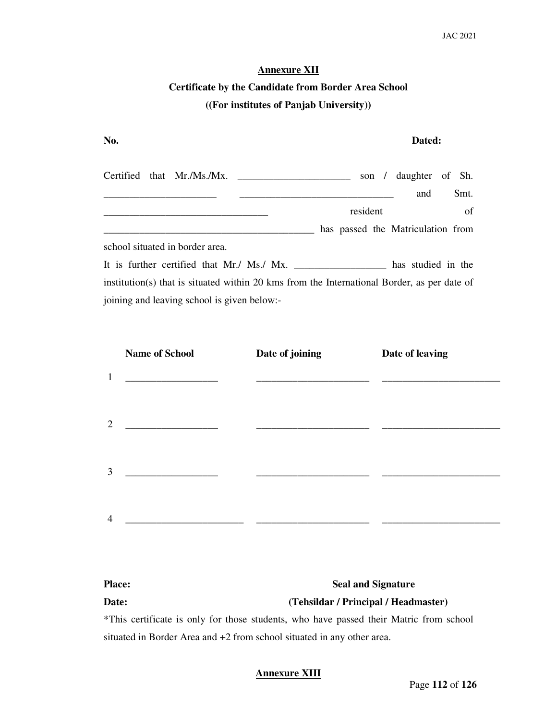#### **Annexure XII**

# **Certificate by the Candidate from Border Area School ((For institutes of Panjab University))**

| No.                                                                                         |          | Dated:                            |
|---------------------------------------------------------------------------------------------|----------|-----------------------------------|
| Certified that Mr./Ms./Mx.                                                                  | son /    | daughter of Sh.                   |
|                                                                                             |          | Smt.<br>and                       |
|                                                                                             | resident | <sub>of</sub>                     |
|                                                                                             |          | has passed the Matriculation from |
| school situated in border area.                                                             |          |                                   |
| It is further certified that Mr./ Ms./ Mx.                                                  |          |                                   |
| institution(s) that is situated within 20 kms from the International Border, as per date of |          |                                   |
| joining and leaving school is given below:-                                                 |          |                                   |

|                | <b>Name of School</b>                   | Date of joining | Date of leaving |
|----------------|-----------------------------------------|-----------------|-----------------|
| $\mathbf{1}$   |                                         |                 |                 |
| $\overline{2}$ | <u> 1989 - Johann Barbara, martin a</u> |                 |                 |
| 3              |                                         |                 |                 |
| $\overline{4}$ |                                         |                 |                 |

| <b>Seal and Signature</b><br><b>Place:</b>                             |                                                                                        |
|------------------------------------------------------------------------|----------------------------------------------------------------------------------------|
| Date:                                                                  | (Tehsildar / Principal / Headmaster)                                                   |
|                                                                        | *This certificate is only for those students, who have passed their Matric from school |
| situated in Border Area and +2 from school situated in any other area. |                                                                                        |

#### **Annexure XIII**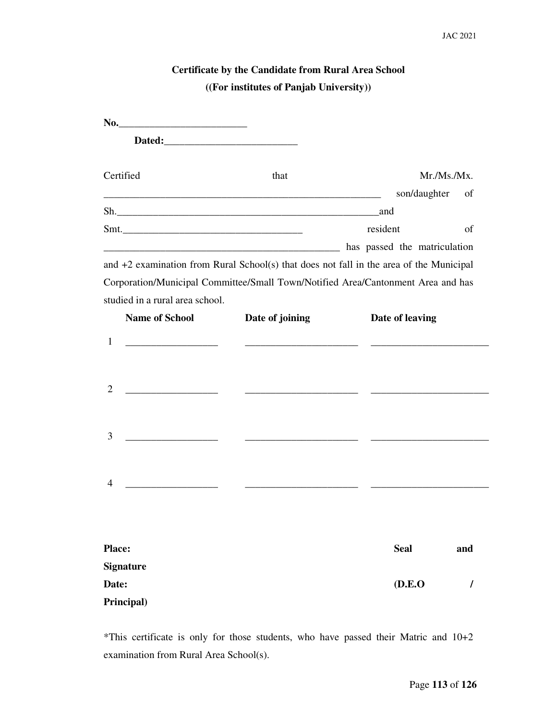| <b>Certificate by the Candidate from Rural Area School</b> |  |
|------------------------------------------------------------|--|
| ((For institutes of Panjab University))                    |  |

| No.                                                                                                                        |                 |                 |             |
|----------------------------------------------------------------------------------------------------------------------------|-----------------|-----------------|-------------|
|                                                                                                                            |                 |                 |             |
| Certified                                                                                                                  | that            |                 | Mr./Ms./Mx. |
|                                                                                                                            |                 | son/daughter    | of          |
|                                                                                                                            |                 |                 |             |
| $Smt$ .                                                                                                                    |                 | resident        | of          |
| and the matriculation and the matriculation has passed the matriculation                                                   |                 |                 |             |
| and $+2$ examination from Rural School(s) that does not fall in the area of the Municipal                                  |                 |                 |             |
| Corporation/Municipal Committee/Small Town/Notified Area/Cantonment Area and has                                           |                 |                 |             |
| studied in a rural area school.                                                                                            |                 |                 |             |
| <b>Name of School</b>                                                                                                      | Date of joining | Date of leaving |             |
| 1<br><u> 1989 - Johann Harry Harry Harry Harry Harry Harry Harry Harry Harry Harry Harry Harry Harry Harry Harry Harry</u> |                 |                 |             |
|                                                                                                                            |                 |                 |             |
|                                                                                                                            |                 |                 |             |
| 2                                                                                                                          |                 |                 |             |
|                                                                                                                            |                 |                 |             |
| 3                                                                                                                          |                 |                 |             |
|                                                                                                                            |                 |                 |             |
|                                                                                                                            |                 |                 |             |
| 4                                                                                                                          |                 |                 |             |
|                                                                                                                            |                 |                 |             |
|                                                                                                                            |                 |                 |             |
| <b>Place:</b>                                                                                                              |                 | <b>Seal</b>     | and         |
| <b>Signature</b>                                                                                                           |                 |                 |             |
| Date:                                                                                                                      |                 | (D.E.O)         | I           |
| Principal)                                                                                                                 |                 |                 |             |

\*This certificate is only for those students, who have passed their Matric and 10+2 examination from Rural Area School(s).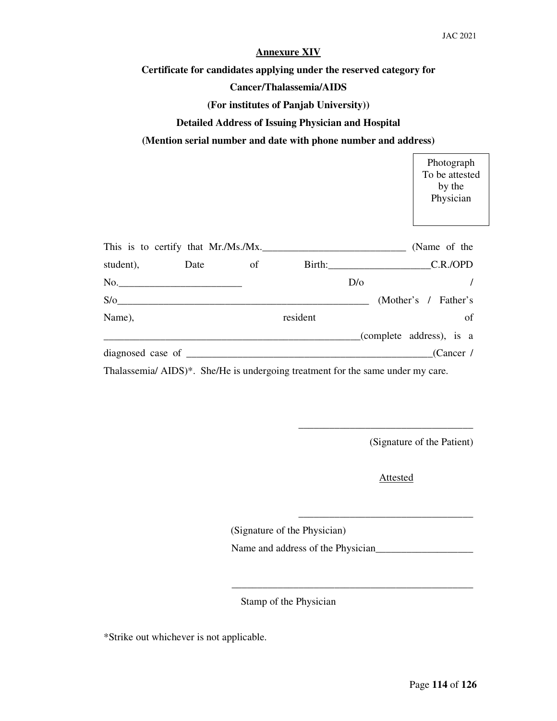#### **Annexure XIV**

**Certificate for candidates applying under the reserved category for** 

#### **Cancer/Thalassemia/AIDS**

#### **(For institutes of Panjab University))**

#### **Detailed Address of Issuing Physician and Hospital**

#### **(Mention serial number and date with phone number and address)**

|                              |      |          |                                     |     | Photograph<br>To be attested<br>by the<br>Physician |
|------------------------------|------|----------|-------------------------------------|-----|-----------------------------------------------------|
|                              |      |          | This is to certify that Mr./Ms./Mx. |     | (Name of the                                        |
| student),                    | Date | $\sigma$ |                                     |     | Birth: C.R./OPD                                     |
|                              |      |          |                                     | D/O |                                                     |
|                              | S/O  |          |                                     |     | (Mother's / Father's                                |
| Name),                       |      |          | resident                            |     | of                                                  |
|                              |      |          |                                     |     | (complete address), is a                            |
| diagnosed case of __________ |      |          |                                     |     | (Cancer /                                           |
|                              |      |          |                                     |     |                                                     |

Thalassemia/ AIDS)\*. She/He is undergoing treatment for the same under my care.

(Signature of the Patient)

 $\Gamma$ 

Attested

\_\_\_\_\_\_\_\_\_\_\_\_\_\_\_\_\_\_\_\_\_\_\_\_\_\_\_\_\_\_\_\_\_\_

\_\_\_\_\_\_\_\_\_\_\_\_\_\_\_\_\_\_\_\_\_\_\_\_\_\_\_\_\_\_\_\_\_\_

(Signature of the Physician)

Name and address of the Physician\_\_\_\_\_\_\_\_\_\_\_\_\_\_\_\_\_\_\_

Stamp of the Physician

\_\_\_\_\_\_\_\_\_\_\_\_\_\_\_\_\_\_\_\_\_\_\_\_\_\_\_\_\_\_\_\_\_\_\_\_\_\_\_\_\_\_\_\_\_\_\_

\*Strike out whichever is not applicable.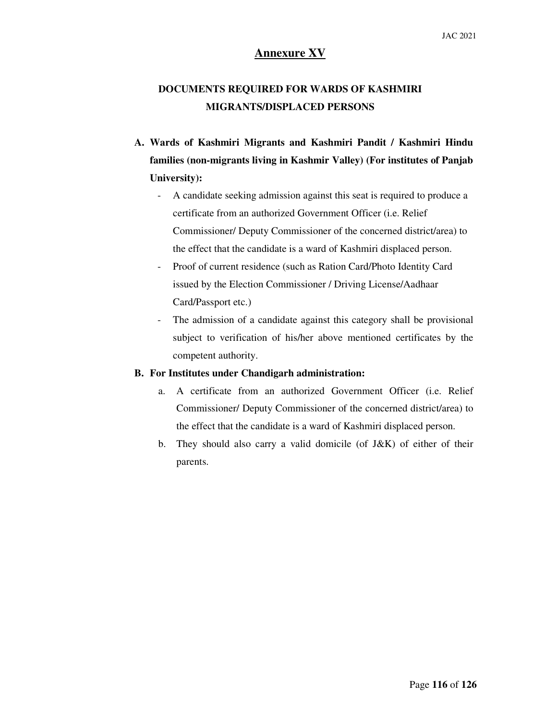# **Annexure XV**

# **DOCUMENTS REQUIRED FOR WARDS OF KASHMIRI MIGRANTS/DISPLACED PERSONS**

- **A. Wards of Kashmiri Migrants and Kashmiri Pandit / Kashmiri Hindu families (non-migrants living in Kashmir Valley) (For institutes of Panjab University):** 
	- A candidate seeking admission against this seat is required to produce a certificate from an authorized Government Officer (i.e. Relief Commissioner/ Deputy Commissioner of the concerned district/area) to the effect that the candidate is a ward of Kashmiri displaced person.
	- Proof of current residence (such as Ration Card/Photo Identity Card issued by the Election Commissioner / Driving License/Aadhaar Card/Passport etc.)
	- The admission of a candidate against this category shall be provisional subject to verification of his/her above mentioned certificates by the competent authority.

#### **B. For Institutes under Chandigarh administration:**

- a. A certificate from an authorized Government Officer (i.e. Relief Commissioner/ Deputy Commissioner of the concerned district/area) to the effect that the candidate is a ward of Kashmiri displaced person.
- b. They should also carry a valid domicile (of  $J\&K$ ) of either of their parents.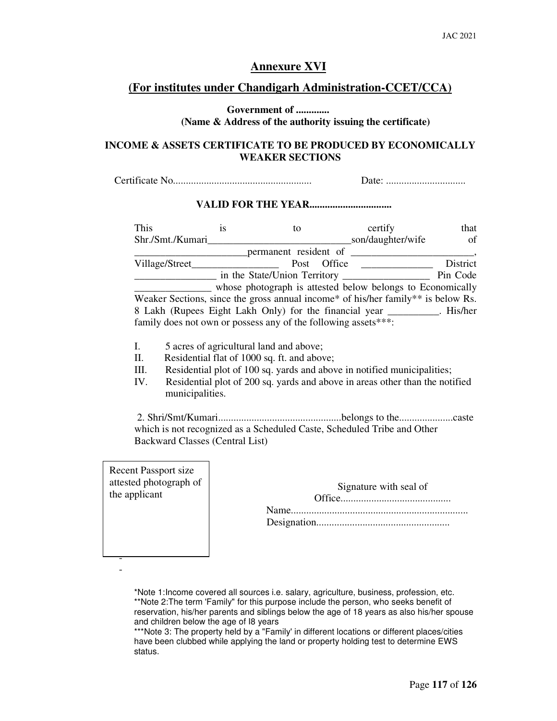# **Annexure XVI**

## **(For institutes under Chandigarh Administration-CCET/CCA)**

#### **Government of ............. (Name & Address of the authority issuing the certificate)**

#### **INCOME & ASSETS CERTIFICATE TO BE PRODUCED BY ECONOMICALLY WEAKER SECTIONS**

Certificate No...................................................... Date: ...............................

#### **VALID FOR THE YEAR.................................**

| This                                                                             | 1S | tο                           |        | certify                                                    | that          |
|----------------------------------------------------------------------------------|----|------------------------------|--------|------------------------------------------------------------|---------------|
| Shr./Smt./Kumari                                                                 |    |                              |        | son/daughter/wife                                          | <sub>of</sub> |
|                                                                                  |    | permanent resident of        |        |                                                            |               |
| Village/Street_                                                                  |    | Post                         | Office |                                                            | District      |
|                                                                                  |    | in the State/Union Territory |        |                                                            | Pin Code      |
|                                                                                  |    |                              |        | whose photograph is attested below belongs to Economically |               |
| Weaker Sections, since the gross annual income* of his/her family** is below Rs. |    |                              |        |                                                            |               |
| 8 Lakh (Rupees Eight Lakh Only) for the financial year _________. His/her        |    |                              |        |                                                            |               |
| family does not own or possess any of the following assets***:                   |    |                              |        |                                                            |               |

- I. 5 acres of agricultural land and above;
- II. Residential flat of 1000 sq. ft. and above;
- III. Residential plot of 100 sq. yards and above in notified municipalities;
- IV. Residential plot of 200 sq. yards and above in areas other than the notified municipalities.

 2. Shri/Smt/Kumari................................................belongs to the.....................caste which is not recognized as a Scheduled Caste, Scheduled Tribe and Other Backward Classes (Central List)

Recent Passport size attested photograph of the applicant

> - -

| Signature with seal of |
|------------------------|
|                        |
|                        |
|                        |

\*Note 1:Income covered all sources i.e. salary, agriculture, business, profession, etc. \*\*Note 2: The term 'Family" for this purpose include the person, who seeks benefit of reservation, his/her parents and siblings below the age of 18 years as also his/her spouse and children below the age of I8 years

\*\*\*Note 3: The property held by a "Family' in different locations or different places/cities have been clubbed while applying the land or property holding test to determine EWS status.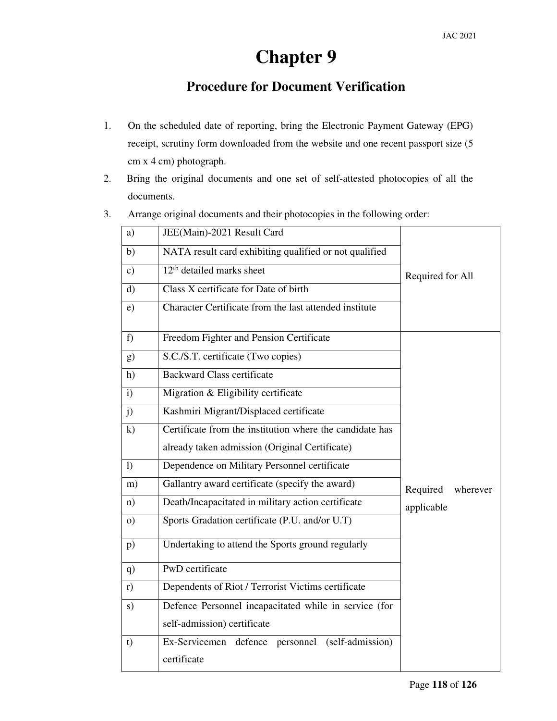# **Chapter 9**

# **Procedure for Document Verification**

- 1. On the scheduled date of reporting, bring the Electronic Payment Gateway (EPG) receipt, scrutiny form downloaded from the website and one recent passport size (5 cm x 4 cm) photograph.
- 2. Bring the original documents and one set of self-attested photocopies of all the documents.
- 3. Arrange original documents and their photocopies in the following order:

| a)            | JEE(Main)-2021 Result Card                                      |                      |
|---------------|-----------------------------------------------------------------|----------------------|
| b)            | NATA result card exhibiting qualified or not qualified          |                      |
| $\mathbf{c})$ | 12 <sup>th</sup> detailed marks sheet                           | Required for All     |
| $\mathbf{d}$  | Class X certificate for Date of birth                           |                      |
| e)            | Character Certificate from the last attended institute          |                      |
| f             | Freedom Fighter and Pension Certificate                         |                      |
| g)            | S.C./S.T. certificate (Two copies)                              |                      |
| h)            | <b>Backward Class certificate</b>                               |                      |
| $\mathbf{i}$  | Migration & Eligibility certificate                             |                      |
| j)            | Kashmiri Migrant/Displaced certificate                          |                      |
| $\mathbf{k}$  | Certificate from the institution where the candidate has        |                      |
|               | already taken admission (Original Certificate)                  |                      |
| $\bf{D}$      | Dependence on Military Personnel certificate                    |                      |
| m)            | Gallantry award certificate (specify the award)                 | Required<br>wherever |
| n)            | Death/Incapacitated in military action certificate              | applicable           |
| $\Omega$ )    | Sports Gradation certificate (P.U. and/or U.T)                  |                      |
| p)            | Undertaking to attend the Sports ground regularly               |                      |
| q)            | PwD certificate                                                 |                      |
| r)            | Dependents of Riot / Terrorist Victims certificate              |                      |
| s)            | Defence Personnel incapacitated while in service (for           |                      |
|               | self-admission) certificate                                     |                      |
| t)            | Ex-Servicemen defence personnel (self-admission)<br>certificate |                      |
|               |                                                                 |                      |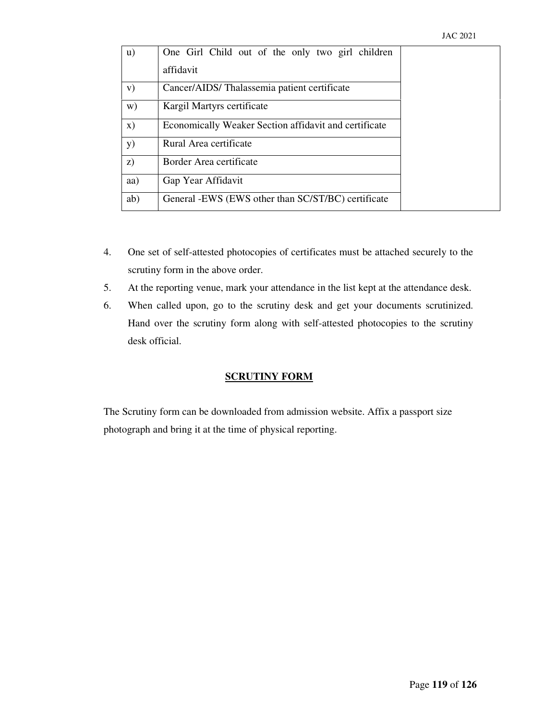| $\mathbf{u}$  | One Girl Child out of the only two girl children      |  |
|---------------|-------------------------------------------------------|--|
|               | affidavit                                             |  |
| V)            | Cancer/AIDS/Thalassemia patient certificate           |  |
| W)            | Kargil Martyrs certificate                            |  |
| $\mathbf{x})$ | Economically Weaker Section affidavit and certificate |  |
| <b>y</b> )    | Rural Area certificate                                |  |
| z)            | Border Area certificate                               |  |
| aa)           | Gap Year Affidavit                                    |  |
| ab)           | General -EWS (EWS other than SC/ST/BC) certificate    |  |

- 4. One set of self-attested photocopies of certificates must be attached securely to the scrutiny form in the above order.
- 5. At the reporting venue, mark your attendance in the list kept at the attendance desk.
- 6. When called upon, go to the scrutiny desk and get your documents scrutinized. Hand over the scrutiny form along with self-attested photocopies to the scrutiny desk official.

#### **SCRUTINY FORM**

The Scrutiny form can be downloaded from admission website. Affix a passport size photograph and bring it at the time of physical reporting.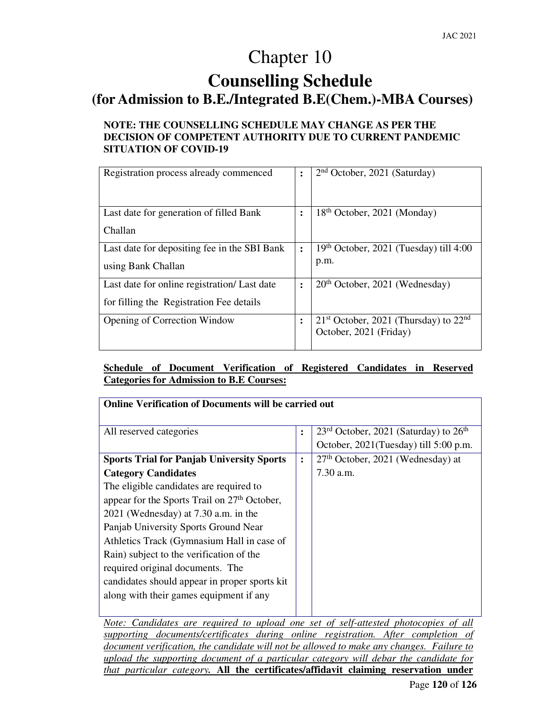# Chapter 10

# **Counselling Schedule**

# **(for Admission to B.E./Integrated B.E(Chem.)-MBA Courses)**

## **NOTE: THE COUNSELLING SCHEDULE MAY CHANGE AS PER THE DECISION OF COMPETENT AUTHORITY DUE TO CURRENT PANDEMIC SITUATION OF COVID-19**

| Registration process already commenced                                                   |                | $2nd October, 2021 (Saturday)$                                      |
|------------------------------------------------------------------------------------------|----------------|---------------------------------------------------------------------|
| Last date for generation of filled Bank<br>Challan                                       | $\bullet$      | 18 <sup>th</sup> October, 2021 (Monday)                             |
| Last date for depositing fee in the SBI Bank<br>using Bank Challan                       | $\ddot{\cdot}$ | $19th$ October, 2021 (Tuesday) till 4:00<br>p.m.                    |
| Last date for online registration/ Last date<br>for filling the Registration Fee details | $\ddot{\cdot}$ | $20th$ October, 2021 (Wednesday)                                    |
| <b>Opening of Correction Window</b>                                                      |                | $21st$ October, 2021 (Thursday) to $22nd$<br>October, 2021 (Friday) |

## **Schedule of Document Verification of Registered Candidates in Reserved Categories for Admission to B.E Courses:**

| <b>Online Verification of Documents will be carried out</b> |                |                                                                                    |
|-------------------------------------------------------------|----------------|------------------------------------------------------------------------------------|
| All reserved categories                                     | $\ddot{\cdot}$ | $23rd$ October, 2021 (Saturday) to $26th$<br>October, 2021(Tuesday) till 5:00 p.m. |
| <b>Sports Trial for Panjab University Sports</b>            | $\ddot{\cdot}$ | $27th$ October, 2021 (Wednesday) at                                                |
| <b>Category Candidates</b>                                  |                | $7.30$ a.m.                                                                        |
| The eligible candidates are required to                     |                |                                                                                    |
| appear for the Sports Trail on 27 <sup>th</sup> October,    |                |                                                                                    |
| 2021 (Wednesday) at 7.30 a.m. in the                        |                |                                                                                    |
| Panjab University Sports Ground Near                        |                |                                                                                    |
| Athletics Track (Gymnasium Hall in case of                  |                |                                                                                    |
| Rain) subject to the verification of the                    |                |                                                                                    |
| required original documents. The                            |                |                                                                                    |
| candidates should appear in proper sports kit               |                |                                                                                    |
| along with their games equipment if any                     |                |                                                                                    |
|                                                             |                |                                                                                    |

*Note: Candidates are required to upload one set of self-attested photocopies of all supporting documents/certificates during online registration. After completion of document verification, the candidate will not be allowed to make any changes. Failure to upload the supporting document of a particular category will debar the candidate for that particular category.* **All the certificates/affidavit claiming reservation under**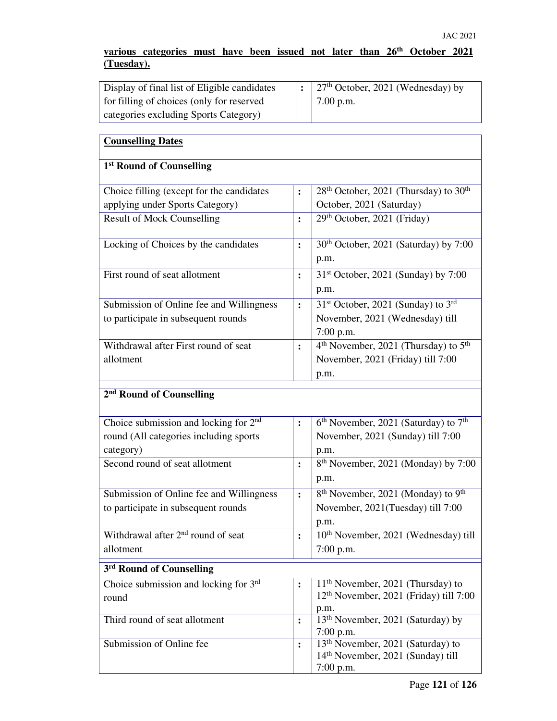## **various categories must have been issued not later than 26th October 2021 (Tuesday).**

| Display of final list of Eligible candidates | $\vert$ : 27 <sup>th</sup> October, 2021 (Wednesday) by |
|----------------------------------------------|---------------------------------------------------------|
| for filling of choices (only for reserved    | $7.00$ p.m.                                             |
| categories excluding Sports Category)        |                                                         |

| <b>Counselling Dates</b>                          |                |                                                              |
|---------------------------------------------------|----------------|--------------------------------------------------------------|
| 1 <sup>st</sup> Round of Counselling              |                |                                                              |
| Choice filling (except for the candidates         | $\ddot{\cdot}$ | $28th$ October, 2021 (Thursday) to $30th$                    |
| applying under Sports Category)                   |                | October, 2021 (Saturday)                                     |
| <b>Result of Mock Counselling</b>                 | $\ddot{\cdot}$ | 29th October, 2021 (Friday)                                  |
| Locking of Choices by the candidates              | $\ddot{\cdot}$ | 30 <sup>th</sup> October, 2021 (Saturday) by 7:00            |
|                                                   |                | p.m.                                                         |
| First round of seat allotment                     | :              | 31 <sup>st</sup> October, 2021 (Sunday) by 7:00              |
|                                                   |                | p.m.                                                         |
| Submission of Online fee and Willingness          | :              | 31 <sup>st</sup> October, 2021 (Sunday) to 3 <sup>rd</sup>   |
| to participate in subsequent rounds               |                | November, 2021 (Wednesday) till<br>$7:00$ p.m.               |
| Withdrawal after First round of seat              | $\ddot{\cdot}$ | 4 <sup>th</sup> November, 2021 (Thursday) to 5 <sup>th</sup> |
| allotment                                         |                | November, 2021 (Friday) till 7:00                            |
|                                                   |                | p.m.                                                         |
| 2 <sup>nd</sup> Round of Counselling              |                |                                                              |
| Choice submission and locking for 2 <sup>nd</sup> | :              | 6 <sup>th</sup> November, 2021 (Saturday) to 7 <sup>th</sup> |
| round (All categories including sports            |                | November, 2021 (Sunday) till 7:00                            |
| category)                                         |                | p.m.                                                         |
| Second round of seat allotment                    | $\ddot{\cdot}$ | 8 <sup>th</sup> November, 2021 (Monday) by 7:00              |
|                                                   |                | p.m.                                                         |
| Submission of Online fee and Willingness          | $\ddot{\cdot}$ | 8 <sup>th</sup> November, 2021 (Monday) to 9 <sup>th</sup>   |
| to participate in subsequent rounds               |                | November, 2021(Tuesday) till 7:00                            |
|                                                   |                | p.m.                                                         |
| Withdrawal after 2 <sup>nd</sup> round of seat    | $\ddot{\cdot}$ | 10 <sup>th</sup> November, 2021 (Wednesday) till             |
| allotment                                         |                | $7:00$ p.m.                                                  |
| 3 <sup>rd</sup> Round of Counselling              |                |                                                              |
| Choice submission and locking for 3rd             | $\ddot{\cdot}$ | $11th$ November, 2021 (Thursday) to                          |
| round                                             |                | 12 <sup>th</sup> November, 2021 (Friday) till 7:00           |
|                                                   |                | p.m.                                                         |
| Third round of seat allotment                     | $\ddot{\cdot}$ | 13 <sup>th</sup> November, 2021 (Saturday) by<br>$7:00$ p.m. |
| Submission of Online fee                          | $\ddot{\cdot}$ | 13 <sup>th</sup> November, 2021 (Saturday) to                |
|                                                   |                | 14 <sup>th</sup> November, 2021 (Sunday) till                |
|                                                   |                | $7:00$ p.m.                                                  |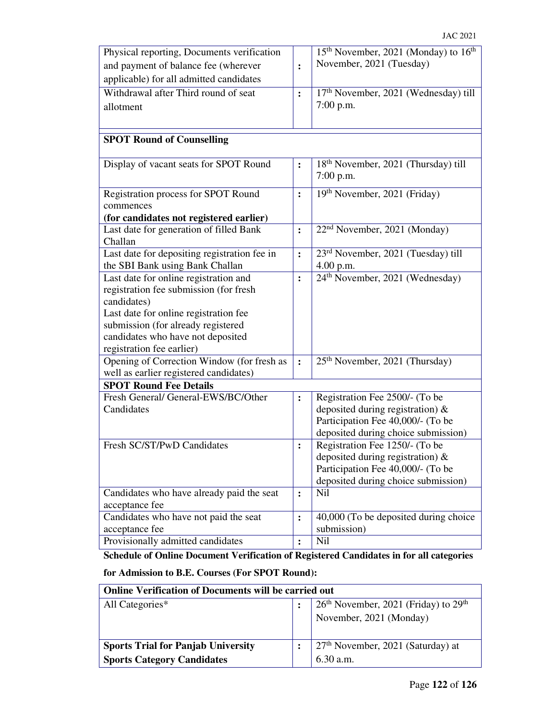| Physical reporting, Documents verification   |                | 15 <sup>th</sup> November, 2021 (Monday) to 16 <sup>th</sup> |
|----------------------------------------------|----------------|--------------------------------------------------------------|
| and payment of balance fee (wherever         | :              | November, 2021 (Tuesday)                                     |
| applicable) for all admitted candidates      |                |                                                              |
| Withdrawal after Third round of seat         | $\ddot{\cdot}$ | 17th November, 2021 (Wednesday) till                         |
| allotment                                    |                | $7:00$ p.m.                                                  |
|                                              |                |                                                              |
|                                              |                |                                                              |
| <b>SPOT Round of Counselling</b>             |                |                                                              |
| Display of vacant seats for SPOT Round       | :              | 18 <sup>th</sup> November, 2021 (Thursday) till              |
|                                              |                | $7:00$ p.m.                                                  |
| Registration process for SPOT Round          | $\ddot{\cdot}$ | 19th November, 2021 (Friday)                                 |
| commences                                    |                |                                                              |
| (for candidates not registered earlier)      |                |                                                              |
| Last date for generation of filled Bank      | :              | 22 <sup>nd</sup> November, 2021 (Monday)                     |
| Challan                                      |                |                                                              |
| Last date for depositing registration fee in | :              | 23 <sup>rd</sup> November, 2021 (Tuesday) till               |
| the SBI Bank using Bank Challan              |                | 4.00 p.m.                                                    |
| Last date for online registration and        | $\ddot{\cdot}$ | 24 <sup>th</sup> November, 2021 (Wednesday)                  |
| registration fee submission (for fresh       |                |                                                              |
| candidates)                                  |                |                                                              |
| Last date for online registration fee        |                |                                                              |
| submission (for already registered           |                |                                                              |
| candidates who have not deposited            |                |                                                              |
| registration fee earlier)                    |                |                                                              |
| Opening of Correction Window (for fresh as   | $\ddot{\cdot}$ | 25 <sup>th</sup> November, 2021 (Thursday)                   |
| well as earlier registered candidates)       |                |                                                              |
| <b>SPOT Round Fee Details</b>                |                |                                                              |
| Fresh General/ General-EWS/BC/Other          | $\ddot{\cdot}$ | Registration Fee 2500/- (To be                               |
| Candidates                                   |                | deposited during registration) $\&$                          |
|                                              |                | Participation Fee 40,000/- (To be                            |
|                                              |                | deposited during choice submission)                          |
| Fresh SC/ST/PwD Candidates                   | $\ddot{\cdot}$ | Registration Fee 1250/- (To be                               |
|                                              |                | deposited during registration) $\&$                          |
|                                              |                | Participation Fee 40,000/- (To be                            |
|                                              |                | deposited during choice submission)                          |
| Candidates who have already paid the seat    | $\ddot{\cdot}$ | Nil                                                          |
| acceptance fee                               |                |                                                              |
| Candidates who have not paid the seat        | :              | 40,000 (To be deposited during choice                        |
| acceptance fee                               |                | submission)                                                  |
| Provisionally admitted candidates            | $\ddot{\cdot}$ | <b>Nil</b>                                                   |

# **Schedule of Online Document Verification of Registered Candidates in for all categories**

# **for Admission to B.E. Courses (For SPOT Round):**

| <b>Online Verification of Documents will be carried out</b> |  |                                          |
|-------------------------------------------------------------|--|------------------------------------------|
| All Categories*                                             |  | $26th$ November, 2021 (Friday) to $29th$ |
|                                                             |  | November, 2021 (Monday)                  |
|                                                             |  |                                          |
| <b>Sports Trial for Panjab University</b>                   |  | $27th$ November, 2021 (Saturday) at      |
| <b>Sports Category Candidates</b>                           |  | 6.30 a.m.                                |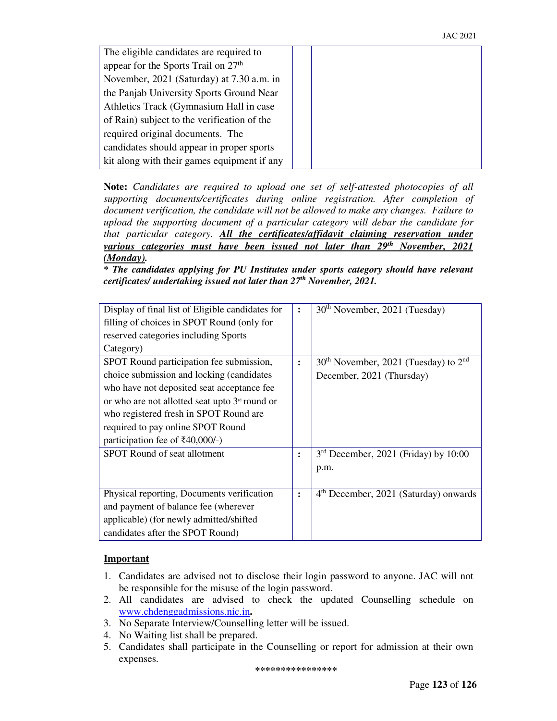| The eligible candidates are required to         |  |
|-------------------------------------------------|--|
| appear for the Sports Trail on 27 <sup>th</sup> |  |
| November, 2021 (Saturday) at 7.30 a.m. in       |  |
| the Panjab University Sports Ground Near        |  |
| Athletics Track (Gymnasium Hall in case         |  |
| of Rain) subject to the verification of the     |  |
| required original documents. The                |  |
| candidates should appear in proper sports       |  |
| kit along with their games equipment if any     |  |

**Note:** *Candidates are required to upload one set of self-attested photocopies of all supporting documents/certificates during online registration. After completion of document verification, the candidate will not be allowed to make any changes. Failure to upload the supporting document of a particular category will debar the candidate for that particular category. All the certificates/affidavit claiming reservation under various categories must have been issued not later than 29th November, 2021 (Monday).*

*\* The candidates applying for PU Institutes under sports category should have relevant certificates/ undertaking issued not later than 27th November, 2021.* 

| Display of final list of Eligible candidates for           | ፡              | 30 <sup>th</sup> November, 2021 (Tuesday)         |
|------------------------------------------------------------|----------------|---------------------------------------------------|
| filling of choices in SPOT Round (only for                 |                |                                                   |
| reserved categories including Sports                       |                |                                                   |
| Category)                                                  |                |                                                   |
| SPOT Round participation fee submission,                   | $\ddot{\cdot}$ | $30th$ November, 2021 (Tuesday) to $2nd$          |
| choice submission and locking (candidates)                 |                | December, 2021 (Thursday)                         |
| who have not deposited seat acceptance fee                 |                |                                                   |
| or who are not allotted seat upto 3 <sup>rd</sup> round or |                |                                                   |
| who registered fresh in SPOT Round are                     |                |                                                   |
| required to pay online SPOT Round                          |                |                                                   |
| participation fee of $\text{\textsterling}40,000/-$ )      |                |                                                   |
| SPOT Round of seat allotment                               | ፡              | $3rd$ December, 2021 (Friday) by 10:00            |
|                                                            |                | p.m.                                              |
|                                                            |                |                                                   |
| Physical reporting, Documents verification                 | $\ddot{\cdot}$ | 4 <sup>th</sup> December, 2021 (Saturday) onwards |
| and payment of balance fee (wherever                       |                |                                                   |
| applicable) (for newly admitted/shifted                    |                |                                                   |
| candidates after the SPOT Round)                           |                |                                                   |

## **Important**

- 1. Candidates are advised not to disclose their login password to anyone. JAC will not be responsible for the misuse of the login password.
- 2. All candidates are advised to check the updated Counselling schedule on www.chdenggadmissions.nic.in**.**
- 3. No Separate Interview/Counselling letter will be issued.
- 4. No Waiting list shall be prepared.
- 5. Candidates shall participate in the Counselling or report for admission at their own expenses.

**\*\*\*\*\*\*\*\*\*\*\*\*\*\*\*\***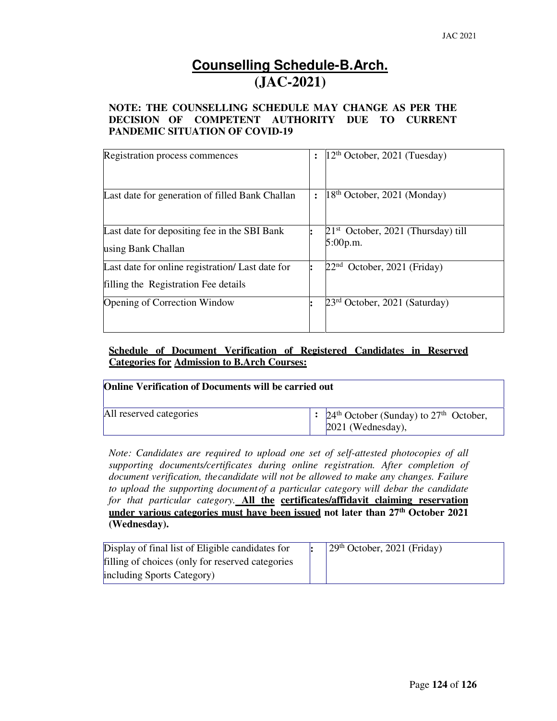# **Counselling Schedule-B.Arch. (JAC-2021)**

## **NOTE: THE COUNSELLING SCHEDULE MAY CHANGE AS PER THE DECISION OF COMPETENT AUTHORITY DUE TO CURRENT PANDEMIC SITUATION OF COVID-19**

| Registration process commences                                                           | $ 12^{th}$ October, 2021 (Tuesday)               |
|------------------------------------------------------------------------------------------|--------------------------------------------------|
| Last date for generation of filled Bank Challan                                          | $18th$ October, 2021 (Monday)                    |
| Last date for depositing fee in the SBI Bank<br>using Bank Challan                       | $21st$ October, 2021 (Thursday) till<br>5:00p.m. |
| Last date for online registration/ Last date for<br>filling the Registration Fee details | 22 <sup>nd</sup><br>October, 2021 (Friday)       |
| <b>Opening of Correction Window</b>                                                      | $23rd$ October, 2021 (Saturday)                  |

# **Schedule of Document Verification of Registered Candidates in Reserved Categories for Admission to B.Arch Courses:**

| <b>Online Verification of Documents will be carried out</b> |  |                                                                                                     |  |
|-------------------------------------------------------------|--|-----------------------------------------------------------------------------------------------------|--|
| All reserved categories                                     |  | $\therefore$ 24 <sup>th</sup> October (Sunday) to 27 <sup>th</sup> October,<br>$[2021$ (Wednesday), |  |

*Note: Candidates are required to upload one set of self-attested photocopies of all supporting documents/certificates during online registration. After completion of document verification, the candidate will not be allowed to make any changes. Failure to upload the supporting document of a particular category will debar the candidate for that particular category.* **All the certificates/affidavit claiming reservation under various categories must have been issued not later than 27th October 2021 (Wednesday).** 

| Display of final list of Eligible candidates for  | $\sqrt{29^{th}$ October, 2021 (Friday) |
|---------------------------------------------------|----------------------------------------|
| filling of choices (only for reserved categories) |                                        |
| including Sports Category)                        |                                        |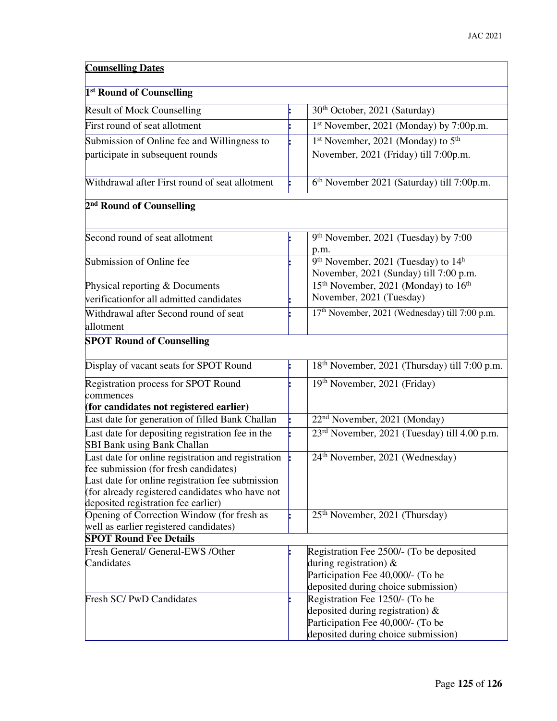| <b>Counselling Dates</b>                                                                    |  |                                                                                                       |  |  |
|---------------------------------------------------------------------------------------------|--|-------------------------------------------------------------------------------------------------------|--|--|
| 1 <sup>st</sup> Round of Counselling                                                        |  |                                                                                                       |  |  |
| <b>Result of Mock Counselling</b>                                                           |  | 30 <sup>th</sup> October, 2021 (Saturday)                                                             |  |  |
| First round of seat allotment                                                               |  | 1st November, 2021 (Monday) by 7:00p.m.                                                               |  |  |
| Submission of Online fee and Willingness to                                                 |  | 1 <sup>st</sup> November, 2021 (Monday) to 5 <sup>th</sup>                                            |  |  |
| participate in subsequent rounds                                                            |  | November, 2021 (Friday) till 7:00p.m.                                                                 |  |  |
| Withdrawal after First round of seat allotment                                              |  | 6 <sup>th</sup> November 2021 (Saturday) till 7:00p.m.                                                |  |  |
| 2 <sup>nd</sup> Round of Counselling                                                        |  |                                                                                                       |  |  |
| Second round of seat allotment                                                              |  | 9 <sup>th</sup> November, 2021 (Tuesday) by 7:00                                                      |  |  |
|                                                                                             |  | p.m.                                                                                                  |  |  |
| Submission of Online fee                                                                    |  | 9 <sup>th</sup> November, 2021 (Tuesday) to 14 <sup>h</sup><br>November, 2021 (Sunday) till 7:00 p.m. |  |  |
| Physical reporting & Documents                                                              |  | 15 <sup>th</sup> November, 2021 (Monday) to 16 <sup>th</sup>                                          |  |  |
| verificationfor all admitted candidates                                                     |  | November, 2021 (Tuesday)                                                                              |  |  |
| Withdrawal after Second round of seat                                                       |  | 17 <sup>th</sup> November, 2021 (Wednesday) till 7:00 p.m.                                            |  |  |
| allotment                                                                                   |  |                                                                                                       |  |  |
| <b>SPOT Round of Counselling</b>                                                            |  |                                                                                                       |  |  |
| Display of vacant seats for SPOT Round                                                      |  | 18 <sup>th</sup> November, 2021 (Thursday) till 7:00 p.m.                                             |  |  |
| Registration process for SPOT Round<br>commences                                            |  | 19th November, 2021 (Friday)                                                                          |  |  |
| (for candidates not registered earlier)                                                     |  |                                                                                                       |  |  |
| Last date for generation of filled Bank Challan                                             |  | 22 <sup>nd</sup> November, 2021 (Monday)                                                              |  |  |
| Last date for depositing registration fee in the<br><b>SBI Bank using Bank Challan</b>      |  | 23 <sup>rd</sup> November, 2021 (Tuesday) till 4.00 p.m.                                              |  |  |
| Last date for online registration and registration<br>fee submission (for fresh candidates) |  | 24 <sup>th</sup> November, 2021 (Wednesday)                                                           |  |  |
| Last date for online registration fee submission                                            |  |                                                                                                       |  |  |
| (for already registered candidates who have not                                             |  |                                                                                                       |  |  |
| deposited registration fee earlier)                                                         |  |                                                                                                       |  |  |
| Opening of Correction Window (for fresh as                                                  |  | 25 <sup>th</sup> November, 2021 (Thursday)                                                            |  |  |
| well as earlier registered candidates)                                                      |  |                                                                                                       |  |  |
| <b>SPOT Round Fee Details</b>                                                               |  |                                                                                                       |  |  |
| Fresh General/ General-EWS /Other<br>Candidates                                             |  | Registration Fee 2500/- (To be deposited                                                              |  |  |
|                                                                                             |  | during registration) $\&$<br>Participation Fee 40,000/- (To be                                        |  |  |
|                                                                                             |  | deposited during choice submission)                                                                   |  |  |
| Fresh SC/PwD Candidates                                                                     |  | Registration Fee 1250/- (To be                                                                        |  |  |
|                                                                                             |  | deposited during registration) $\&$                                                                   |  |  |
|                                                                                             |  | Participation Fee 40,000/- (To be                                                                     |  |  |
|                                                                                             |  | deposited during choice submission)                                                                   |  |  |